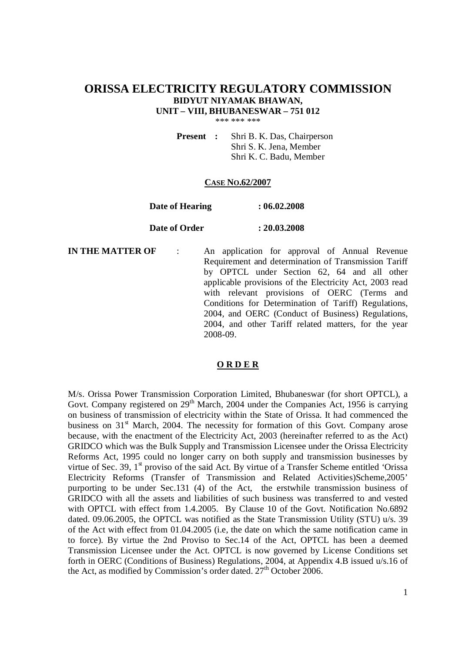# **ORISSA ELECTRICITY REGULATORY COMMISSION BIDYUT NIYAMAK BHAWAN, UNIT – VIII, BHUBANESWAR – 751 012**

\*\*\* \*\*\* \*\*\*

**Present :** Shri B. K. Das, Chairperson Shri S. K. Jena, Member Shri K. C. Badu, Member

#### **CASE NO.62/2007**

#### **Date of Hearing : 06.02.2008**

#### **Date of Order : 20.03.2008**

**IN THE MATTER OF** : An application for approval of Annual Revenue Requirement and determination of Transmission Tariff by OPTCL under Section 62, 64 and all other applicable provisions of the Electricity Act, 2003 read with relevant provisions of OERC (Terms and Conditions for Determination of Tariff) Regulations, 2004, and OERC (Conduct of Business) Regulations, 2004, and other Tariff related matters, for the year 2008-09.

#### **O R D E R**

M/s. Orissa Power Transmission Corporation Limited, Bhubaneswar (for short OPTCL), a Govt. Company registered on 29<sup>th</sup> March, 2004 under the Companies Act, 1956 is carrying on business of transmission of electricity within the State of Orissa. It had commenced the business on 31<sup>st</sup> March, 2004. The necessity for formation of this Govt. Company arose because, with the enactment of the Electricity Act, 2003 (hereinafter referred to as the Act) GRIDCO which was the Bulk Supply and Transmission Licensee under the Orissa Electricity Reforms Act, 1995 could no longer carry on both supply and transmission businesses by virtue of Sec. 39, 1<sup>st</sup> proviso of the said Act. By virtue of a Transfer Scheme entitled 'Orissa Electricity Reforms (Transfer of Transmission and Related Activities)Scheme,2005' purporting to be under Sec.131 (4) of the Act, the erstwhile transmission business of GRIDCO with all the assets and liabilities of such business was transferred to and vested with OPTCL with effect from 1.4.2005. By Clause 10 of the Govt. Notification No.6892 dated. 09.06.2005, the OPTCL was notified as the State Transmission Utility (STU) u/s. 39 of the Act with effect from 01.04.2005 (i.e, the date on which the same notification came in to force). By virtue the 2nd Proviso to Sec.14 of the Act, OPTCL has been a deemed Transmission Licensee under the Act. OPTCL is now governed by License Conditions set forth in OERC (Conditions of Business) Regulations, 2004, at Appendix 4.B issued u/s.16 of the Act, as modified by Commission's order dated.  $27<sup>th</sup>$  October 2006.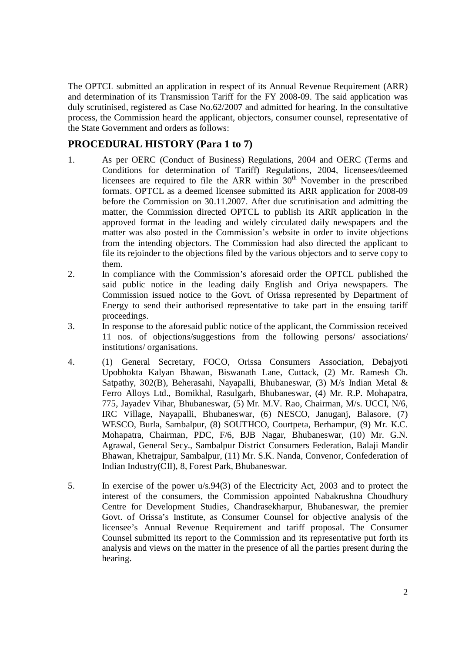The OPTCL submitted an application in respect of its Annual Revenue Requirement (ARR) and determination of its Transmission Tariff for the FY 2008-09. The said application was duly scrutinised, registered as Case No.62/2007 and admitted for hearing. In the consultative process, the Commission heard the applicant, objectors, consumer counsel, representative of the State Government and orders as follows:

# **PROCEDURAL HISTORY (Para 1 to 7)**

- 1. As per OERC (Conduct of Business) Regulations, 2004 and OERC (Terms and Conditions for determination of Tariff) Regulations, 2004, licensees/deemed licensees are required to file the ARR within  $30<sup>th</sup>$  November in the prescribed formats. OPTCL as a deemed licensee submitted its ARR application for 2008-09 before the Commission on 30.11.2007. After due scrutinisation and admitting the matter, the Commission directed OPTCL to publish its ARR application in the approved format in the leading and widely circulated daily newspapers and the matter was also posted in the Commission's website in order to invite objections from the intending objectors. The Commission had also directed the applicant to file its rejoinder to the objections filed by the various objectors and to serve copy to them.
- 2. In compliance with the Commission's aforesaid order the OPTCL published the said public notice in the leading daily English and Oriya newspapers. The Commission issued notice to the Govt. of Orissa represented by Department of Energy to send their authorised representative to take part in the ensuing tariff proceedings.
- 3. In response to the aforesaid public notice of the applicant, the Commission received 11 nos. of objections/suggestions from the following persons/ associations/ institutions/ organisations.
- 4. (1) General Secretary, FOCO, Orissa Consumers Association, Debajyoti Upobhokta Kalyan Bhawan, Biswanath Lane, Cuttack, (2) Mr. Ramesh Ch. Satpathy, 302(B), Beherasahi, Nayapalli, Bhubaneswar, (3) M/s Indian Metal & Ferro Alloys Ltd., Bomikhal, Rasulgarh, Bhubaneswar, (4) Mr. R.P. Mohapatra, 775, Jayadev Vihar, Bhubaneswar, (5) Mr. M.V. Rao, Chairman, M/s. UCCI, N/6, IRC Village, Nayapalli, Bhubaneswar, (6) NESCO, Januganj, Balasore, (7) WESCO, Burla, Sambalpur, (8) SOUTHCO, Courtpeta, Berhampur, (9) Mr. K.C. Mohapatra, Chairman, PDC, F/6, BJB Nagar, Bhubaneswar, (10) Mr. G.N. Agrawal, General Secy., Sambalpur District Consumers Federation, Balaji Mandir Bhawan, Khetrajpur, Sambalpur, (11) Mr. S.K. Nanda, Convenor, Confederation of Indian Industry(CII), 8, Forest Park, Bhubaneswar.
- 5. In exercise of the power u/s.94(3) of the Electricity Act, 2003 and to protect the interest of the consumers, the Commission appointed Nabakrushna Choudhury Centre for Development Studies, Chandrasekharpur, Bhubaneswar, the premier Govt. of Orissa's Institute, as Consumer Counsel for objective analysis of the licensee's Annual Revenue Requirement and tariff proposal. The Consumer Counsel submitted its report to the Commission and its representative put forth its analysis and views on the matter in the presence of all the parties present during the hearing.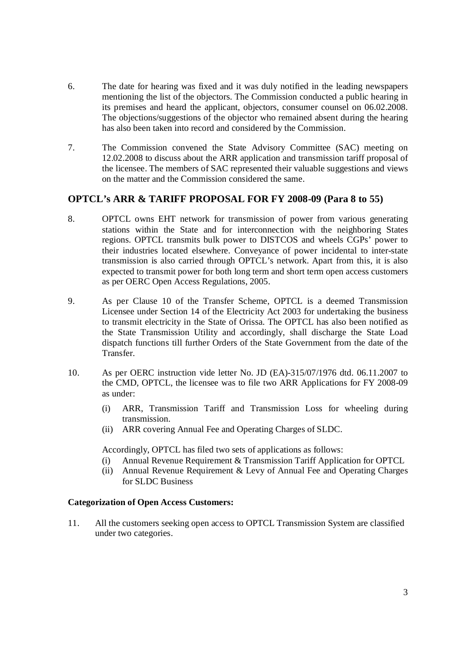- 6. The date for hearing was fixed and it was duly notified in the leading newspapers mentioning the list of the objectors. The Commission conducted a public hearing in its premises and heard the applicant, objectors, consumer counsel on 06.02.2008. The objections/suggestions of the objector who remained absent during the hearing has also been taken into record and considered by the Commission.
- 7. The Commission convened the State Advisory Committee (SAC) meeting on 12.02.2008 to discuss about the ARR application and transmission tariff proposal of the licensee. The members of SAC represented their valuable suggestions and views on the matter and the Commission considered the same.

# **OPTCL's ARR & TARIFF PROPOSAL FOR FY 2008-09 (Para 8 to 55)**

- 8. OPTCL owns EHT network for transmission of power from various generating stations within the State and for interconnection with the neighboring States regions. OPTCL transmits bulk power to DISTCOS and wheels CGPs' power to their industries located elsewhere. Conveyance of power incidental to inter-state transmission is also carried through OPTCL's network. Apart from this, it is also expected to transmit power for both long term and short term open access customers as per OERC Open Access Regulations, 2005.
- 9. As per Clause 10 of the Transfer Scheme, OPTCL is a deemed Transmission Licensee under Section 14 of the Electricity Act 2003 for undertaking the business to transmit electricity in the State of Orissa. The OPTCL has also been notified as the State Transmission Utility and accordingly, shall discharge the State Load dispatch functions till further Orders of the State Government from the date of the Transfer.
- 10. As per OERC instruction vide letter No. JD (EA)-315/07/1976 dtd. 06.11.2007 to the CMD, OPTCL, the licensee was to file two ARR Applications for FY 2008-09 as under:
	- (i) ARR, Transmission Tariff and Transmission Loss for wheeling during transmission.
	- (ii) ARR covering Annual Fee and Operating Charges of SLDC.

Accordingly, OPTCL has filed two sets of applications as follows:

- (i) Annual Revenue Requirement & Transmission Tariff Application for OPTCL
- (ii) Annual Revenue Requirement & Levy of Annual Fee and Operating Charges for SLDC Business

#### **Categorization of Open Access Customers:**

11. All the customers seeking open access to OPTCL Transmission System are classified under two categories.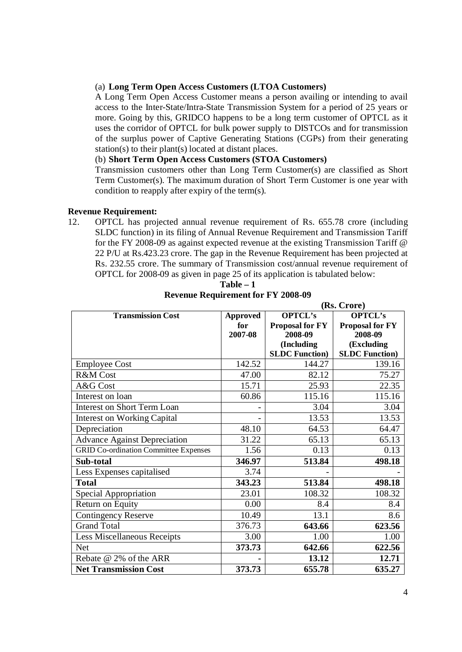#### (a) **Long Term Open Access Customers (LTOA Customers)**

A Long Term Open Access Customer means a person availing or intending to avail access to the Inter-State/Intra-State Transmission System for a period of 25 years or more. Going by this, GRIDCO happens to be a long term customer of OPTCL as it uses the corridor of OPTCL for bulk power supply to DISTCOs and for transmission of the surplus power of Captive Generating Stations (CGPs) from their generating station(s) to their plant(s) located at distant places.

# (b) **Short Term Open Access Customers (STOA Customers)**

Transmission customers other than Long Term Customer(s) are classified as Short Term Customer(s). The maximum duration of Short Term Customer is one year with condition to reapply after expiry of the term(s).

## **Revenue Requirement:**

12. OPTCL has projected annual revenue requirement of Rs. 655.78 crore (including SLDC function) in its filing of Annual Revenue Requirement and Transmission Tariff for the FY 2008-09 as against expected revenue at the existing Transmission Tariff @ 22 P/U at Rs.423.23 crore. The gap in the Revenue Requirement has been projected at Rs. 232.55 crore. The summary of Transmission cost/annual revenue requirement of OPTCL for 2008-09 as given in page 25 of its application is tabulated below:

|                                              |                 | (IS. Crote)            |                        |  |
|----------------------------------------------|-----------------|------------------------|------------------------|--|
| <b>Transmission Cost</b>                     | <b>Approved</b> | <b>OPTCL's</b>         | <b>OPTCL's</b>         |  |
|                                              | for             | <b>Proposal for FY</b> | <b>Proposal for FY</b> |  |
|                                              | 2007-08         | 2008-09                | 2008-09                |  |
|                                              |                 | (Including             | (Excluding             |  |
|                                              |                 | <b>SLDC Function</b> ) | <b>SLDC Function</b> ) |  |
| <b>Employee Cost</b>                         | 142.52          | 144.27                 | 139.16                 |  |
| R&M Cost                                     | 47.00           | 82.12                  | 75.27                  |  |
| A&G Cost                                     | 15.71           | 25.93                  | 22.35                  |  |
| Interest on loan                             | 60.86           | 115.16                 | 115.16                 |  |
| <b>Interest on Short Term Loan</b>           |                 | 3.04                   | 3.04                   |  |
| <b>Interest on Working Capital</b>           |                 | 13.53                  | 13.53                  |  |
| Depreciation                                 | 48.10           | 64.53                  | 64.47                  |  |
| <b>Advance Against Depreciation</b>          | 31.22           | 65.13                  | 65.13                  |  |
| <b>GRID Co-ordination Committee Expenses</b> | 1.56            | 0.13                   | 0.13                   |  |
| Sub-total                                    | 346.97          | 513.84                 | 498.18                 |  |
| Less Expenses capitalised                    | 3.74            |                        |                        |  |
| <b>Total</b>                                 | 343.23          | 513.84                 | 498.18                 |  |
| Special Appropriation                        | 23.01           | 108.32                 | 108.32                 |  |
| Return on Equity                             | 0.00            | 8.4                    | 8.4                    |  |
| <b>Contingency Reserve</b>                   | 10.49           | 13.1                   | 8.6                    |  |
| <b>Grand Total</b>                           | 376.73          | 643.66                 | 623.56                 |  |
| <b>Less Miscellaneous Receipts</b>           | 3.00            | 1.00                   | 1.00                   |  |
| <b>Net</b>                                   | 373.73          | 642.66                 | 622.56                 |  |
| Rebate @ 2% of the ARR                       |                 | 13.12                  | 12.71                  |  |
| <b>Net Transmission Cost</b>                 | 373.73          | 655.78                 | 635.27                 |  |

**Table – 1 Revenue Requirement for FY 2008-09**

**(Rs. Crore)**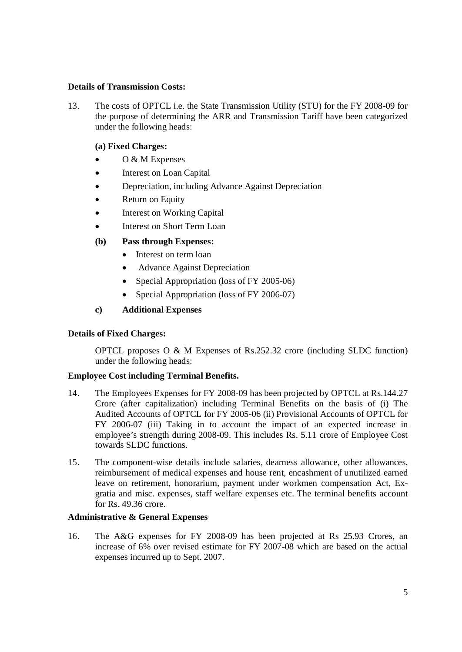### **Details of Transmission Costs:**

13. The costs of OPTCL i.e. the State Transmission Utility (STU) for the FY 2008-09 for the purpose of determining the ARR and Transmission Tariff have been categorized under the following heads:

# **(a) Fixed Charges:**

- $\bullet$  O & M Expenses
- Interest on Loan Capital
- Depreciation, including Advance Against Depreciation
- Return on Equity
- Interest on Working Capital
- Interest on Short Term Loan

# **(b) Pass through Expenses:**

- Interest on term loan
- Advance Against Depreciation
- Special Appropriation (loss of FY 2005-06)
- Special Appropriation (loss of FY 2006-07)

## **c) Additional Expenses**

## **Details of Fixed Charges:**

OPTCL proposes O & M Expenses of Rs.252.32 crore (including SLDC function) under the following heads:

## **Employee Cost including Terminal Benefits.**

- 14. The Employees Expenses for FY 2008-09 has been projected by OPTCL at Rs.144.27 Crore (after capitalization) including Terminal Benefits on the basis of (i) The Audited Accounts of OPTCL for FY 2005-06 (ii) Provisional Accounts of OPTCL for FY 2006-07 (iii) Taking in to account the impact of an expected increase in employee's strength during 2008-09. This includes Rs. 5.11 crore of Employee Cost towards SLDC functions.
- 15. The component-wise details include salaries, dearness allowance, other allowances, reimbursement of medical expenses and house rent, encashment of unutilized earned leave on retirement, honorarium, payment under workmen compensation Act, Exgratia and misc. expenses, staff welfare expenses etc. The terminal benefits account for Rs. 49.36 crore.

## **Administrative & General Expenses**

16. The A&G expenses for FY 2008-09 has been projected at Rs 25.93 Crores, an increase of 6% over revised estimate for FY 2007-08 which are based on the actual expenses incurred up to Sept. 2007.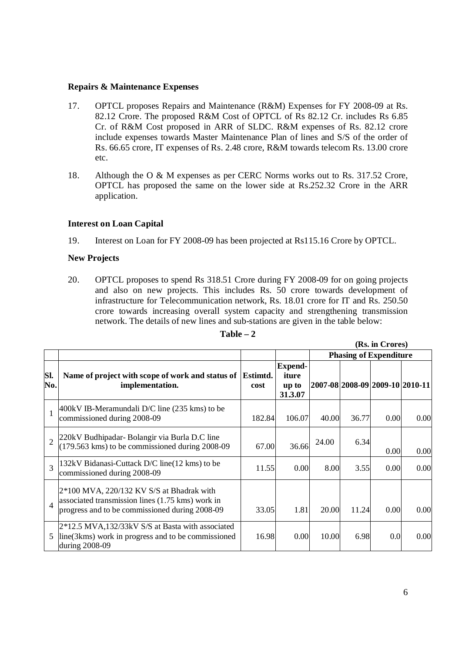#### **Repairs & Maintenance Expenses**

- 17. OPTCL proposes Repairs and Maintenance (R&M) Expenses for FY 2008-09 at Rs. 82.12 Crore. The proposed R&M Cost of OPTCL of Rs 82.12 Cr. includes Rs 6.85 Cr. of R&M Cost proposed in ARR of SLDC. R&M expenses of Rs. 82.12 crore include expenses towards Master Maintenance Plan of lines and S/S of the order of Rs. 66.65 crore, IT expenses of Rs. 2.48 crore, R&M towards telecom Rs. 13.00 crore etc.
- 18. Although the O & M expenses as per CERC Norms works out to Rs. 317.52 Crore, OPTCL has proposed the same on the lower side at Rs.252.32 Crore in the ARR application.

## **Interest on Loan Capital**

19. Interest on Loan for FY 2008-09 has been projected at Rs115.16 Crore by OPTCL.

# **New Projects**

20. OPTCL proposes to spend Rs 318.51 Crore during FY 2008-09 for on going projects and also on new projects. This includes Rs. 50 crore towards development of infrastructure for Telecommunication network, Rs. 18.01 crore for IT and Rs. 250.50 crore towards increasing overall system capacity and strengthening transmission network. The details of new lines and sub-stations are given in the table below:

|                |                                                                                                                                                   |                  |                                             |                               |       | (Rs. in Crores)                 |      |
|----------------|---------------------------------------------------------------------------------------------------------------------------------------------------|------------------|---------------------------------------------|-------------------------------|-------|---------------------------------|------|
|                |                                                                                                                                                   |                  |                                             | <b>Phasing of Expenditure</b> |       |                                 |      |
| Sl.<br>No.     | Name of project with scope of work and status of  <br>implementation.                                                                             | Estimtd.<br>cost | <b>Expend-</b><br>iture<br>up to<br>31.3.07 |                               |       | 2007-08 2008-09 2009-10 2010-11 |      |
| $\mathbf{1}$   | 400kV IB-Meramundali D/C line (235 kms) to be<br>commissioned during 2008-09                                                                      | 182.84           | 106.07                                      | 40.00                         | 36.77 | 0.00                            | 0.00 |
| $\overline{2}$ | 220kV Budhipadar-Bolangir via Burla D.C line<br>$(179.563 \text{ km})$ to be commissioned during 2008-09                                          | 67.00            | 36.66                                       | 24.00                         | 6.34  | 0.00                            | 0.00 |
| $\mathcal{R}$  | 132kV Bidanasi-Cuttack D/C line (12 kms) to be<br>commissioned during 2008-09                                                                     | 11.55            | 0.00                                        | 8.00                          | 3.55  | 0.00                            | 0.00 |
| $\overline{4}$ | $2*100$ MVA, 220/132 KV S/S at Bhadrak with<br>associated transmission lines (1.75 kms) work in<br>progress and to be commissioned during 2008-09 | 33.05            | 1.81                                        | 20.00                         | 11.24 | 0.00                            | 0.00 |
| 5              | $2*12.5$ MVA,132/33kV S/S at Basta with associated<br>line (3kms) work in progress and to be commissioned<br>during 2008-09                       | 16.98            | 0.00                                        | 10.00                         | 6.98  | 0.0                             | 0.00 |

#### $Table - 2$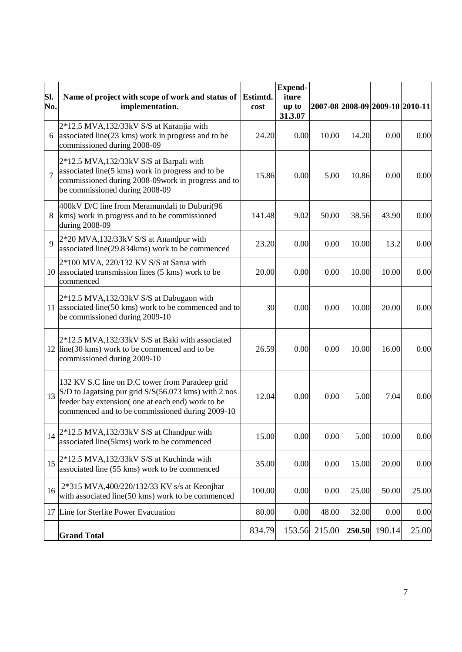| SI.<br>No.     | Name of project with scope of work and status of Estimtd.<br>implementation.                                                                                                                                   | cost   | <b>Expend-</b><br>iture<br>up to<br>31.3.07 |        |        | 2007-08 2008-09 2009-10 2010-11 |       |
|----------------|----------------------------------------------------------------------------------------------------------------------------------------------------------------------------------------------------------------|--------|---------------------------------------------|--------|--------|---------------------------------|-------|
| 6              | 2*12.5 MVA,132/33kV S/S at Karanjia with<br>associated line(23 kms) work in progress and to be<br>commissioned during 2008-09                                                                                  | 24.20  | 0.00                                        | 10.00  | 14.20  | 0.00                            | 0.00  |
| $\overline{7}$ | $2*12.5$ MVA,132/33kV S/S at Barpali with<br>associated line(5 kms) work in progress and to be<br>commissioned during 2008-09 work in progress and to<br>be commissioned during 2008-09                        | 15.86  | 0.00                                        | 5.00   | 10.86  | 0.00                            | 0.00  |
| 8              | 400kV D/C line from Meramundali to Duburi(96<br>kms) work in progress and to be commissioned<br>during 2008-09                                                                                                 | 141.48 | 9.02                                        | 50.00  | 38.56  | 43.90                           | 0.00  |
| $\overline{Q}$ | $2*20$ MVA,132/33kV S/S at Anandpur with<br>associated line(29.834kms) work to be commenced                                                                                                                    | 23.20  | 0.00                                        | 0.00   | 10.00  | 13.2                            | 0.00  |
|                | 2*100 MVA, 220/132 KV S/S at Sarua with<br>10 associated transmission lines (5 kms) work to be<br>commenced                                                                                                    | 20.00  | 0.00                                        | 0.00   | 10.00  | 10.00                           | 0.00  |
|                | $2*12.5$ MVA,132/33kV S/S at Dabugaon with<br>11 associated line(50 kms) work to be commenced and to<br>be commissioned during 2009-10                                                                         | 30     | 0.00                                        | 0.00   | 10.00  | 20.00                           | 0.00  |
|                | 2*12.5 MVA,132/33kV S/S at Baki with associated<br>12 line (30 kms) work to be commenced and to be<br>commissioned during 2009-10                                                                              | 26.59  | 0.00                                        | 0.00   | 10.00  | 16.00                           | 0.00  |
| 13             | 132 KV S.C line on D.C tower from Paradeep grid<br>S/D to Jagatsing pur grid S/S(56.073 kms) with 2 nos<br>feeder bay extension(one at each end) work to be<br>commenced and to be commissioned during 2009-10 | 12.04  | 0.00                                        | 0.00   | 5.00   | 7.04                            | 0.00  |
| 14             | 2*12.5 MVA,132/33kV S/S at Chandpur with<br>associated line(5kms) work to be commenced                                                                                                                         | 15.00  | 0.00                                        | 0.00   | 5.00   | 10.00                           | 0.00  |
| 15             | 2*12.5 MVA,132/33kV S/S at Kuchinda with<br>associated line (55 kms) work to be commenced                                                                                                                      | 35.00  | 0.00                                        | 0.00   | 15.00  | 20.00                           | 0.00  |
| 16             | 2*315 MVA,400/220/132/33 KV s/s at Keonjhar<br>with associated line(50 kms) work to be commenced                                                                                                               | 100.00 | 0.00                                        | 0.00   | 25.00  | 50.00                           | 25.00 |
|                | 17 Line for Sterlite Power Evacuation                                                                                                                                                                          | 80.00  | 0.00                                        | 48.00  | 32.00  | 0.00                            | 0.00  |
|                | <b>Grand Total</b>                                                                                                                                                                                             | 834.79 | 153.56                                      | 215.00 | 250.50 | 190.14                          | 25.00 |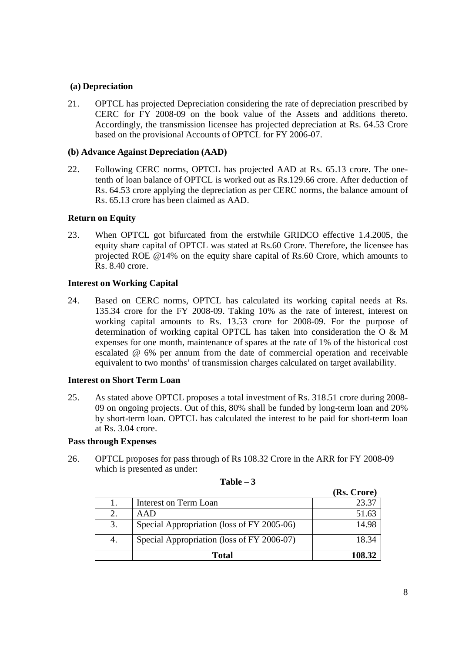# **(a) Depreciation**

21. OPTCL has projected Depreciation considering the rate of depreciation prescribed by CERC for FY 2008-09 on the book value of the Assets and additions thereto. Accordingly, the transmission licensee has projected depreciation at Rs. 64.53 Crore based on the provisional Accounts of OPTCL for FY 2006-07.

## **(b) Advance Against Depreciation (AAD)**

22. Following CERC norms, OPTCL has projected AAD at Rs. 65.13 crore. The onetenth of loan balance of OPTCL is worked out as Rs.129.66 crore. After deduction of Rs. 64.53 crore applying the depreciation as per CERC norms, the balance amount of Rs. 65.13 crore has been claimed as AAD.

#### **Return on Equity**

23. When OPTCL got bifurcated from the erstwhile GRIDCO effective 1.4.2005, the equity share capital of OPTCL was stated at Rs.60 Crore. Therefore, the licensee has projected ROE @14% on the equity share capital of Rs.60 Crore, which amounts to Rs. 8.40 crore.

#### **Interest on Working Capital**

24. Based on CERC norms, OPTCL has calculated its working capital needs at Rs. 135.34 crore for the FY 2008-09. Taking 10% as the rate of interest, interest on working capital amounts to Rs. 13.53 crore for 2008-09. For the purpose of determination of working capital OPTCL has taken into consideration the O & M expenses for one month, maintenance of spares at the rate of 1% of the historical cost escalated @ 6% per annum from the date of commercial operation and receivable equivalent to two months' of transmission charges calculated on target availability.

#### **Interest on Short Term Loan**

25. As stated above OPTCL proposes a total investment of Rs. 318.51 crore during 2008- 09 on ongoing projects. Out of this, 80% shall be funded by long-term loan and 20% by short-term loan. OPTCL has calculated the interest to be paid for short-term loan at Rs. 3.04 crore.

#### **Pass through Expenses**

26. OPTCL proposes for pass through of Rs 108.32 Crore in the ARR for FY 2008-09 which is presented as under:

|    |                                            | (Rs. Crore) |
|----|--------------------------------------------|-------------|
|    | Interest on Term Loan                      | 23.37       |
| 2. | A A D                                      | 51.63       |
| 3. | Special Appropriation (loss of FY 2005-06) | 14.98       |
| 4. | Special Appropriation (loss of FY 2006-07) | 18.34       |
|    | Total                                      | 108.32      |

## $Table - 3$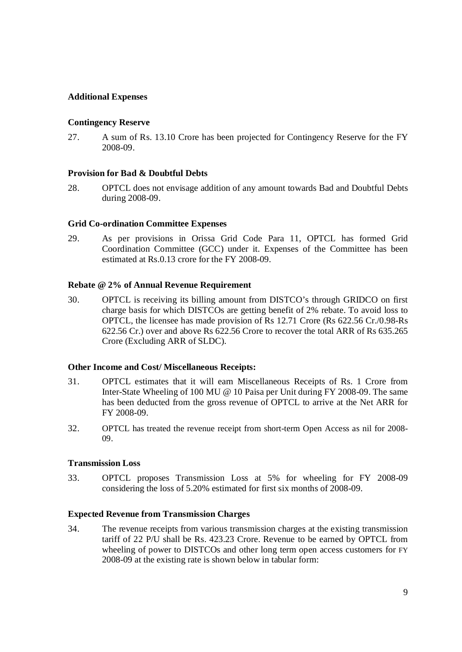# **Additional Expenses**

#### **Contingency Reserve**

27. A sum of Rs. 13.10 Crore has been projected for Contingency Reserve for the FY 2008-09.

#### **Provision for Bad & Doubtful Debts**

28. OPTCL does not envisage addition of any amount towards Bad and Doubtful Debts during 2008-09.

#### **Grid Co-ordination Committee Expenses**

29. As per provisions in Orissa Grid Code Para 11, OPTCL has formed Grid Coordination Committee (GCC) under it. Expenses of the Committee has been estimated at Rs.0.13 crore for the FY 2008-09.

#### **Rebate @ 2% of Annual Revenue Requirement**

30. OPTCL is receiving its billing amount from DISTCO's through GRIDCO on first charge basis for which DISTCOs are getting benefit of 2% rebate. To avoid loss to OPTCL, the licensee has made provision of Rs 12.71 Crore (Rs 622.56 Cr./0.98-Rs 622.56 Cr.) over and above Rs 622.56 Crore to recover the total ARR of Rs 635.265 Crore (Excluding ARR of SLDC).

#### **Other Income and Cost/ Miscellaneous Receipts:**

- 31. OPTCL estimates that it will earn Miscellaneous Receipts of Rs. 1 Crore from Inter-State Wheeling of 100 MU @ 10 Paisa per Unit during FY 2008-09. The same has been deducted from the gross revenue of OPTCL to arrive at the Net ARR for FY 2008-09.
- 32. OPTCL has treated the revenue receipt from short-term Open Access as nil for 2008- 09.

#### **Transmission Loss**

33. OPTCL proposes Transmission Loss at 5% for wheeling for FY 2008-09 considering the loss of 5.20% estimated for first six months of 2008-09.

#### **Expected Revenue from Transmission Charges**

34. The revenue receipts from various transmission charges at the existing transmission tariff of 22 P/U shall be Rs. 423.23 Crore. Revenue to be earned by OPTCL from wheeling of power to DISTCOs and other long term open access customers for FY 2008-09 at the existing rate is shown below in tabular form: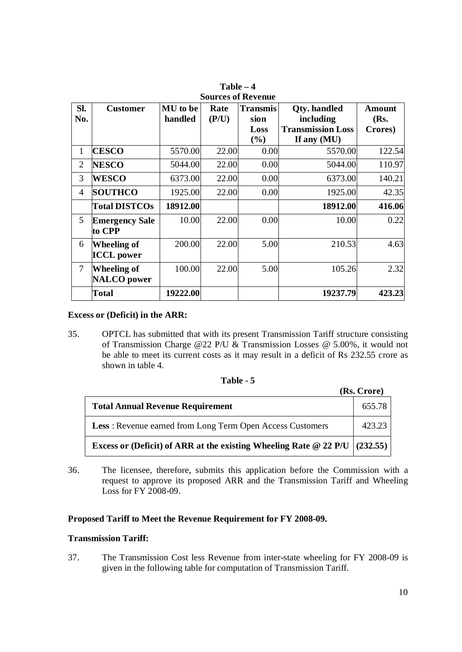|                |                                          |                            |               | <b>BULL COS OF INCRETIUS</b>    |                                                              |                           |
|----------------|------------------------------------------|----------------------------|---------------|---------------------------------|--------------------------------------------------------------|---------------------------|
| Sl.<br>No.     | <b>Customer</b>                          | <b>MU</b> to be<br>handled | Rate<br>(P/U) | <b>Transmis</b><br>sion<br>Loss | <b>Qty.</b> handled<br>including<br><b>Transmission Loss</b> | Amount<br>(Rs.<br>Crores) |
|                |                                          |                            |               | (%)                             | If any $(MU)$                                                |                           |
| 1              | <b>CESCO</b>                             | 5570.00                    | 22.00         | 0.00                            | 5570.00                                                      | 122.54                    |
| $\overline{2}$ | <b>NESCO</b>                             | 5044.00                    | 22.00         | 0.00                            | 5044.00                                                      | 110.97                    |
| 3              | <b>WESCO</b>                             | 6373.00                    | 22.00         | 0.00                            | 6373.00                                                      | 140.21                    |
| $\overline{4}$ | <b>SOUTHCO</b>                           | 1925.00                    | 22.00         | 0.00                            | 1925.00                                                      | 42.35                     |
|                | <b>Total DISTCOs</b>                     | 18912.00                   |               |                                 | 18912.00                                                     | 416.06                    |
| 5              | <b>Emergency Sale</b><br>to CPP          | 10.00                      | 22.00         | 0.00                            | 10.00                                                        | 0.22                      |
| 6              | Wheeling of<br><b>ICCL</b> power         | 200.00                     | 22.00         | 5.00                            | 210.53                                                       | 4.63                      |
| $\overline{7}$ | <b>Wheeling of</b><br><b>NALCO</b> power | 100.00                     | 22.00         | 5.00                            | 105.26                                                       | 2.32                      |
|                | Total                                    | 19222.00                   |               |                                 | 19237.79                                                     | 423.23                    |

**Table – 4 Sources of Revenue**

#### **Excess or (Deficit) in the ARR:**

35. OPTCL has submitted that with its present Transmission Tariff structure consisting of Transmission Charge @22 P/U & Transmission Losses @ 5.00%, it would not be able to meet its current costs as it may result in a deficit of Rs 232.55 crore as shown in table 4.

| `able |  |  |
|-------|--|--|
|-------|--|--|

| <b>Total Annual Revenue Requirement</b>                                      | 655.78 |
|------------------------------------------------------------------------------|--------|
| <b>Less:</b> Revenue earned from Long Term Open Access Customers             | 423.23 |
| Excess or (Deficit) of ARR at the existing Wheeling Rate @ 22 P/U $(232.55)$ |        |

36. The licensee, therefore, submits this application before the Commission with a request to approve its proposed ARR and the Transmission Tariff and Wheeling Loss for FY 2008-09.

#### **Proposed Tariff to Meet the Revenue Requirement for FY 2008-09.**

#### **Transmission Tariff:**

37. The Transmission Cost less Revenue from inter-state wheeling for FY 2008-09 is given in the following table for computation of Transmission Tariff.

**(Rs. Crore)**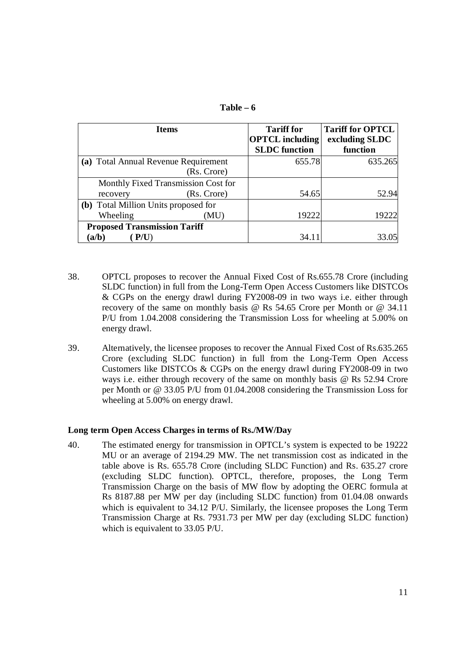| l`able | n |
|--------|---|
|--------|---|

|                                      | <b>Items</b>                         | <b>Tariff for</b>      | <b>Tariff for OPTCL</b> |
|--------------------------------------|--------------------------------------|------------------------|-------------------------|
|                                      |                                      | <b>OPTCL</b> including | excluding SLDC          |
|                                      |                                      | <b>SLDC</b> function   | function                |
|                                      | (a) Total Annual Revenue Requirement | 655.78                 | 635.265                 |
|                                      | (Rs. Crore)                          |                        |                         |
|                                      | Monthly Fixed Transmission Cost for  |                        |                         |
| recovery                             | (Rs. Crore)                          | 54.65                  | 52.94                   |
| (b) Total Million Units proposed for |                                      |                        |                         |
| Wheeling                             | (MU)                                 | 19222                  | 19222                   |
| <b>Proposed Transmission Tariff</b>  |                                      |                        |                         |
| (a/b)                                |                                      | 34.11                  |                         |

- 38. OPTCL proposes to recover the Annual Fixed Cost of Rs.655.78 Crore (including SLDC function) in full from the Long-Term Open Access Customers like DISTCOs & CGPs on the energy drawl during FY2008-09 in two ways i.e. either through recovery of the same on monthly basis @ Rs 54.65 Crore per Month or @ 34.11 P/U from 1.04.2008 considering the Transmission Loss for wheeling at 5.00% on energy drawl.
- 39. Alternatively, the licensee proposes to recover the Annual Fixed Cost of Rs.635.265 Crore (excluding SLDC function) in full from the Long-Term Open Access Customers like DISTCOs & CGPs on the energy drawl during FY2008-09 in two ways i.e. either through recovery of the same on monthly basis @ Rs 52.94 Crore per Month or @ 33.05 P/U from 01.04.2008 considering the Transmission Loss for wheeling at 5.00% on energy drawl.

#### **Long term Open Access Charges in terms of Rs./MW/Day**

40. The estimated energy for transmission in OPTCL's system is expected to be 19222 MU or an average of 2194.29 MW. The net transmission cost as indicated in the table above is Rs. 655.78 Crore (including SLDC Function) and Rs. 635.27 crore (excluding SLDC function). OPTCL, therefore, proposes, the Long Term Transmission Charge on the basis of MW flow by adopting the OERC formula at Rs 8187.88 per MW per day (including SLDC function) from 01.04.08 onwards which is equivalent to 34.12 P/U. Similarly, the licensee proposes the Long Term Transmission Charge at Rs. 7931.73 per MW per day (excluding SLDC function) which is equivalent to 33.05 P/U.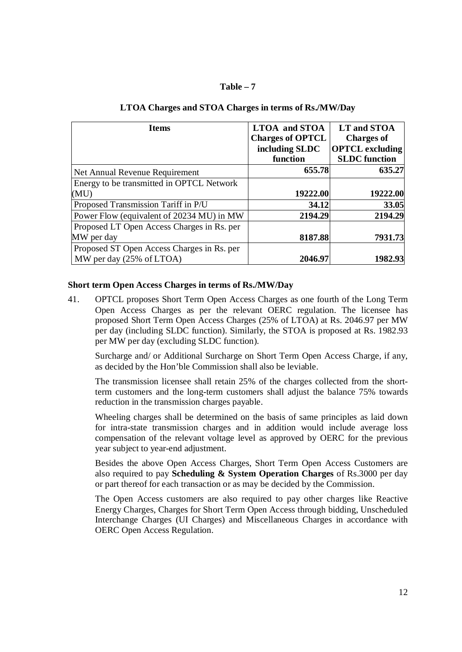#### **Table – 7**

| <b>Items</b>                               | <b>LTOA</b> and <b>STOA</b><br><b>Charges of OPTCL</b> | LT and STOA<br><b>Charges of</b>               |
|--------------------------------------------|--------------------------------------------------------|------------------------------------------------|
|                                            | including SLDC<br>function                             | <b>OPTCL</b> excluding<br><b>SLDC</b> function |
|                                            |                                                        |                                                |
| Net Annual Revenue Requirement             | 655.78                                                 | 635.27                                         |
| Energy to be transmitted in OPTCL Network  |                                                        |                                                |
| (MU)                                       | 19222.00                                               | 19222.00                                       |
| Proposed Transmission Tariff in P/U        | 34.12                                                  | 33.05                                          |
| Power Flow (equivalent of 20234 MU) in MW  | 2194.29                                                | 2194.29                                        |
| Proposed LT Open Access Charges in Rs. per |                                                        |                                                |
| MW per day                                 | 8187.88                                                | 7931.73                                        |
| Proposed ST Open Access Charges in Rs. per |                                                        |                                                |
| MW per day (25% of LTOA)                   | 2046.97                                                | 1982.93                                        |

# **LTOA Charges and STOA Charges in terms of Rs./MW/Day**

#### **Short term Open Access Charges in terms of Rs./MW/Day**

41. OPTCL proposes Short Term Open Access Charges as one fourth of the Long Term Open Access Charges as per the relevant OERC regulation. The licensee has proposed Short Term Open Access Charges (25% of LTOA) at Rs. 2046.97 per MW per day (including SLDC function). Similarly, the STOA is proposed at Rs. 1982.93 per MW per day (excluding SLDC function).

Surcharge and/ or Additional Surcharge on Short Term Open Access Charge, if any, as decided by the Hon'ble Commission shall also be leviable.

The transmission licensee shall retain 25% of the charges collected from the shortterm customers and the long-term customers shall adjust the balance 75% towards reduction in the transmission charges payable.

Wheeling charges shall be determined on the basis of same principles as laid down for intra-state transmission charges and in addition would include average loss compensation of the relevant voltage level as approved by OERC for the previous year subject to year-end adjustment.

Besides the above Open Access Charges, Short Term Open Access Customers are also required to pay **Scheduling & System Operation Charges** of Rs.3000 per day or part thereof for each transaction or as may be decided by the Commission.

The Open Access customers are also required to pay other charges like Reactive Energy Charges, Charges for Short Term Open Access through bidding, Unscheduled Interchange Charges (UI Charges) and Miscellaneous Charges in accordance with OERC Open Access Regulation.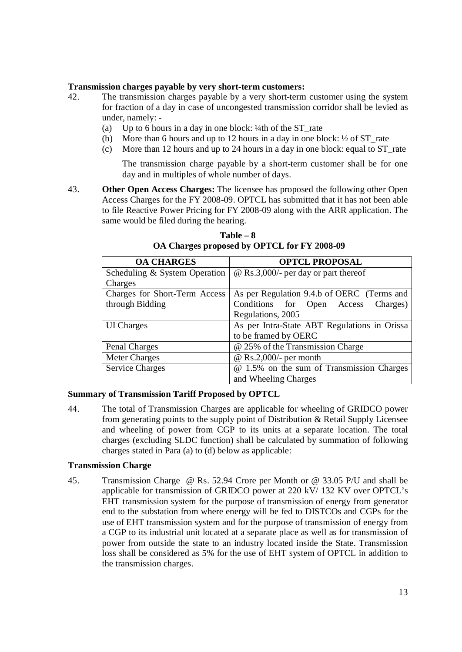#### **Transmission charges payable by very short-term customers:**

- 42. The transmission charges payable by a very short-term customer using the system for fraction of a day in case of uncongested transmission corridor shall be levied as under, namely: -
	- (a) Up to 6 hours in a day in one block: ¼th of the ST\_rate
	- (b) More than 6 hours and up to 12 hours in a day in one block:  $\frac{1}{2}$  of ST rate
	- (c) More than 12 hours and up to 24 hours in a day in one block: equal to ST\_rate

The transmission charge payable by a short-term customer shall be for one day and in multiples of whole number of days.

43. **Other Open Access Charges:** The licensee has proposed the following other Open Access Charges for the FY 2008-09. OPTCL has submitted that it has not been able to file Reactive Power Pricing for FY 2008-09 along with the ARR application. The same would be filed during the hearing.

| <b>OA CHARGES</b>             | <b>OPTCL PROPOSAL</b>                        |  |  |  |
|-------------------------------|----------------------------------------------|--|--|--|
| Scheduling & System Operation | $\omega$ Rs.3,000/- per day or part thereof  |  |  |  |
| Charges                       |                                              |  |  |  |
| Charges for Short-Term Access | As per Regulation 9.4.b of OERC (Terms and   |  |  |  |
| through Bidding               | Conditions for Open Access<br>Charges)       |  |  |  |
|                               | Regulations, 2005                            |  |  |  |
| <b>UI</b> Charges             | As per Intra-State ABT Regulations in Orissa |  |  |  |
|                               | to be framed by OERC                         |  |  |  |
| Penal Charges                 | @ 25% of the Transmission Charge             |  |  |  |
| <b>Meter Charges</b>          | $@$ Rs.2,000/- per month                     |  |  |  |
| <b>Service Charges</b>        | @ 1.5% on the sum of Transmission Charges    |  |  |  |
|                               | and Wheeling Charges                         |  |  |  |

 $Table - 8$ **OA Charges proposed by OPTCL for FY 2008-09**

#### **Summary of Transmission Tariff Proposed by OPTCL**

44. The total of Transmission Charges are applicable for wheeling of GRIDCO power from generating points to the supply point of Distribution & Retail Supply Licensee and wheeling of power from CGP to its units at a separate location. The total charges (excluding SLDC function) shall be calculated by summation of following charges stated in Para (a) to (d) below as applicable:

#### **Transmission Charge**

45. Transmission Charge @ Rs. 52.94 Crore per Month or @ 33.05 P/U and shall be applicable for transmission of GRIDCO power at 220 kV/ 132 KV over OPTCL's EHT transmission system for the purpose of transmission of energy from generator end to the substation from where energy will be fed to DISTCOs and CGPs for the use of EHT transmission system and for the purpose of transmission of energy from a CGP to its industrial unit located at a separate place as well as for transmission of power from outside the state to an industry located inside the State. Transmission loss shall be considered as 5% for the use of EHT system of OPTCL in addition to the transmission charges.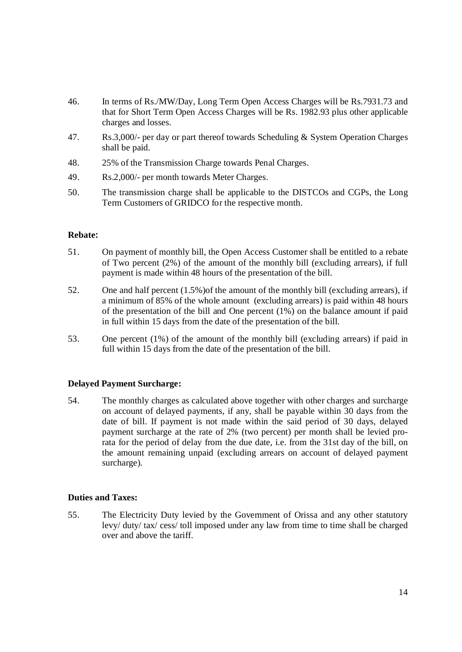- 46. In terms of Rs./MW/Day, Long Term Open Access Charges will be Rs.7931.73 and that for Short Term Open Access Charges will be Rs. 1982.93 plus other applicable charges and losses.
- 47. Rs.3,000/- per day or part thereof towards Scheduling & System Operation Charges shall be paid.
- 48. 25% of the Transmission Charge towards Penal Charges.
- 49. Rs.2,000/- per month towards Meter Charges.
- 50. The transmission charge shall be applicable to the DISTCOs and CGPs, the Long Term Customers of GRIDCO for the respective month.

#### **Rebate:**

- 51. On payment of monthly bill, the Open Access Customer shall be entitled to a rebate of Two percent (2%) of the amount of the monthly bill (excluding arrears), if full payment is made within 48 hours of the presentation of the bill.
- 52. One and half percent (1.5%)of the amount of the monthly bill (excluding arrears), if a minimum of 85% of the whole amount (excluding arrears) is paid within 48 hours of the presentation of the bill and One percent (1%) on the balance amount if paid in full within 15 days from the date of the presentation of the bill.
- 53. One percent (1%) of the amount of the monthly bill (excluding arrears) if paid in full within 15 days from the date of the presentation of the bill.

#### **Delayed Payment Surcharge:**

54. The monthly charges as calculated above together with other charges and surcharge on account of delayed payments, if any, shall be payable within 30 days from the date of bill. If payment is not made within the said period of 30 days, delayed payment surcharge at the rate of 2% (two percent) per month shall be levied prorata for the period of delay from the due date, i.e. from the 31st day of the bill, on the amount remaining unpaid (excluding arrears on account of delayed payment surcharge).

#### **Duties and Taxes:**

55. The Electricity Duty levied by the Government of Orissa and any other statutory levy/ duty/ tax/ cess/ toll imposed under any law from time to time shall be charged over and above the tariff.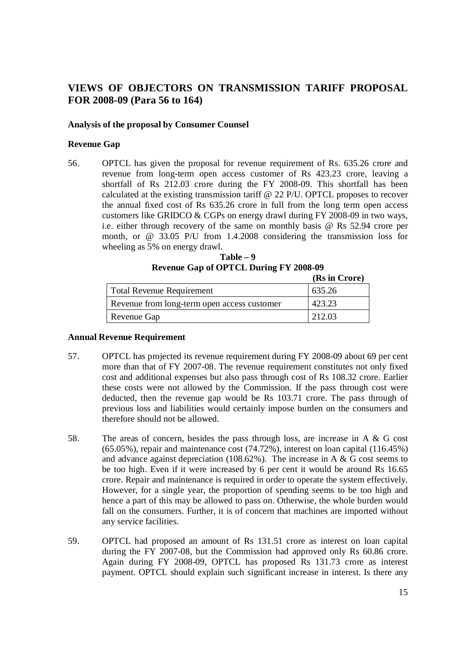# **VIEWS OF OBJECTORS ON TRANSMISSION TARIFF PROPOSAL FOR 2008-09 (Para 56 to 164)**

#### **Analysis of the proposal by Consumer Counsel**

#### **Revenue Gap**

56. OPTCL has given the proposal for revenue requirement of Rs. 635.26 crore and revenue from long-term open access customer of Rs 423.23 crore, leaving a shortfall of Rs 212.03 crore during the FY 2008-09. This shortfall has been calculated at the existing transmission tariff @ 22 P/U. OPTCL proposes to recover the annual fixed cost of Rs 635.26 crore in full from the long term open access customers like GRIDCO & CGPs on energy drawl during FY 2008-09 in two ways, i.e. either through recovery of the same on monthly basis @ Rs 52.94 crore per month, or @ 33.05 P/U from 1.4.2008 considering the transmission loss for wheeling as 5% on energy drawl.

| $Table - 9$                                   |
|-----------------------------------------------|
| <b>Revenue Gap of OPTCL During FY 2008-09</b> |
| $\sum_{i=1}^{n}$                              |

|                                             | (KS in Crore) |
|---------------------------------------------|---------------|
| <b>Total Revenue Requirement</b>            | 635.26        |
| Revenue from long-term open access customer | 423.23        |
| Revenue Gap                                 | 212.03        |

#### **Annual Revenue Requirement**

- 57. OPTCL has projected its revenue requirement during FY 2008-09 about 69 per cent more than that of FY 2007-08. The revenue requirement constitutes not only fixed cost and additional expenses but also pass through cost of Rs 108.32 crore. Earlier these costs were not allowed by the Commission. If the pass through cost were deducted, then the revenue gap would be Rs 103.71 crore. The pass through of previous loss and liabilities would certainly impose burden on the consumers and therefore should not be allowed.
- 58. The areas of concern, besides the pass through loss, are increase in A & G cost (65.05%), repair and maintenance cost (74.72%), interest on loan capital (116.45%) and advance against depreciation (108.62%). The increase in A & G cost seems to be too high. Even if it were increased by 6 per cent it would be around Rs 16.65 crore. Repair and maintenance is required in order to operate the system effectively. However, for a single year, the proportion of spending seems to be too high and hence a part of this may be allowed to pass on. Otherwise, the whole burden would fall on the consumers. Further, it is of concern that machines are imported without any service facilities.
- 59. OPTCL had proposed an amount of Rs 131.51 crore as interest on loan capital during the FY 2007-08, but the Commission had approved only Rs 60.86 crore. Again during FY 2008-09, OPTCL has proposed Rs 131.73 crore as interest payment. OPTCL should explain such significant increase in interest. Is there any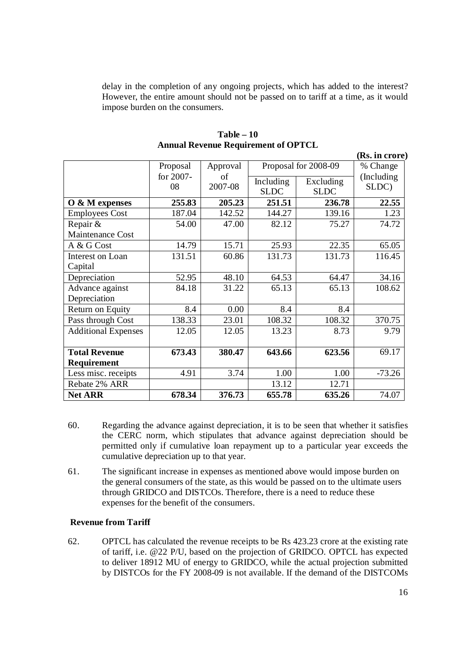delay in the completion of any ongoing projects, which has added to the interest? However, the entire amount should not be passed on to tariff at a time, as it would impose burden on the consumers.

|                            |                 |               |                          |                          | (Rs. in crore)       |
|----------------------------|-----------------|---------------|--------------------------|--------------------------|----------------------|
|                            | Proposal        | Approval      | Proposal for 2008-09     |                          | % Change             |
|                            | for 2007-<br>08 | of<br>2007-08 | Including<br><b>SLDC</b> | Excluding<br><b>SLDC</b> | (Including)<br>SLDC) |
| O & M expenses             | 255.83          | 205.23        | 251.51                   | 236.78                   | 22.55                |
| <b>Employees Cost</b>      | 187.04          | 142.52        | 144.27                   | 139.16                   | 1.23                 |
| Repair &                   | 54.00           | 47.00         | 82.12                    | 75.27                    | 74.72                |
| <b>Maintenance Cost</b>    |                 |               |                          |                          |                      |
| A & G Cost                 | 14.79           | 15.71         | 25.93                    | 22.35                    | 65.05                |
| Interest on Loan           | 131.51          | 60.86         | 131.73                   | 131.73                   | 116.45               |
| Capital                    |                 |               |                          |                          |                      |
| Depreciation               | 52.95           | 48.10         | 64.53                    | 64.47                    | 34.16                |
| Advance against            | 84.18           | 31.22         | 65.13                    | 65.13                    | 108.62               |
| Depreciation               |                 |               |                          |                          |                      |
| Return on Equity           | 8.4             | 0.00          | 8.4                      | 8.4                      |                      |
| Pass through Cost          | 138.33          | 23.01         | 108.32                   | 108.32                   | 370.75               |
| <b>Additional Expenses</b> | 12.05           | 12.05         | 13.23                    | 8.73                     | 9.79                 |
|                            |                 |               |                          |                          |                      |
| <b>Total Revenue</b>       | 673.43          | 380.47        | 643.66                   | 623.56                   | 69.17                |
| Requirement                |                 |               |                          |                          |                      |
| Less misc. receipts        | 4.91            | 3.74          | 1.00                     | 1.00                     | $-73.26$             |
| Rebate 2% ARR              |                 |               | 13.12                    | 12.71                    |                      |
| <b>Net ARR</b>             | 678.34          | 376.73        | 655.78                   | 635.26                   | 74.07                |

**Table – 10 Annual Revenue Requirement of OPTCL**

- 60. Regarding the advance against depreciation, it is to be seen that whether it satisfies the CERC norm, which stipulates that advance against depreciation should be permitted only if cumulative loan repayment up to a particular year exceeds the cumulative depreciation up to that year.
- 61. The significant increase in expenses as mentioned above would impose burden on the general consumers of the state, as this would be passed on to the ultimate users through GRIDCO and DISTCOs. Therefore, there is a need to reduce these expenses for the benefit of the consumers.

# **Revenue from Tariff**

62. OPTCL has calculated the revenue receipts to be Rs 423.23 crore at the existing rate of tariff, i.e. @22 P/U, based on the projection of GRIDCO. OPTCL has expected to deliver 18912 MU of energy to GRIDCO, while the actual projection submitted by DISTCOs for the FY 2008-09 is not available. If the demand of the DISTCOMs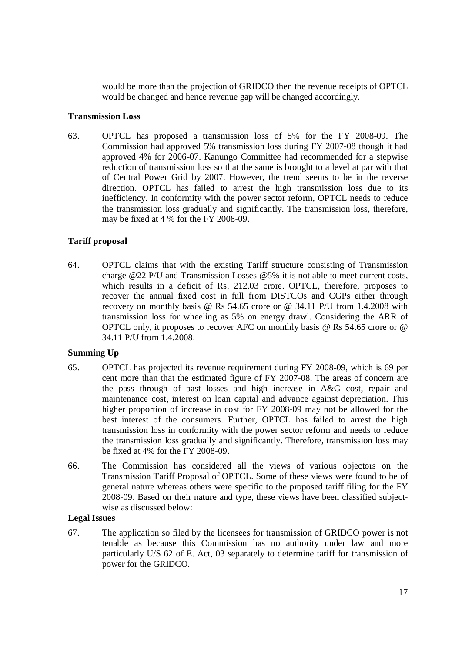would be more than the projection of GRIDCO then the revenue receipts of OPTCL would be changed and hence revenue gap will be changed accordingly.

### **Transmission Loss**

63. OPTCL has proposed a transmission loss of 5% for the FY 2008-09. The Commission had approved 5% transmission loss during FY 2007-08 though it had approved 4% for 2006-07. Kanungo Committee had recommended for a stepwise reduction of transmission loss so that the same is brought to a level at par with that of Central Power Grid by 2007. However, the trend seems to be in the reverse direction. OPTCL has failed to arrest the high transmission loss due to its inefficiency. In conformity with the power sector reform, OPTCL needs to reduce the transmission loss gradually and significantly. The transmission loss, therefore, may be fixed at 4 % for the FY 2008-09.

# **Tariff proposal**

64. OPTCL claims that with the existing Tariff structure consisting of Transmission charge @22 P/U and Transmission Losses @5% it is not able to meet current costs, which results in a deficit of Rs. 212.03 crore. OPTCL, therefore, proposes to recover the annual fixed cost in full from DISTCOs and CGPs either through recovery on monthly basis @ Rs 54.65 crore or @ 34.11 P/U from 1.4.2008 with transmission loss for wheeling as 5% on energy drawl. Considering the ARR of OPTCL only, it proposes to recover AFC on monthly basis @ Rs 54.65 crore or @ 34.11 P/U from 1.4.2008.

## **Summing Up**

- 65. OPTCL has projected its revenue requirement during FY 2008-09, which is 69 per cent more than that the estimated figure of FY 2007-08. The areas of concern are the pass through of past losses and high increase in A&G cost, repair and maintenance cost, interest on loan capital and advance against depreciation. This higher proportion of increase in cost for FY 2008-09 may not be allowed for the best interest of the consumers. Further, OPTCL has failed to arrest the high transmission loss in conformity with the power sector reform and needs to reduce the transmission loss gradually and significantly. Therefore, transmission loss may be fixed at 4% for the FY 2008-09.
- 66. The Commission has considered all the views of various objectors on the Transmission Tariff Proposal of OPTCL. Some of these views were found to be of general nature whereas others were specific to the proposed tariff filing for the FY 2008-09. Based on their nature and type, these views have been classified subjectwise as discussed below:

## **Legal Issues**

67. The application so filed by the licensees for transmission of GRIDCO power is not tenable as because this Commission has no authority under law and more particularly U/S 62 of E. Act, 03 separately to determine tariff for transmission of power for the GRIDCO.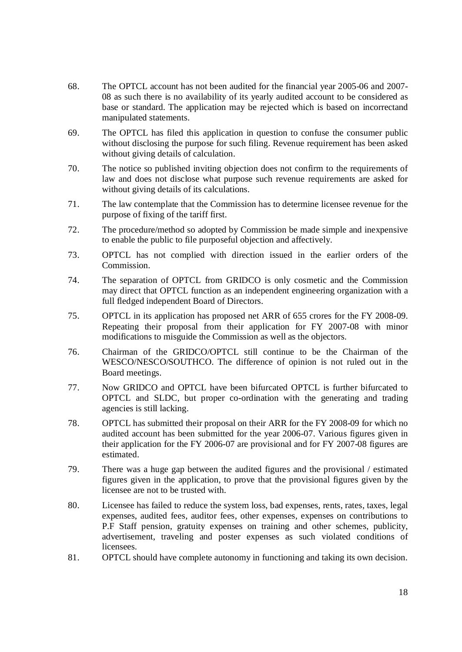- 68. The OPTCL account has not been audited for the financial year 2005-06 and 2007- 08 as such there is no availability of its yearly audited account to be considered as base or standard. The application may be rejected which is based on incorrectand manipulated statements.
- 69. The OPTCL has filed this application in question to confuse the consumer public without disclosing the purpose for such filing. Revenue requirement has been asked without giving details of calculation.
- 70. The notice so published inviting objection does not confirm to the requirements of law and does not disclose what purpose such revenue requirements are asked for without giving details of its calculations.
- 71. The law contemplate that the Commission has to determine licensee revenue for the purpose of fixing of the tariff first.
- 72. The procedure/method so adopted by Commission be made simple and inexpensive to enable the public to file purposeful objection and affectively.
- 73. OPTCL has not complied with direction issued in the earlier orders of the Commission.
- 74. The separation of OPTCL from GRIDCO is only cosmetic and the Commission may direct that OPTCL function as an independent engineering organization with a full fledged independent Board of Directors.
- 75. OPTCL in its application has proposed net ARR of 655 crores for the FY 2008-09. Repeating their proposal from their application for FY 2007-08 with minor modifications to misguide the Commission as well as the objectors.
- 76. Chairman of the GRIDCO/OPTCL still continue to be the Chairman of the WESCO/NESCO/SOUTHCO. The difference of opinion is not ruled out in the Board meetings.
- 77. Now GRIDCO and OPTCL have been bifurcated OPTCL is further bifurcated to OPTCL and SLDC, but proper co-ordination with the generating and trading agencies is still lacking.
- 78. OPTCL has submitted their proposal on their ARR for the FY 2008-09 for which no audited account has been submitted for the year 2006-07. Various figures given in their application for the FY 2006-07 are provisional and for FY 2007-08 figures are estimated.
- 79. There was a huge gap between the audited figures and the provisional / estimated figures given in the application, to prove that the provisional figures given by the licensee are not to be trusted with.
- 80. Licensee has failed to reduce the system loss, bad expenses, rents, rates, taxes, legal expenses, audited fees, auditor fees, other expenses, expenses on contributions to P.F Staff pension, gratuity expenses on training and other schemes, publicity, advertisement, traveling and poster expenses as such violated conditions of licensees.
- 81. OPTCL should have complete autonomy in functioning and taking its own decision.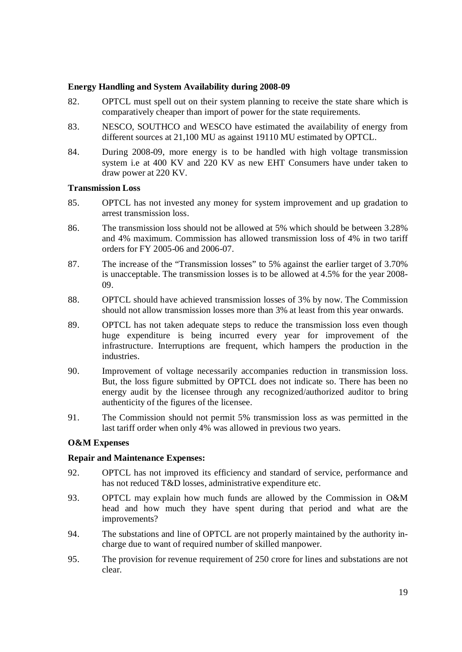### **Energy Handling and System Availability during 2008-09**

- 82. OPTCL must spell out on their system planning to receive the state share which is comparatively cheaper than import of power for the state requirements.
- 83. NESCO, SOUTHCO and WESCO have estimated the availability of energy from different sources at 21,100 MU as against 19110 MU estimated by OPTCL.
- 84. During 2008-09, more energy is to be handled with high voltage transmission system i.e at 400 KV and 220 KV as new EHT Consumers have under taken to draw power at 220 KV.

#### **Transmission Loss**

- 85. OPTCL has not invested any money for system improvement and up gradation to arrest transmission loss.
- 86. The transmission loss should not be allowed at 5% which should be between 3.28% and 4% maximum. Commission has allowed transmission loss of 4% in two tariff orders for FY 2005-06 and 2006-07.
- 87. The increase of the "Transmission losses" to 5% against the earlier target of 3.70% is unacceptable. The transmission losses is to be allowed at 4.5% for the year 2008- 09.
- 88. OPTCL should have achieved transmission losses of 3% by now. The Commission should not allow transmission losses more than 3% at least from this year onwards.
- 89. OPTCL has not taken adequate steps to reduce the transmission loss even though huge expenditure is being incurred every year for improvement of the infrastructure. Interruptions are frequent, which hampers the production in the industries.
- 90. Improvement of voltage necessarily accompanies reduction in transmission loss. But, the loss figure submitted by OPTCL does not indicate so. There has been no energy audit by the licensee through any recognized/authorized auditor to bring authenticity of the figures of the licensee.
- 91. The Commission should not permit 5% transmission loss as was permitted in the last tariff order when only 4% was allowed in previous two years.

## **O&M Expenses**

## **Repair and Maintenance Expenses:**

- 92. OPTCL has not improved its efficiency and standard of service, performance and has not reduced T&D losses, administrative expenditure etc.
- 93. OPTCL may explain how much funds are allowed by the Commission in O&M head and how much they have spent during that period and what are the improvements?
- 94. The substations and line of OPTCL are not properly maintained by the authority incharge due to want of required number of skilled manpower.
- 95. The provision for revenue requirement of 250 crore for lines and substations are not clear.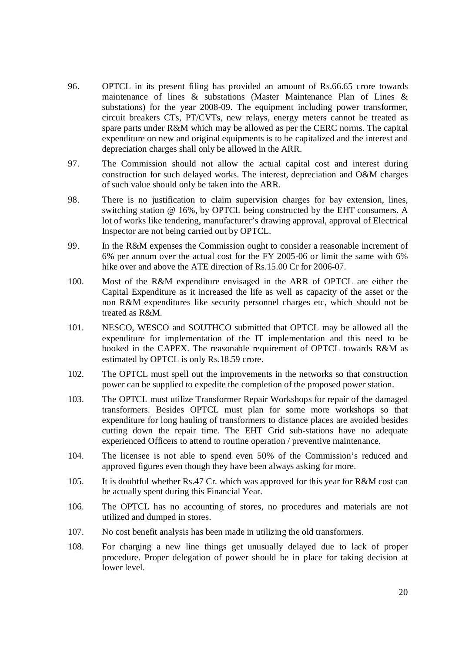- 96. OPTCL in its present filing has provided an amount of Rs.66.65 crore towards maintenance of lines & substations (Master Maintenance Plan of Lines & substations) for the year 2008-09. The equipment including power transformer, circuit breakers CTs, PT/CVTs, new relays, energy meters cannot be treated as spare parts under R&M which may be allowed as per the CERC norms. The capital expenditure on new and original equipments is to be capitalized and the interest and depreciation charges shall only be allowed in the ARR.
- 97. The Commission should not allow the actual capital cost and interest during construction for such delayed works. The interest, depreciation and O&M charges of such value should only be taken into the ARR.
- 98. There is no justification to claim supervision charges for bay extension, lines, switching station @ 16%, by OPTCL being constructed by the EHT consumers. A lot of works like tendering, manufacturer's drawing approval, approval of Electrical Inspector are not being carried out by OPTCL.
- 99. In the R&M expenses the Commission ought to consider a reasonable increment of 6% per annum over the actual cost for the FY 2005-06 or limit the same with 6% hike over and above the ATE direction of Rs.15.00 Cr for 2006-07.
- 100. Most of the R&M expenditure envisaged in the ARR of OPTCL are either the Capital Expenditure as it increased the life as well as capacity of the asset or the non R&M expenditures like security personnel charges etc, which should not be treated as R&M.
- 101. NESCO, WESCO and SOUTHCO submitted that OPTCL may be allowed all the expenditure for implementation of the IT implementation and this need to be booked in the CAPEX. The reasonable requirement of OPTCL towards R&M as estimated by OPTCL is only Rs.18.59 crore.
- 102. The OPTCL must spell out the improvements in the networks so that construction power can be supplied to expedite the completion of the proposed power station.
- 103. The OPTCL must utilize Transformer Repair Workshops for repair of the damaged transformers. Besides OPTCL must plan for some more workshops so that expenditure for long hauling of transformers to distance places are avoided besides cutting down the repair time. The EHT Grid sub-stations have no adequate experienced Officers to attend to routine operation / preventive maintenance.
- 104. The licensee is not able to spend even 50% of the Commission's reduced and approved figures even though they have been always asking for more.
- 105. It is doubtful whether Rs.47 Cr. which was approved for this year for R&M cost can be actually spent during this Financial Year.
- 106. The OPTCL has no accounting of stores, no procedures and materials are not utilized and dumped in stores.
- 107. No cost benefit analysis has been made in utilizing the old transformers.
- 108. For charging a new line things get unusually delayed due to lack of proper procedure. Proper delegation of power should be in place for taking decision at lower level.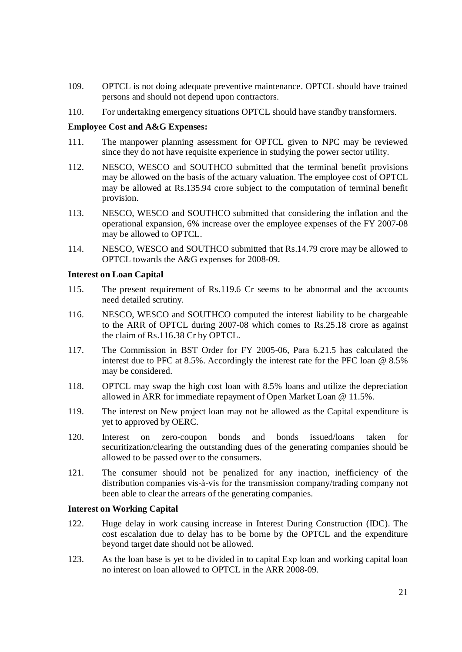- 109. OPTCL is not doing adequate preventive maintenance. OPTCL should have trained persons and should not depend upon contractors.
- 110. For undertaking emergency situations OPTCL should have standby transformers.

#### **Employee Cost and A&G Expenses:**

- 111. The manpower planning assessment for OPTCL given to NPC may be reviewed since they do not have requisite experience in studying the power sector utility.
- 112. NESCO, WESCO and SOUTHCO submitted that the terminal benefit provisions may be allowed on the basis of the actuary valuation. The employee cost of OPTCL may be allowed at Rs.135.94 crore subject to the computation of terminal benefit provision.
- 113. NESCO, WESCO and SOUTHCO submitted that considering the inflation and the operational expansion, 6% increase over the employee expenses of the FY 2007-08 may be allowed to OPTCL.
- 114. NESCO, WESCO and SOUTHCO submitted that Rs.14.79 crore may be allowed to OPTCL towards the A&G expenses for 2008-09.

#### **Interest on Loan Capital**

- 115. The present requirement of Rs.119.6 Cr seems to be abnormal and the accounts need detailed scrutiny.
- 116. NESCO, WESCO and SOUTHCO computed the interest liability to be chargeable to the ARR of OPTCL during 2007-08 which comes to Rs.25.18 crore as against the claim of Rs.116.38 Cr by OPTCL.
- 117. The Commission in BST Order for FY 2005-06, Para 6.21.5 has calculated the interest due to PFC at 8.5%. Accordingly the interest rate for the PFC loan @ 8.5% may be considered.
- 118. OPTCL may swap the high cost loan with 8.5% loans and utilize the depreciation allowed in ARR for immediate repayment of Open Market Loan @ 11.5%.
- 119. The interest on New project loan may not be allowed as the Capital expenditure is yet to approved by OERC.
- 120. Interest on zero-coupon bonds and bonds issued/loans taken for securitization/clearing the outstanding dues of the generating companies should be allowed to be passed over to the consumers.
- 121. The consumer should not be penalized for any inaction, inefficiency of the distribution companies vis-à-vis for the transmission company/trading company not been able to clear the arrears of the generating companies.

#### **Interest on Working Capital**

- 122. Huge delay in work causing increase in Interest During Construction (IDC). The cost escalation due to delay has to be borne by the OPTCL and the expenditure beyond target date should not be allowed.
- 123. As the loan base is yet to be divided in to capital Exp loan and working capital loan no interest on loan allowed to OPTCL in the ARR 2008-09.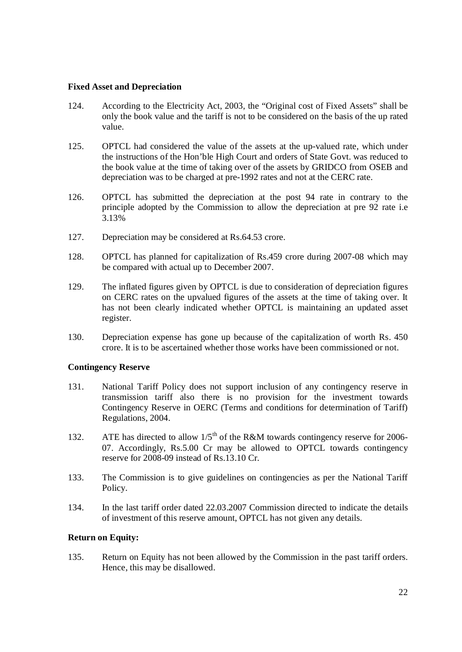#### **Fixed Asset and Depreciation**

- 124. According to the Electricity Act, 2003, the "Original cost of Fixed Assets" shall be only the book value and the tariff is not to be considered on the basis of the up rated value.
- 125. OPTCL had considered the value of the assets at the up-valued rate, which under the instructions of the Hon'ble High Court and orders of State Govt. was reduced to the book value at the time of taking over of the assets by GRIDCO from OSEB and depreciation was to be charged at pre-1992 rates and not at the CERC rate.
- 126. OPTCL has submitted the depreciation at the post 94 rate in contrary to the principle adopted by the Commission to allow the depreciation at pre 92 rate i.e 3.13%
- 127. Depreciation may be considered at Rs.64.53 crore.
- 128. OPTCL has planned for capitalization of Rs.459 crore during 2007-08 which may be compared with actual up to December 2007.
- 129. The inflated figures given by OPTCL is due to consideration of depreciation figures on CERC rates on the upvalued figures of the assets at the time of taking over. It has not been clearly indicated whether OPTCL is maintaining an updated asset register.
- 130. Depreciation expense has gone up because of the capitalization of worth Rs. 450 crore. It is to be ascertained whether those works have been commissioned or not.

#### **Contingency Reserve**

- 131. National Tariff Policy does not support inclusion of any contingency reserve in transmission tariff also there is no provision for the investment towards Contingency Reserve in OERC (Terms and conditions for determination of Tariff) Regulations, 2004.
- 132. ATE has directed to allow  $1/5<sup>th</sup>$  of the R&M towards contingency reserve for 2006-07. Accordingly, Rs.5.00 Cr may be allowed to OPTCL towards contingency reserve for 2008-09 instead of Rs.13.10 Cr.
- 133. The Commission is to give guidelines on contingencies as per the National Tariff Policy.
- 134. In the last tariff order dated 22.03.2007 Commission directed to indicate the details of investment of this reserve amount, OPTCL has not given any details.

## **Return on Equity:**

135. Return on Equity has not been allowed by the Commission in the past tariff orders. Hence, this may be disallowed.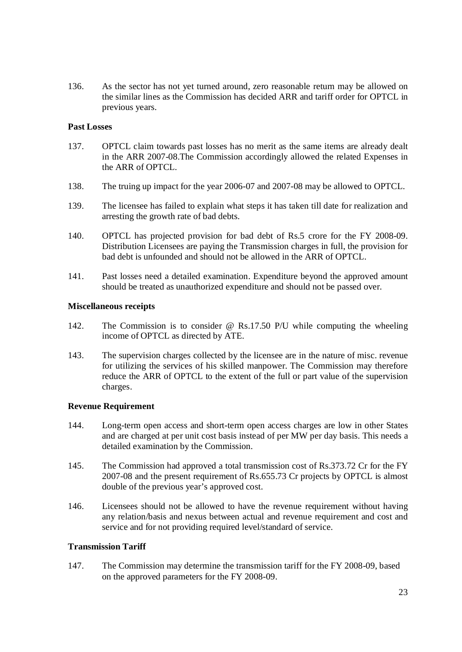136. As the sector has not yet turned around, zero reasonable return may be allowed on the similar lines as the Commission has decided ARR and tariff order for OPTCL in previous years.

#### **Past Losses**

- 137. OPTCL claim towards past losses has no merit as the same items are already dealt in the ARR 2007-08.The Commission accordingly allowed the related Expenses in the ARR of OPTCL.
- 138. The truing up impact for the year 2006-07 and 2007-08 may be allowed to OPTCL.
- 139. The licensee has failed to explain what steps it has taken till date for realization and arresting the growth rate of bad debts.
- 140. OPTCL has projected provision for bad debt of Rs.5 crore for the FY 2008-09. Distribution Licensees are paying the Transmission charges in full, the provision for bad debt is unfounded and should not be allowed in the ARR of OPTCL.
- 141. Past losses need a detailed examination. Expenditure beyond the approved amount should be treated as unauthorized expenditure and should not be passed over.

#### **Miscellaneous receipts**

- 142. The Commission is to consider @ Rs.17.50 P/U while computing the wheeling income of OPTCL as directed by ATE.
- 143. The supervision charges collected by the licensee are in the nature of misc. revenue for utilizing the services of his skilled manpower. The Commission may therefore reduce the ARR of OPTCL to the extent of the full or part value of the supervision charges.

## **Revenue Requirement**

- 144. Long-term open access and short-term open access charges are low in other States and are charged at per unit cost basis instead of per MW per day basis. This needs a detailed examination by the Commission.
- 145. The Commission had approved a total transmission cost of Rs.373.72 Cr for the FY 2007-08 and the present requirement of Rs.655.73 Cr projects by OPTCL is almost double of the previous year's approved cost.
- 146. Licensees should not be allowed to have the revenue requirement without having any relation/basis and nexus between actual and revenue requirement and cost and service and for not providing required level/standard of service.

#### **Transmission Tariff**

147. The Commission may determine the transmission tariff for the FY 2008-09, based on the approved parameters for the FY 2008-09.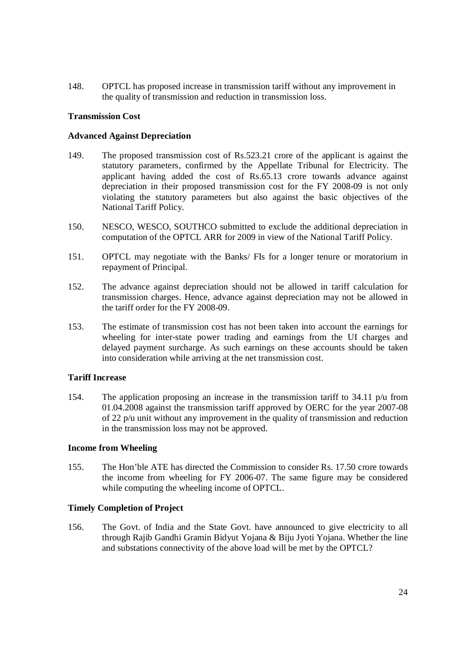148. OPTCL has proposed increase in transmission tariff without any improvement in the quality of transmission and reduction in transmission loss.

#### **Transmission Cost**

#### **Advanced Against Depreciation**

- 149. The proposed transmission cost of Rs.523.21 crore of the applicant is against the statutory parameters, confirmed by the Appellate Tribunal for Electricity. The applicant having added the cost of Rs.65.13 crore towards advance against depreciation in their proposed transmission cost for the FY 2008-09 is not only violating the statutory parameters but also against the basic objectives of the National Tariff Policy.
- 150. NESCO, WESCO, SOUTHCO submitted to exclude the additional depreciation in computation of the OPTCL ARR for 2009 in view of the National Tariff Policy.
- 151. OPTCL may negotiate with the Banks/ FIs for a longer tenure or moratorium in repayment of Principal.
- 152. The advance against depreciation should not be allowed in tariff calculation for transmission charges. Hence, advance against depreciation may not be allowed in the tariff order for the FY 2008-09.
- 153. The estimate of transmission cost has not been taken into account the earnings for wheeling for inter-state power trading and earnings from the UI charges and delayed payment surcharge. As such earnings on these accounts should be taken into consideration while arriving at the net transmission cost.

#### **Tariff Increase**

154. The application proposing an increase in the transmission tariff to 34.11 p/u from 01.04.2008 against the transmission tariff approved by OERC for the year 2007-08 of 22 p/u unit without any improvement in the quality of transmission and reduction in the transmission loss may not be approved.

#### **Income from Wheeling**

155. The Hon'ble ATE has directed the Commission to consider Rs. 17.50 crore towards the income from wheeling for FY 2006-07. The same figure may be considered while computing the wheeling income of OPTCL.

## **Timely Completion of Project**

156. The Govt. of India and the State Govt. have announced to give electricity to all through Rajib Gandhi Gramin Bidyut Yojana & Biju Jyoti Yojana. Whether the line and substations connectivity of the above load will be met by the OPTCL?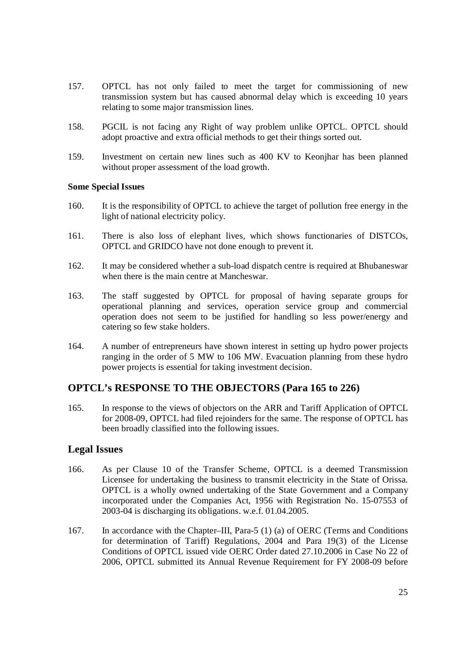- 157. OPTCL has not only failed to meet the target for commissioning of new transmission system but has caused abnormal delay which is exceeding 10 years relating to some major transmission lines.
- 158. PGCIL is not facing any Right of way problem unlike OPTCL. OPTCL should adopt proactive and extra official methods to get their things sorted out.
- 159. Investment on certain new lines such as 400 KV to Keonjhar has been planned without proper assessment of the load growth.

#### **Some Special Issues**

- 160. It is the responsibility of OPTCL to achieve the target of pollution free energy in the light of national electricity policy.
- 161. There is also loss of elephant lives, which shows functionaries of DISTCOs, OPTCL and GRIDCO have not done enough to prevent it.
- 162. It may be considered whether a sub-load dispatch centre is required at Bhubaneswar when there is the main centre at Mancheswar.
- 163. The staff suggested by OPTCL for proposal of having separate groups for operational planning and services, operation service group and commercial operation does not seem to be justified for handling so less power/energy and catering so few stake holders.
- 164. A number of entrepreneurs have shown interest in setting up hydro power projects ranging in the order of 5 MW to 106 MW. Evacuation planning from these hydro power projects is essential for taking investment decision.

# **OPTCL's RESPONSE TO THE OBJECTORS (Para 165 to 226)**

165. In response to the views of objectors on the ARR and Tariff Application of OPTCL for 2008-09, OPTCL had filed rejoinders for the same. The response of OPTCL has been broadly classified into the following issues.

# **Legal Issues**

- 166. As per Clause 10 of the Transfer Scheme, OPTCL is a deemed Transmission Licensee for undertaking the business to transmit electricity in the State of Orissa. OPTCL is a wholly owned undertaking of the State Government and a Company incorporated under the Companies Act, 1956 with Registration No. 15-07553 of 2003-04 is discharging its obligations. w.e.f. 01.04.2005.
- 167. In accordance with the Chapter–III, Para-5 (1) (a) of OERC (Terms and Conditions for determination of Tariff) Regulations, 2004 and Para 19(3) of the License Conditions of OPTCL issued vide OERC Order dated 27.10.2006 in Case No 22 of 2006, OPTCL submitted its Annual Revenue Requirement for FY 2008-09 before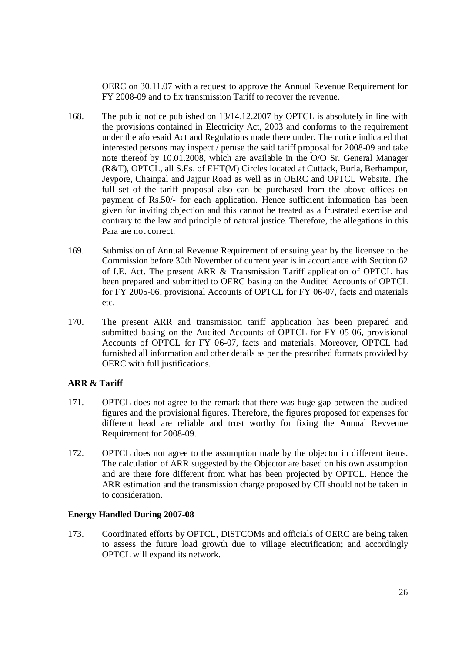OERC on 30.11.07 with a request to approve the Annual Revenue Requirement for FY 2008-09 and to fix transmission Tariff to recover the revenue.

- 168. The public notice published on 13/14.12.2007 by OPTCL is absolutely in line with the provisions contained in Electricity Act, 2003 and conforms to the requirement under the aforesaid Act and Regulations made there under. The notice indicated that interested persons may inspect / peruse the said tariff proposal for 2008-09 and take note thereof by 10.01.2008, which are available in the O/O Sr. General Manager (R&T), OPTCL, all S.Es. of EHT(M) Circles located at Cuttack, Burla, Berhampur, Jeypore, Chainpal and Jajpur Road as well as in OERC and OPTCL Website. The full set of the tariff proposal also can be purchased from the above offices on payment of Rs.50/- for each application. Hence sufficient information has been given for inviting objection and this cannot be treated as a frustrated exercise and contrary to the law and principle of natural justice. Therefore, the allegations in this Para are not correct.
- 169. Submission of Annual Revenue Requirement of ensuing year by the licensee to the Commission before 30th November of current year is in accordance with Section 62 of I.E. Act. The present ARR & Transmission Tariff application of OPTCL has been prepared and submitted to OERC basing on the Audited Accounts of OPTCL for FY 2005-06, provisional Accounts of OPTCL for FY 06-07, facts and materials etc.
- 170. The present ARR and transmission tariff application has been prepared and submitted basing on the Audited Accounts of OPTCL for FY 05-06, provisional Accounts of OPTCL for FY 06-07, facts and materials. Moreover, OPTCL had furnished all information and other details as per the prescribed formats provided by OERC with full justifications.

## **ARR & Tariff**

- 171. OPTCL does not agree to the remark that there was huge gap between the audited figures and the provisional figures. Therefore, the figures proposed for expenses for different head are reliable and trust worthy for fixing the Annual Revvenue Requirement for 2008-09.
- 172. OPTCL does not agree to the assumption made by the objector in different items. The calculation of ARR suggested by the Objector are based on his own assumption and are there fore different from what has been projected by OPTCL. Hence the ARR estimation and the transmission charge proposed by CII should not be taken in to consideration.

## **Energy Handled During 2007-08**

173. Coordinated efforts by OPTCL, DISTCOMs and officials of OERC are being taken to assess the future load growth due to village electrification; and accordingly OPTCL will expand its network.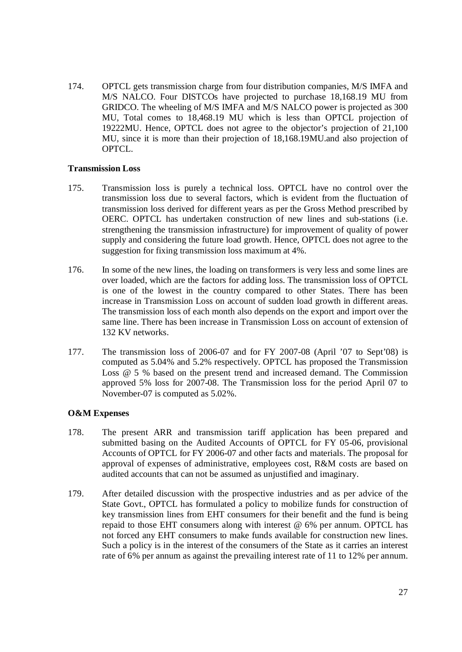174. OPTCL gets transmission charge from four distribution companies, M/S IMFA and M/S NALCO. Four DISTCOs have projected to purchase 18,168.19 MU from GRIDCO. The wheeling of M/S IMFA and M/S NALCO power is projected as 300 MU, Total comes to 18,468.19 MU which is less than OPTCL projection of 19222MU. Hence, OPTCL does not agree to the objector's projection of 21,100 MU, since it is more than their projection of 18,168.19MU.and also projection of OPTCL.

#### **Transmission Loss**

- 175. Transmission loss is purely a technical loss. OPTCL have no control over the transmission loss due to several factors, which is evident from the fluctuation of transmission loss derived for different years as per the Gross Method prescribed by OERC. OPTCL has undertaken construction of new lines and sub-stations (i.e. strengthening the transmission infrastructure) for improvement of quality of power supply and considering the future load growth. Hence, OPTCL does not agree to the suggestion for fixing transmission loss maximum at 4%.
- 176. In some of the new lines, the loading on transformers is very less and some lines are over loaded, which are the factors for adding loss. The transmission loss of OPTCL is one of the lowest in the country compared to other States. There has been increase in Transmission Loss on account of sudden load growth in different areas. The transmission loss of each month also depends on the export and import over the same line. There has been increase in Transmission Loss on account of extension of 132 KV networks.
- 177. The transmission loss of 2006-07 and for FY 2007-08 (April '07 to Sept'08) is computed as 5.04% and 5.2% respectively. OPTCL has proposed the Transmission Loss @ 5 % based on the present trend and increased demand. The Commission approved 5% loss for 2007-08. The Transmission loss for the period April 07 to November-07 is computed as 5.02%.

## **O&M Expenses**

- 178. The present ARR and transmission tariff application has been prepared and submitted basing on the Audited Accounts of OPTCL for FY 05-06, provisional Accounts of OPTCL for FY 2006-07 and other facts and materials. The proposal for approval of expenses of administrative, employees cost, R&M costs are based on audited accounts that can not be assumed as unjustified and imaginary.
- 179. After detailed discussion with the prospective industries and as per advice of the State Govt., OPTCL has formulated a policy to mobilize funds for construction of key transmission lines from EHT consumers for their benefit and the fund is being repaid to those EHT consumers along with interest @ 6% per annum. OPTCL has not forced any EHT consumers to make funds available for construction new lines. Such a policy is in the interest of the consumers of the State as it carries an interest rate of 6% per annum as against the prevailing interest rate of 11 to 12% per annum.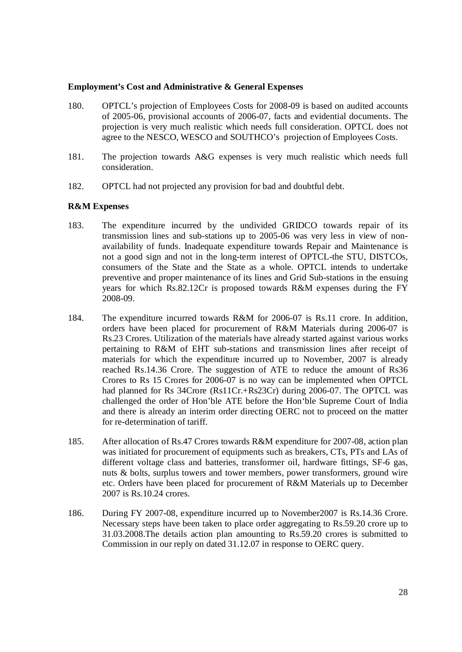#### **Employment's Cost and Administrative & General Expenses**

- 180. OPTCL's projection of Employees Costs for 2008-09 is based on audited accounts of 2005-06, provisional accounts of 2006-07, facts and evidential documents. The projection is very much realistic which needs full consideration. OPTCL does not agree to the NESCO, WESCO and SOUTHCO's projection of Employees Costs.
- 181. The projection towards A&G expenses is very much realistic which needs full consideration.
- 182. OPTCL had not projected any provision for bad and doubtful debt.

## **R&M Expenses**

- 183. The expenditure incurred by the undivided GRIDCO towards repair of its transmission lines and sub-stations up to 2005-06 was very less in view of nonavailability of funds. Inadequate expenditure towards Repair and Maintenance is not a good sign and not in the long-term interest of OPTCL-the STU, DISTCOs, consumers of the State and the State as a whole. OPTCL intends to undertake preventive and proper maintenance of its lines and Grid Sub-stations in the ensuing years for which Rs.82.12Cr is proposed towards R&M expenses during the FY 2008-09.
- 184. The expenditure incurred towards R&M for 2006-07 is Rs.11 crore. In addition, orders have been placed for procurement of R&M Materials during 2006-07 is Rs.23 Crores. Utilization of the materials have already started against various works pertaining to R&M of EHT sub-stations and transmission lines after receipt of materials for which the expenditure incurred up to November, 2007 is already reached Rs.14.36 Crore. The suggestion of ATE to reduce the amount of Rs36 Crores to Rs 15 Crores for 2006-07 is no way can be implemented when OPTCL had planned for Rs 34Crore (Rs11Cr.+Rs23Cr) during 2006-07. The OPTCL was challenged the order of Hon'ble ATE before the Hon'ble Supreme Court of India and there is already an interim order directing OERC not to proceed on the matter for re-determination of tariff.
- 185. After allocation of Rs.47 Crores towards R&M expenditure for 2007-08, action plan was initiated for procurement of equipments such as breakers, CTs, PTs and LAs of different voltage class and batteries, transformer oil, hardware fittings, SF-6 gas, nuts & bolts, surplus towers and tower members, power transformers, ground wire etc. Orders have been placed for procurement of R&M Materials up to December 2007 is Rs.10.24 crores.
- 186. During FY 2007-08, expenditure incurred up to November2007 is Rs.14.36 Crore. Necessary steps have been taken to place order aggregating to Rs.59.20 crore up to 31.03.2008.The details action plan amounting to Rs.59.20 crores is submitted to Commission in our reply on dated 31.12.07 in response to OERC query.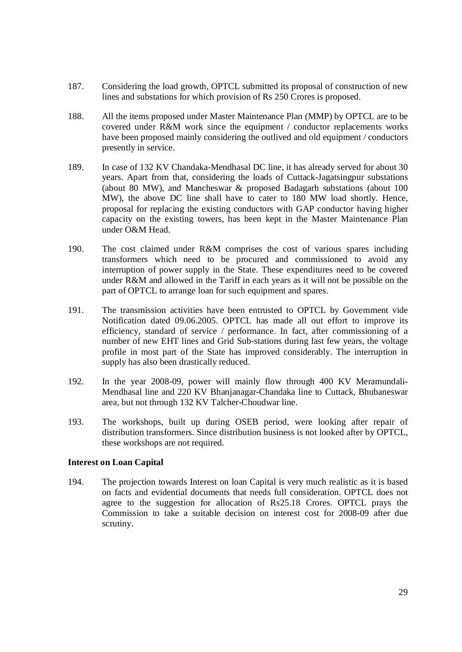- 187. Considering the load growth, OPTCL submitted its proposal of construction of new lines and substations for which provision of Rs 250 Crores is proposed.
- 188. All the items proposed under Master Maintenance Plan (MMP) by OPTCL are to be covered under R&M work since the equipment / conductor replacements works have been proposed mainly considering the outlived and old equipment / conductors presently in service.
- 189. In case of 132 KV Chandaka-Mendhasal DC line, it has already served for about 30 years. Apart from that, considering the loads of Cuttack-Jagatsingpur substations (about 80 MW), and Mancheswar & proposed Badagarh substations (about 100 MW), the above DC line shall have to cater to 180 MW load shortly. Hence, proposal for replacing the existing conductors with GAP conductor having higher capacity on the existing towers, has been kept in the Master Maintenance Plan under O&M Head.
- 190. The cost claimed under R&M comprises the cost of various spares including transformers which need to be procured and commissioned to avoid any interruption of power supply in the State. These expenditures need to be covered under R&M and allowed in the Tariff in each years as it will not be possible on the part of OPTCL to arrange loan for such equipment and spares.
- 191. The transmission activities have been entrusted to OPTCL by Government vide Notification dated 09.06.2005. OPTCL has made all out effort to improve its efficiency, standard of service / performance. In fact, after commissioning of a number of new EHT lines and Grid Sub-stations during last few years, the voltage profile in most part of the State has improved considerably. The interruption in supply has also been drastically reduced.
- 192. In the year 2008-09, power will mainly flow through 400 KV Meramundali-Mendhasal line and 220 KV Bhanjanagar-Chandaka line to Cuttack, Bhubaneswar area, but not through 132 KV Talcher-Choudwar line.
- 193. The workshops, built up during OSEB period, were looking after repair of distribution transformers. Since distribution business is not looked after by OPTCL, these workshops are not required.

## **Interest on Loan Capital**

194. The projection towards Interest on loan Capital is very much realistic as it is based on facts and evidential documents that needs full consideration. OPTCL does not agree to the suggestion for allocation of Rs25.18 Crores. OPTCL prays the Commission to take a suitable decision on interest cost for 2008-09 after due scrutiny.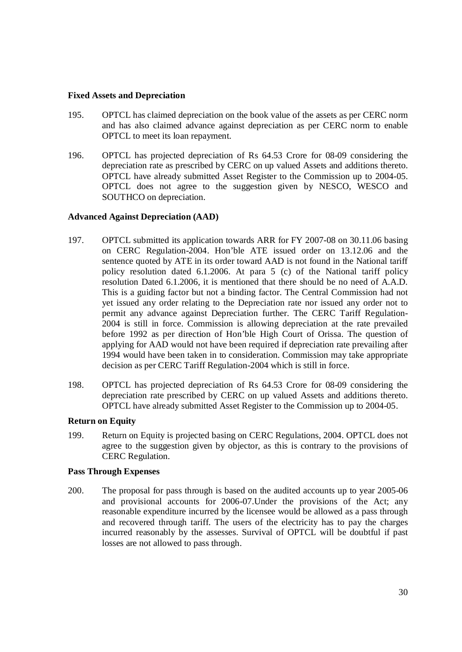#### **Fixed Assets and Depreciation**

- 195. OPTCL has claimed depreciation on the book value of the assets as per CERC norm and has also claimed advance against depreciation as per CERC norm to enable OPTCL to meet its loan repayment.
- 196. OPTCL has projected depreciation of Rs 64.53 Crore for 08-09 considering the depreciation rate as prescribed by CERC on up valued Assets and additions thereto. OPTCL have already submitted Asset Register to the Commission up to 2004-05. OPTCL does not agree to the suggestion given by NESCO, WESCO and SOUTHCO on depreciation.

## **Advanced Against Depreciation (AAD)**

- 197. OPTCL submitted its application towards ARR for FY 2007-08 on 30.11.06 basing on CERC Regulation-2004. Hon'ble ATE issued order on 13.12.06 and the sentence quoted by ATE in its order toward AAD is not found in the National tariff policy resolution dated 6.1.2006. At para 5 (c) of the National tariff policy resolution Dated 6.1.2006, it is mentioned that there should be no need of A.A.D. This is a guiding factor but not a binding factor. The Central Commission had not yet issued any order relating to the Depreciation rate nor issued any order not to permit any advance against Depreciation further. The CERC Tariff Regulation-2004 is still in force. Commission is allowing depreciation at the rate prevailed before 1992 as per direction of Hon'ble High Court of Orissa. The question of applying for AAD would not have been required if depreciation rate prevailing after 1994 would have been taken in to consideration. Commission may take appropriate decision as per CERC Tariff Regulation-2004 which is still in force.
- 198. OPTCL has projected depreciation of Rs 64.53 Crore for 08-09 considering the depreciation rate prescribed by CERC on up valued Assets and additions thereto. OPTCL have already submitted Asset Register to the Commission up to 2004-05.

## **Return on Equity**

199. Return on Equity is projected basing on CERC Regulations, 2004. OPTCL does not agree to the suggestion given by objector, as this is contrary to the provisions of CERC Regulation.

## **Pass Through Expenses**

200. The proposal for pass through is based on the audited accounts up to year 2005-06 and provisional accounts for 2006-07.Under the provisions of the Act; any reasonable expenditure incurred by the licensee would be allowed as a pass through and recovered through tariff. The users of the electricity has to pay the charges incurred reasonably by the assesses. Survival of OPTCL will be doubtful if past losses are not allowed to pass through.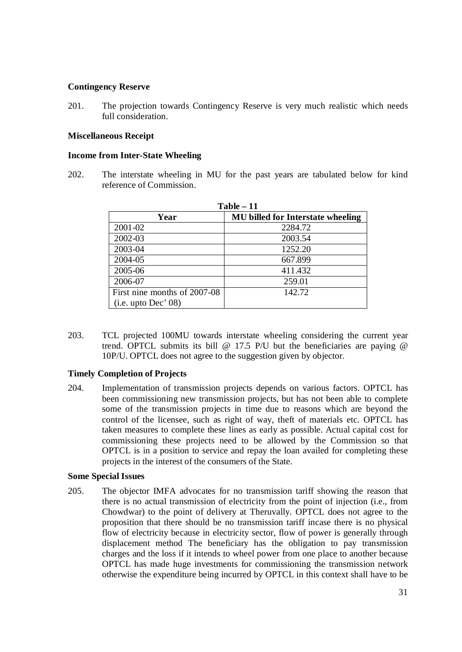### **Contingency Reserve**

201. The projection towards Contingency Reserve is very much realistic which needs full consideration.

#### **Miscellaneous Receipt**

#### **Income from Inter-State Wheeling**

202. The interstate wheeling in MU for the past years are tabulated below for kind reference of Commission.

| $Table - 11$                 |                                          |  |  |
|------------------------------|------------------------------------------|--|--|
| Year                         | <b>MU</b> billed for Interstate wheeling |  |  |
| 2001-02                      | 2284.72                                  |  |  |
| 2002-03                      | 2003.54                                  |  |  |
| 2003-04                      | 1252.20                                  |  |  |
| 2004-05                      | 667.899                                  |  |  |
| 2005-06                      | 411.432                                  |  |  |
| 2006-07                      | 259.01                                   |  |  |
| First nine months of 2007-08 | 142.72                                   |  |  |
| (i.e. up to Dec' 08)         |                                          |  |  |

203. TCL projected 100MU towards interstate wheeling considering the current year trend. OPTCL submits its bill @ 17.5 P/U but the beneficiaries are paying @ 10P/U. OPTCL does not agree to the suggestion given by objector.

## **Timely Completion of Projects**

204. Implementation of transmission projects depends on various factors. OPTCL has been commissioning new transmission projects, but has not been able to complete some of the transmission projects in time due to reasons which are beyond the control of the licensee, such as right of way, theft of materials etc. OPTCL has taken measures to complete these lines as early as possible. Actual capital cost for commissioning these projects need to be allowed by the Commission so that OPTCL is in a position to service and repay the loan availed for completing these projects in the interest of the consumers of the State.

#### **Some Special Issues**

205. The objector IMFA advocates for no transmission tariff showing the reason that there is no actual transmission of electricity from the point of injection (i.e., from Chowdwar) to the point of delivery at Theruvally. OPTCL does not agree to the proposition that there should be no transmission tariff incase there is no physical flow of electricity because in electricity sector, flow of power is generally through displacement method The beneficiary has the obligation to pay transmission charges and the loss if it intends to wheel power from one place to another because OPTCL has made huge investments for commissioning the transmission network otherwise the expenditure being incurred by OPTCL in this context shall have to be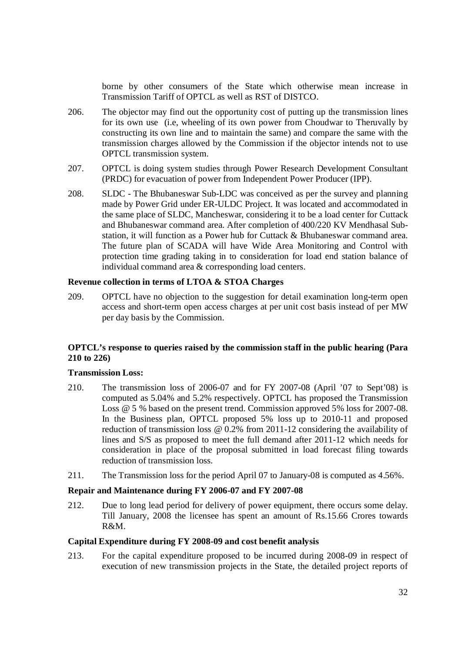borne by other consumers of the State which otherwise mean increase in Transmission Tariff of OPTCL as well as RST of DISTCO.

- 206. The objector may find out the opportunity cost of putting up the transmission lines for its own use (i.e, wheeling of its own power from Choudwar to Theruvally by constructing its own line and to maintain the same) and compare the same with the transmission charges allowed by the Commission if the objector intends not to use OPTCL transmission system.
- 207. OPTCL is doing system studies through Power Research Development Consultant (PRDC) for evacuation of power from Independent Power Producer (IPP).
- 208. SLDC The Bhubaneswar Sub-LDC was conceived as per the survey and planning made by Power Grid under ER-ULDC Project. It was located and accommodated in the same place of SLDC, Mancheswar, considering it to be a load center for Cuttack and Bhubaneswar command area. After completion of 400/220 KV Mendhasal Substation, it will function as a Power hub for Cuttack & Bhubaneswar command area. The future plan of SCADA will have Wide Area Monitoring and Control with protection time grading taking in to consideration for load end station balance of individual command area & corresponding load centers.

#### **Revenue collection in terms of LTOA & STOA Charges**

209. OPTCL have no objection to the suggestion for detail examination long-term open access and short-term open access charges at per unit cost basis instead of per MW per day basis by the Commission.

# **OPTCL's response to queries raised by the commission staff in the public hearing (Para 210 to 226)**

# **Transmission Loss:**

- 210. The transmission loss of 2006-07 and for FY 2007-08 (April '07 to Sept'08) is computed as 5.04% and 5.2% respectively. OPTCL has proposed the Transmission Loss @ 5 % based on the present trend. Commission approved 5% loss for 2007-08. In the Business plan, OPTCL proposed 5% loss up to 2010-11 and proposed reduction of transmission loss @ 0.2% from 2011-12 considering the availability of lines and S/S as proposed to meet the full demand after 2011-12 which needs for consideration in place of the proposal submitted in load forecast filing towards reduction of transmission loss.
- 211. The Transmission loss for the period April 07 to January-08 is computed as 4.56%.

## **Repair and Maintenance during FY 2006-07 and FY 2007-08**

212. Due to long lead period for delivery of power equipment, there occurs some delay. Till January, 2008 the licensee has spent an amount of Rs.15.66 Crores towards R&M.

#### **Capital Expenditure during FY 2008-09 and cost benefit analysis**

213. For the capital expenditure proposed to be incurred during 2008-09 in respect of execution of new transmission projects in the State, the detailed project reports of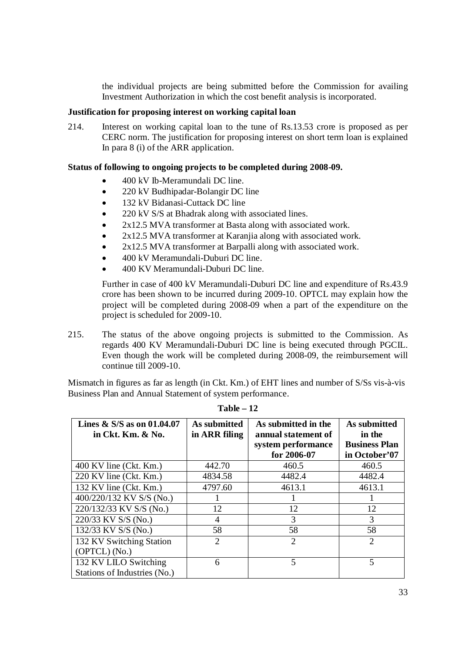the individual projects are being submitted before the Commission for availing Investment Authorization in which the cost benefit analysis is incorporated.

#### **Justification for proposing interest on working capital loan**

214. Interest on working capital loan to the tune of Rs.13.53 crore is proposed as per CERC norm. The justification for proposing interest on short term loan is explained In para 8 (i) of the ARR application.

## **Status of following to ongoing projects to be completed during 2008-09.**

- 400 kV Ib-Meramundali DC line.
- 220 kV Budhipadar-Bolangir DC line
- 132 kV Bidanasi-Cuttack DC line
- 220 kV S/S at Bhadrak along with associated lines.
- 2x12.5 MVA transformer at Basta along with associated work.
- 2x12.5 MVA transformer at Karanjia along with associated work.
- 2x12.5 MVA transformer at Barpalli along with associated work.
- 400 kV Meramundali-Duburi DC line.
- 400 KV Meramundali-Duburi DC line.

Further in case of 400 kV Meramundali-Duburi DC line and expenditure of Rs.43.9 crore has been shown to be incurred during 2009-10. OPTCL may explain how the project will be completed during 2008-09 when a part of the expenditure on the project is scheduled for 2009-10.

215. The status of the above ongoing projects is submitted to the Commission. As regards 400 KV Meramundali-Duburi DC line is being executed through PGCIL. Even though the work will be completed during 2008-09, the reimbursement will continue till 2009-10.

Mismatch in figures as far as length (in Ckt. Km.) of EHT lines and number of S/Ss vis-à-vis Business Plan and Annual Statement of system performance.

| Lines & S/S as on $01.04.07$<br>in Ckt. Km. & No.     | As submitted<br>in ARR filing | As submitted in the<br>annual statement of<br>system performance<br>for 2006-07 | As submitted<br>in the<br><b>Business Plan</b><br>in October'07 |
|-------------------------------------------------------|-------------------------------|---------------------------------------------------------------------------------|-----------------------------------------------------------------|
| $400$ KV line (Ckt. Km.)                              | 442.70                        | 460.5                                                                           | 460.5                                                           |
| 220 KV line (Ckt. Km.)                                | 4834.58                       | 4482.4                                                                          | 4482.4                                                          |
| 132 KV line (Ckt. Km.)                                | 4797.60                       | 4613.1                                                                          | 4613.1                                                          |
| 400/220/132 KV S/S (No.)                              |                               |                                                                                 |                                                                 |
| 220/132/33 KV S/S (No.)                               | 12                            | 12                                                                              | 12                                                              |
| 220/33 KV S/S (No.)                                   | $\overline{4}$                | 3                                                                               | 3                                                               |
| 132/33 KV S/S (No.)                                   | 58                            | 58                                                                              | 58                                                              |
| 132 KV Switching Station                              | 2                             | $\overline{2}$                                                                  | $\overline{2}$                                                  |
| (OPTCL) (No.)                                         |                               |                                                                                 |                                                                 |
| 132 KV LILO Switching<br>Stations of Industries (No.) | 6                             | $\overline{5}$                                                                  | $\overline{5}$                                                  |

**Table – 12**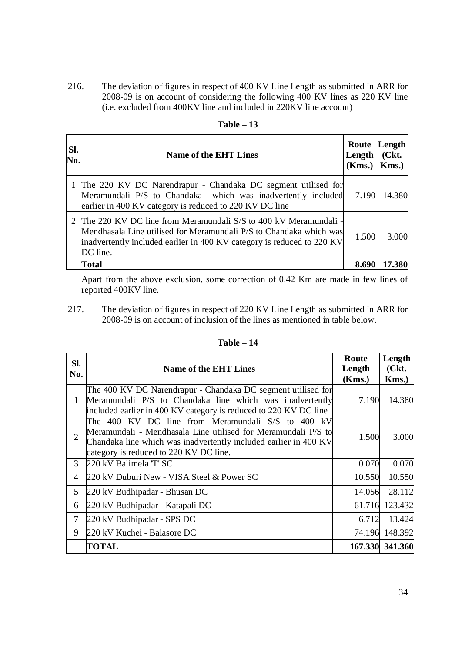216. The deviation of figures in respect of 400 KV Line Length as submitted in ARR for 2008-09 is on account of considering the following 400 KV lines as 220 KV line (i.e. excluded from 400KV line and included in 220KV line account)

| SI.<br>No. | <b>Name of the EHT Lines</b>                                                                                                                                                                                                  | Length<br>$(Kms.)$ Kms.) | Route Length<br>( <b>Ckt.</b> ) |
|------------|-------------------------------------------------------------------------------------------------------------------------------------------------------------------------------------------------------------------------------|--------------------------|---------------------------------|
|            | 1 The 220 KV DC Narendrapur - Chandaka DC segment utilised for<br>Meramundali P/S to Chandaka which was inadvertently included<br>earlier in 400 KV category is reduced to 220 KV DC line                                     | 7.190                    | 14.380                          |
|            | 2 The 220 KV DC line from Meramundali S/S to 400 kV Meramundali -<br>Mendhasala Line utilised for Meramundali P/S to Chandaka which was<br>inadvertently included earlier in 400 KV category is reduced to 220 KV<br>DC line. | 1.500                    | 3.000                           |
|            | Total                                                                                                                                                                                                                         | 8.690                    | 17.380                          |

| Table |  |
|-------|--|
|-------|--|

Apart from the above exclusion, some correction of 0.42 Km are made in few lines of reported 400KV line.

217. The deviation of figures in respect of 220 KV Line Length as submitted in ARR for 2008-09 is on account of inclusion of the lines as mentioned in table below.

| SI.<br>No.     | <b>Name of the EHT Lines</b>                                                                                                                                                                                                     | Route<br>Length<br>(Kms.) | Length<br>(Ckt.<br>Kms.) |
|----------------|----------------------------------------------------------------------------------------------------------------------------------------------------------------------------------------------------------------------------------|---------------------------|--------------------------|
| 1              | The 400 KV DC Narendrapur - Chandaka DC segment utilised for<br>Meramundali P/S to Chandaka line which was inadvertently<br>included earlier in 400 KV category is reduced to 220 KV DC line                                     | 7.190                     | 14.380                   |
| $\overline{2}$ | The 400 KV DC line from Meramundali S/S to 400 kV<br>Meramundali - Mendhasala Line utilised for Meramundali P/S to<br>Chandaka line which was inadvertently included earlier in 400 KV<br>category is reduced to 220 KV DC line. | 1.500                     | 3.000                    |
| 3              | 220 kV Balimela 'T' SC                                                                                                                                                                                                           | 0.070                     | 0.070                    |
| 4              | 220 kV Duburi New - VISA Steel & Power SC                                                                                                                                                                                        | 10.550                    | 10.550                   |
| 5              | 220 kV Budhipadar - Bhusan DC                                                                                                                                                                                                    | 14.056                    | 28.112                   |
| 6              | 220 kV Budhipadar - Katapali DC                                                                                                                                                                                                  | 61.716                    | 123.432                  |
| 7              | 220 kV Budhipadar - SPS DC                                                                                                                                                                                                       | 6.712                     | 13.424                   |
| 9              | 220 kV Kuchei - Balasore DC                                                                                                                                                                                                      |                           | 74.196 148.392           |
|                | <b>TOTAL</b>                                                                                                                                                                                                                     |                           | 167.330 341.360          |

**Table – 14**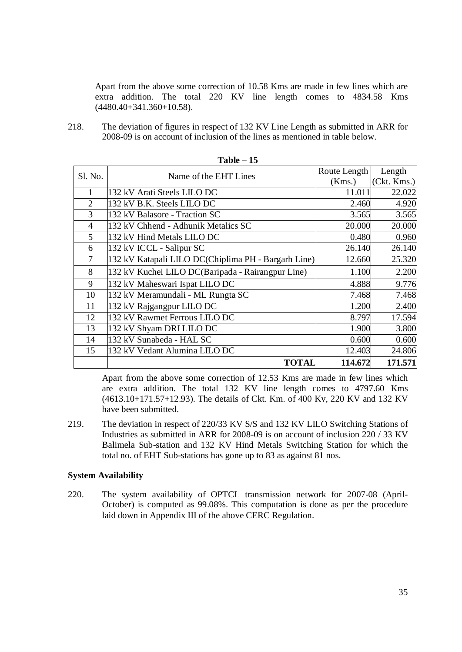Apart from the above some correction of 10.58 Kms are made in few lines which are extra addition. The total 220 KV line length comes to 4834.58 Kms (4480.40+341.360+10.58).

218. The deviation of figures in respect of 132 KV Line Length as submitted in ARR for 2008-09 is on account of inclusion of the lines as mentioned in table below.

| Sl. No.        | Name of the EHT Lines                               | Route Length | Length      |
|----------------|-----------------------------------------------------|--------------|-------------|
|                |                                                     | (Kms.)       | (Ckt. Kms.) |
| 1              | 132 kV Arati Steels LILO DC                         | 11.011       | 22.022      |
| $\overline{2}$ | 132 kV B.K. Steels LILO DC                          | 2.460        | 4.920       |
| 3              | 132 kV Balasore - Traction SC                       | 3.565        | 3.565       |
| 4              | 132 kV Chhend - Adhunik Metalics SC                 | 20.000       | 20.000      |
| 5              | 132 kV Hind Metals LILO DC                          | 0.480        | 0.960       |
| 6              | 132 kV ICCL - Salipur SC                            | 26.140       | 26.140      |
| $\overline{7}$ | 132 kV Katapali LILO DC(Chiplima PH - Bargarh Line) | 12.660       | 25.320      |
| 8              | 132 kV Kuchei LILO DC(Baripada - Rairangpur Line)   | 1.100        | 2.200       |
| 9              | 132 kV Maheswari Ispat LILO DC                      | 4.888        | 9.776       |
| 10             | 132 kV Meramundali - ML Rungta SC                   | 7.468        | 7.468       |
| 11             | 132 kV Rajgangpur LILO DC                           | 1.200        | 2.400       |
| 12             | 132 kV Rawmet Ferrous LILO DC                       | 8.797        | 17.594      |
| 13             | 132 kV Shyam DRI LILO DC                            | 1.900        | 3.800       |
| 14             | 132 kV Sunabeda - HAL SC                            | 0.600        | 0.600       |
| 15             | 132 kV Vedant Alumina LILO DC                       | 12.403       | 24.806      |
|                | TOTAL                                               | 114.672      | 171.571     |

**Table – 15**

Apart from the above some correction of 12.53 Kms are made in few lines which are extra addition. The total 132 KV line length comes to 4797.60 Kms (4613.10+171.57+12.93). The details of Ckt. Km. of 400 Kv, 220 KV and 132 KV have been submitted.

219. The deviation in respect of 220/33 KV S/S and 132 KV LILO Switching Stations of Industries as submitted in ARR for 2008-09 is on account of inclusion 220 / 33 KV Balimela Sub-station and 132 KV Hind Metals Switching Station for which the total no. of EHT Sub-stations has gone up to 83 as against 81 nos.

#### **System Availability**

220. The system availability of OPTCL transmission network for 2007-08 (April-October) is computed as 99.08%. This computation is done as per the procedure laid down in Appendix III of the above CERC Regulation.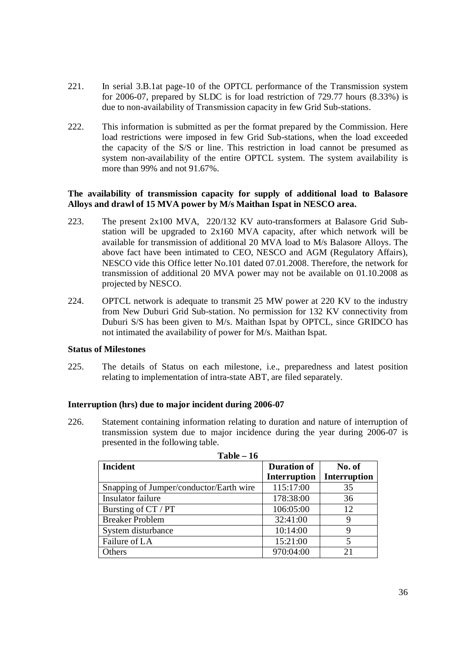- 221. In serial 3.B.1at page-10 of the OPTCL performance of the Transmission system for 2006-07, prepared by SLDC is for load restriction of 729.77 hours (8.33%) is due to non-availability of Transmission capacity in few Grid Sub-stations.
- 222. This information is submitted as per the format prepared by the Commission. Here load restrictions were imposed in few Grid Sub-stations, when the load exceeded the capacity of the S/S or line. This restriction in load cannot be presumed as system non-availability of the entire OPTCL system. The system availability is more than 99% and not 91.67%.

# **The availability of transmission capacity for supply of additional load to Balasore Alloys and drawl of 15 MVA power by M/s Maithan Ispat in NESCO area.**

- 223. The present 2x100 MVA, 220/132 KV auto-transformers at Balasore Grid Substation will be upgraded to 2x160 MVA capacity, after which network will be available for transmission of additional 20 MVA load to M/s Balasore Alloys. The above fact have been intimated to CEO, NESCO and AGM (Regulatory Affairs), NESCO vide this Office letter No.101 dated 07.01.2008. Therefore, the network for transmission of additional 20 MVA power may not be available on 01.10.2008 as projected by NESCO.
- 224. OPTCL network is adequate to transmit 25 MW power at 220 KV to the industry from New Duburi Grid Sub-station. No permission for 132 KV connectivity from Duburi S/S has been given to M/s. Maithan Ispat by OPTCL, since GRIDCO has not intimated the availability of power for M/s. Maithan Ispat.

## **Status of Milestones**

225. The details of Status on each milestone, i.e., preparedness and latest position relating to implementation of intra-state ABT, are filed separately.

## **Interruption (hrs) due to major incident during 2006-07**

226. Statement containing information relating to duration and nature of interruption of transmission system due to major incidence during the year during 2006-07 is presented in the following table.

| 1 apie – 10                             |                    |              |  |
|-----------------------------------------|--------------------|--------------|--|
| <b>Incident</b>                         | <b>Duration of</b> | No. of       |  |
|                                         | Interruption       | Interruption |  |
| Snapping of Jumper/conductor/Earth wire | 115:17:00          | 35           |  |
| Insulator failure                       | 178:38:00          | 36           |  |
| Bursting of CT / PT                     | 106:05:00          | 12           |  |
| <b>Breaker Problem</b>                  | 32:41:00           | 9            |  |
| System disturbance                      | 10:14:00           | Q            |  |
| Failure of LA                           | 15:21:00           | 5            |  |
| Others                                  | 970:04:00          | 21           |  |

| Table | - 16 |
|-------|------|
|-------|------|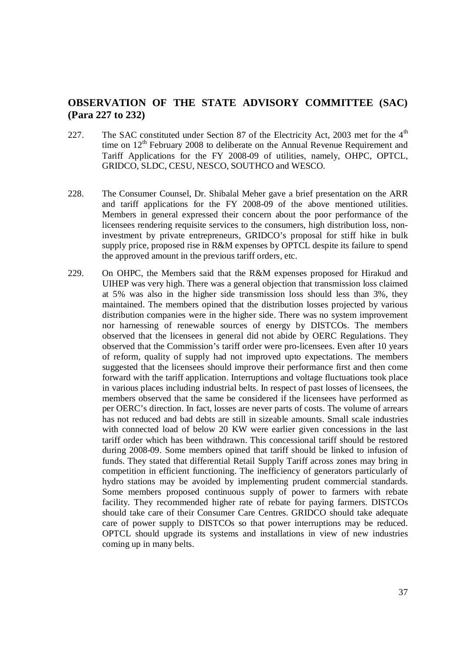# **OBSERVATION OF THE STATE ADVISORY COMMITTEE (SAC) (Para 227 to 232)**

- 227. The SAC constituted under Section 87 of the Electricity Act, 2003 met for the  $4<sup>th</sup>$ time on 12<sup>th</sup> February 2008 to deliberate on the Annual Revenue Requirement and Tariff Applications for the FY 2008-09 of utilities, namely, OHPC, OPTCL, GRIDCO, SLDC, CESU, NESCO, SOUTHCO and WESCO.
- 228. The Consumer Counsel, Dr. Shibalal Meher gave a brief presentation on the ARR and tariff applications for the FY 2008-09 of the above mentioned utilities. Members in general expressed their concern about the poor performance of the licensees rendering requisite services to the consumers, high distribution loss, noninvestment by private entrepreneurs, GRIDCO's proposal for stiff hike in bulk supply price, proposed rise in R&M expenses by OPTCL despite its failure to spend the approved amount in the previous tariff orders, etc.
- 229. On OHPC, the Members said that the R&M expenses proposed for Hirakud and UIHEP was very high. There was a general objection that transmission loss claimed at 5% was also in the higher side transmission loss should less than 3%, they maintained. The members opined that the distribution losses projected by various distribution companies were in the higher side. There was no system improvement nor harnessing of renewable sources of energy by DISTCOs. The members observed that the licensees in general did not abide by OERC Regulations. They observed that the Commission's tariff order were pro-licensees. Even after 10 years of reform, quality of supply had not improved upto expectations. The members suggested that the licensees should improve their performance first and then come forward with the tariff application. Interruptions and voltage fluctuations took place in various places including industrial belts. In respect of past losses of licensees, the members observed that the same be considered if the licensees have performed as per OERC's direction. In fact, losses are never parts of costs. The volume of arrears has not reduced and bad debts are still in sizeable amounts. Small scale industries with connected load of below 20 KW were earlier given concessions in the last tariff order which has been withdrawn. This concessional tariff should be restored during 2008-09. Some members opined that tariff should be linked to infusion of funds. They stated that differential Retail Supply Tariff across zones may bring in competition in efficient functioning. The inefficiency of generators particularly of hydro stations may be avoided by implementing prudent commercial standards. Some members proposed continuous supply of power to farmers with rebate facility. They recommended higher rate of rebate for paying farmers. DISTCOs should take care of their Consumer Care Centres. GRIDCO should take adequate care of power supply to DISTCOs so that power interruptions may be reduced. OPTCL should upgrade its systems and installations in view of new industries coming up in many belts.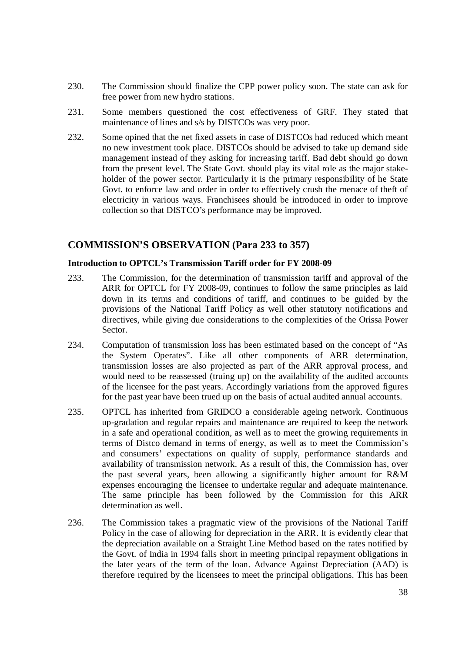- 230. The Commission should finalize the CPP power policy soon. The state can ask for free power from new hydro stations.
- 231. Some members questioned the cost effectiveness of GRF. They stated that maintenance of lines and s/s by DISTCOs was very poor.
- 232. Some opined that the net fixed assets in case of DISTCOs had reduced which meant no new investment took place. DISTCOs should be advised to take up demand side management instead of they asking for increasing tariff. Bad debt should go down from the present level. The State Govt. should play its vital role as the major stakeholder of the power sector. Particularly it is the primary responsibility of he State Govt. to enforce law and order in order to effectively crush the menace of theft of electricity in various ways. Franchisees should be introduced in order to improve collection so that DISTCO's performance may be improved.

# **COMMISSION'S OBSERVATION (Para 233 to 357)**

#### **Introduction to OPTCL's Transmission Tariff order for FY 2008-09**

- 233. The Commission, for the determination of transmission tariff and approval of the ARR for OPTCL for FY 2008-09, continues to follow the same principles as laid down in its terms and conditions of tariff, and continues to be guided by the provisions of the National Tariff Policy as well other statutory notifications and directives, while giving due considerations to the complexities of the Orissa Power Sector.
- 234. Computation of transmission loss has been estimated based on the concept of "As the System Operates". Like all other components of ARR determination, transmission losses are also projected as part of the ARR approval process, and would need to be reassessed (truing up) on the availability of the audited accounts of the licensee for the past years. Accordingly variations from the approved figures for the past year have been trued up on the basis of actual audited annual accounts.
- 235. OPTCL has inherited from GRIDCO a considerable ageing network. Continuous up-gradation and regular repairs and maintenance are required to keep the network in a safe and operational condition, as well as to meet the growing requirements in terms of Distco demand in terms of energy, as well as to meet the Commission's and consumers' expectations on quality of supply, performance standards and availability of transmission network. As a result of this, the Commission has, over the past several years, been allowing a significantly higher amount for R&M expenses encouraging the licensee to undertake regular and adequate maintenance. The same principle has been followed by the Commission for this ARR determination as well.
- 236. The Commission takes a pragmatic view of the provisions of the National Tariff Policy in the case of allowing for depreciation in the ARR. It is evidently clear that the depreciation available on a Straight Line Method based on the rates notified by the Govt. of India in 1994 falls short in meeting principal repayment obligations in the later years of the term of the loan. Advance Against Depreciation (AAD) is therefore required by the licensees to meet the principal obligations. This has been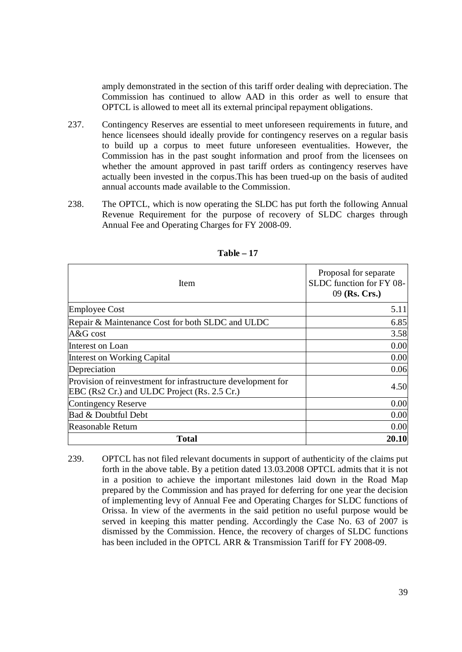amply demonstrated in the section of this tariff order dealing with depreciation. The Commission has continued to allow AAD in this order as well to ensure that OPTCL is allowed to meet all its external principal repayment obligations.

- 237. Contingency Reserves are essential to meet unforeseen requirements in future, and hence licensees should ideally provide for contingency reserves on a regular basis to build up a corpus to meet future unforeseen eventualities. However, the Commission has in the past sought information and proof from the licensees on whether the amount approved in past tariff orders as contingency reserves have actually been invested in the corpus.This has been trued-up on the basis of audited annual accounts made available to the Commission.
- 238. The OPTCL, which is now operating the SLDC has put forth the following Annual Revenue Requirement for the purpose of recovery of SLDC charges through Annual Fee and Operating Charges for FY 2008-09.

| Item                                                                                                         | Proposal for separate<br>SLDC function for FY 08-<br>09 (Rs. Crs.) |
|--------------------------------------------------------------------------------------------------------------|--------------------------------------------------------------------|
| <b>Employee Cost</b>                                                                                         | 5.11                                                               |
| Repair & Maintenance Cost for both SLDC and ULDC                                                             | 6.85                                                               |
| A&G cost                                                                                                     | 3.58                                                               |
| Interest on Loan                                                                                             | 0.00                                                               |
| Interest on Working Capital                                                                                  | 0.00                                                               |
| Depreciation                                                                                                 | 0.06                                                               |
| Provision of reinvestment for infrastructure development for<br>EBC (Rs2 Cr.) and ULDC Project (Rs. 2.5 Cr.) | 4.50                                                               |
| Contingency Reserve                                                                                          | 0.00                                                               |
| Bad & Doubtful Debt                                                                                          | 0.00                                                               |
| Reasonable Return                                                                                            | 0.00                                                               |
| Total                                                                                                        | 20.10                                                              |

**Table – 17**

239. OPTCL has not filed relevant documents in support of authenticity of the claims put forth in the above table. By a petition dated 13.03.2008 OPTCL admits that it is not in a position to achieve the important milestones laid down in the Road Map prepared by the Commission and has prayed for deferring for one year the decision of implementing levy of Annual Fee and Operating Charges for SLDC functions of Orissa. In view of the averments in the said petition no useful purpose would be served in keeping this matter pending. Accordingly the Case No. 63 of 2007 is dismissed by the Commission. Hence, the recovery of charges of SLDC functions has been included in the OPTCL ARR & Transmission Tariff for FY 2008-09.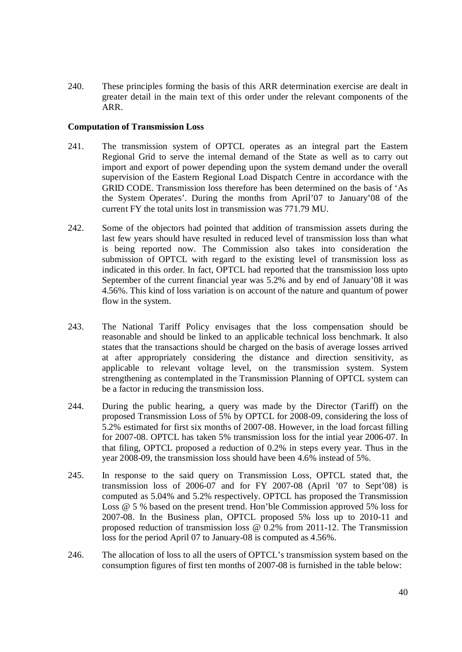240. These principles forming the basis of this ARR determination exercise are dealt in greater detail in the main text of this order under the relevant components of the ARR.

### **Computation of Transmission Loss**

- 241. The transmission system of OPTCL operates as an integral part the Eastern Regional Grid to serve the internal demand of the State as well as to carry out import and export of power depending upon the system demand under the overall supervision of the Eastern Regional Load Dispatch Centre in accordance with the GRID CODE. Transmission loss therefore has been determined on the basis of 'As the System Operates'. During the months from April'07 to January'08 of the current FY the total units lost in transmission was 771.79 MU.
- 242. Some of the objectors had pointed that addition of transmission assets during the last few years should have resulted in reduced level of transmission loss than what is being reported now. The Commission also takes into consideration the submission of OPTCL with regard to the existing level of transmission loss as indicated in this order. In fact, OPTCL had reported that the transmission loss upto September of the current financial year was 5.2% and by end of January'08 it was 4.56%. This kind of loss variation is on account of the nature and quantum of power flow in the system.
- 243. The National Tariff Policy envisages that the loss compensation should be reasonable and should be linked to an applicable technical loss benchmark. It also states that the transactions should be charged on the basis of average losses arrived at after appropriately considering the distance and direction sensitivity, as applicable to relevant voltage level, on the transmission system. System strengthening as contemplated in the Transmission Planning of OPTCL system can be a factor in reducing the transmission loss.
- 244. During the public hearing, a query was made by the Director (Tariff) on the proposed Transmission Loss of 5% by OPTCL for 2008-09, considering the loss of 5.2% estimated for first six months of 2007-08. However, in the load forcast filling for 2007-08. OPTCL has taken 5% transmission loss for the intial year 2006-07. In that filing, OPTCL proposed a reduction of 0.2% in steps every year. Thus in the year 2008-09, the transmission loss should have been 4.6% instead of 5%.
- 245. In response to the said query on Transmission Loss, OPTCL stated that, the transmission loss of 2006-07 and for FY 2007-08 (April '07 to Sept'08) is computed as 5.04% and 5.2% respectively. OPTCL has proposed the Transmission Loss @ 5 % based on the present trend. Hon'ble Commission approved 5% loss for 2007-08. In the Business plan, OPTCL proposed 5% loss up to 2010-11 and proposed reduction of transmission loss @ 0.2% from 2011-12. The Transmission loss for the period April 07 to January-08 is computed as 4.56%.
- 246. The allocation of loss to all the users of OPTCL's transmission system based on the consumption figures of first ten months of 2007-08 is furnished in the table below: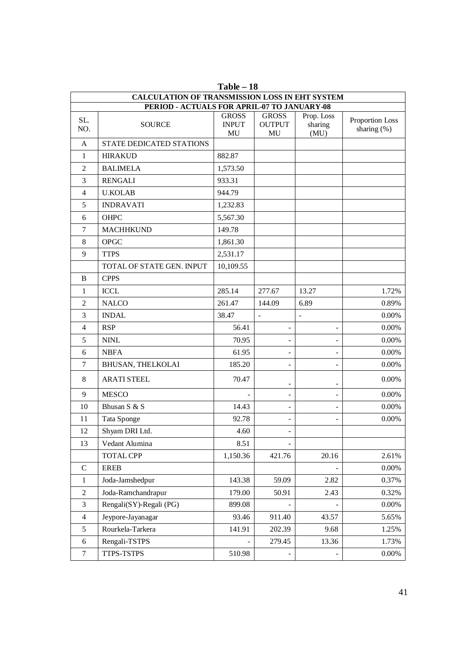| 1,401 <del>e</del> – 10<br><b>CALCULATION OF TRANSMISSION LOSS IN EHT SYSTEM</b> |                                             |                                          |                                     |                               |                                   |
|----------------------------------------------------------------------------------|---------------------------------------------|------------------------------------------|-------------------------------------|-------------------------------|-----------------------------------|
|                                                                                  | PERIOD - ACTUALS FOR APRIL-07 TO JANUARY-08 |                                          |                                     |                               |                                   |
| SL.<br>NO.                                                                       | <b>SOURCE</b>                               | <b>GROSS</b><br><b>INPUT</b><br>$\rm MU$ | <b>GROSS</b><br><b>OUTPUT</b><br>MU | Prop. Loss<br>sharing<br>(MU) | Proportion Loss<br>sharing $(\%)$ |
| A                                                                                | STATE DEDICATED STATIONS                    |                                          |                                     |                               |                                   |
| $\mathbf{1}$                                                                     | <b>HIRAKUD</b>                              | 882.87                                   |                                     |                               |                                   |
| $\overline{2}$                                                                   | <b>BALIMELA</b>                             | 1,573.50                                 |                                     |                               |                                   |
| 3                                                                                | <b>RENGALI</b>                              | 933.31                                   |                                     |                               |                                   |
| $\overline{4}$                                                                   | <b>U.KOLAB</b>                              | 944.79                                   |                                     |                               |                                   |
| 5                                                                                | <b>INDRAVATI</b>                            | 1,232.83                                 |                                     |                               |                                   |
| 6                                                                                | OHPC                                        | 5,567.30                                 |                                     |                               |                                   |
| $\tau$                                                                           | <b>MACHHKUND</b>                            | 149.78                                   |                                     |                               |                                   |
| 8                                                                                | <b>OPGC</b>                                 | 1,861.30                                 |                                     |                               |                                   |
| 9                                                                                | <b>TTPS</b>                                 | 2,531.17                                 |                                     |                               |                                   |
|                                                                                  | TOTAL OF STATE GEN. INPUT                   | 10,109.55                                |                                     |                               |                                   |
| B                                                                                | <b>CPPS</b>                                 |                                          |                                     |                               |                                   |
| $\mathbf{1}$                                                                     | <b>ICCL</b>                                 | 285.14                                   | 277.67                              | 13.27                         | 1.72%                             |
| $\overline{2}$                                                                   | <b>NALCO</b>                                | 261.47                                   | 144.09                              | 6.89                          | 0.89%                             |
| 3                                                                                | <b>INDAL</b>                                | 38.47                                    | $\blacksquare$                      | L,                            | 0.00%                             |
| $\overline{4}$                                                                   | <b>RSP</b>                                  | 56.41                                    |                                     |                               | 0.00%                             |
| 5                                                                                | <b>NINL</b>                                 | 70.95                                    |                                     |                               | 0.00%                             |
| 6                                                                                | <b>NBFA</b>                                 | 61.95                                    |                                     |                               | 0.00%                             |
| $\tau$                                                                           | BHUSAN, THELKOLAI                           | 185.20                                   |                                     |                               | 0.00%                             |
| 8                                                                                | <b>ARATI STEEL</b>                          | 70.47                                    |                                     |                               | 0.00%                             |
| 9                                                                                | <b>MESCO</b>                                |                                          |                                     | -                             | 0.00%                             |
| 10                                                                               | Bhusan S & S                                | 14.43                                    |                                     |                               | 0.00%                             |
| 11                                                                               | Tata Sponge                                 | 92.78                                    |                                     |                               | 0.00%                             |
| 12                                                                               | Shyam DRI Ltd.                              | 4.60                                     |                                     |                               |                                   |
| 13                                                                               | Vedant Alumina                              | 8.51                                     |                                     |                               |                                   |
|                                                                                  | <b>TOTAL CPP</b>                            | 1,150.36                                 | 421.76                              | 20.16                         | 2.61%                             |
| ${\bf C}$                                                                        | <b>EREB</b>                                 |                                          |                                     |                               | $0.00\%$                          |
| $\mathbf{1}$                                                                     | Joda-Jamshedpur                             | 143.38                                   | 59.09                               | 2.82                          | 0.37%                             |
| $\sqrt{2}$                                                                       | Joda-Ramchandrapur                          | 179.00                                   | 50.91                               | 2.43                          | 0.32%                             |
| 3                                                                                | Rengali(SY)-Regali (PG)                     | 899.08                                   |                                     |                               | $0.00\%$                          |
| $\overline{4}$                                                                   | Jeypore-Jayanagar                           | 93.46                                    | 911.40                              | 43.57                         | 5.65%                             |
| 5                                                                                | Rourkela-Tarkera                            | 141.91                                   | 202.39                              | 9.68                          | 1.25%                             |
| $\sqrt{6}$                                                                       | Rengali-TSTPS                               |                                          | 279.45                              | 13.36                         | 1.73%                             |
| $\boldsymbol{7}$                                                                 | TTPS-TSTPS                                  | 510.98                                   |                                     |                               | $0.00\%$                          |

**Table – 18**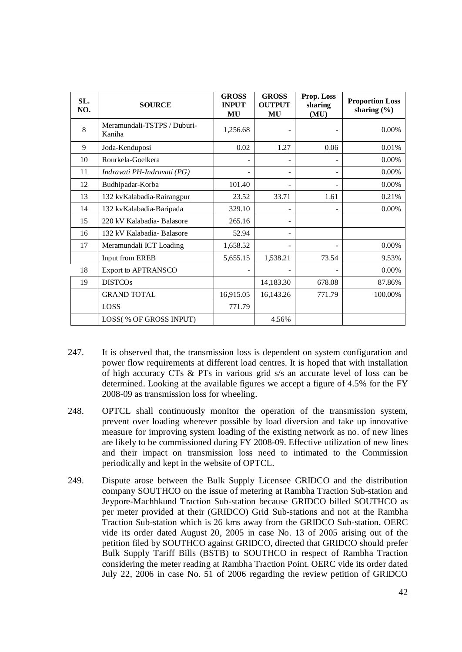| SL.<br>NO. | <b>SOURCE</b>                         | <b>GROSS</b><br><b>INPUT</b><br>MU | <b>GROSS</b><br><b>OUTPUT</b><br>MU | Prop. Loss<br>sharing<br>(MU) | <b>Proportion Loss</b><br>sharing $(\% )$ |
|------------|---------------------------------------|------------------------------------|-------------------------------------|-------------------------------|-------------------------------------------|
| 8          | Meramundali-TSTPS / Duburi-<br>Kaniha | 1,256.68                           |                                     |                               | 0.00%                                     |
| 9          | Joda-Kenduposi                        | 0.02                               | 1.27                                | 0.06                          | 0.01%                                     |
| 10         | Rourkela-Goelkera                     |                                    |                                     |                               | 0.00%                                     |
| 11         | Indravati PH-Indravati (PG)           |                                    |                                     | ۰                             | 0.00%                                     |
| 12         | Budhipadar-Korba                      | 101.40                             |                                     |                               | 0.00%                                     |
| 13         | 132 kvKalabadia-Rairangpur            | 23.52                              | 33.71                               | 1.61                          | 0.21%                                     |
| 14         | 132 kvKalabadia-Baripada              | 329.10                             |                                     |                               | 0.00%                                     |
| 15         | 220 kV Kalabadia-Balasore             | 265.16                             |                                     |                               |                                           |
| 16         | 132 kV Kalabadia-Balasore             | 52.94                              |                                     |                               |                                           |
| 17         | Meramundali ICT Loading               | 1,658.52                           |                                     |                               | 0.00%                                     |
|            | Input from EREB                       | 5,655.15                           | 1,538.21                            | 73.54                         | 9.53%                                     |
| 18         | Export to APTRANSCO                   |                                    |                                     |                               | 0.00%                                     |
| 19         | <b>DISTCOs</b>                        |                                    | 14,183.30                           | 678.08                        | 87.86%                                    |
|            | <b>GRAND TOTAL</b>                    | 16,915.05                          | 16,143.26                           | 771.79                        | 100.00%                                   |
|            | LOSS                                  | 771.79                             |                                     |                               |                                           |
|            | LOSS(% OF GROSS INPUT)                |                                    | 4.56%                               |                               |                                           |

- 247. It is observed that, the transmission loss is dependent on system configuration and power flow requirements at different load centres. It is hoped that with installation of high accuracy CTs & PTs in various grid s/s an accurate level of loss can be determined. Looking at the available figures we accept a figure of 4.5% for the FY 2008-09 as transmission loss for wheeling.
- 248. OPTCL shall continuously monitor the operation of the transmission system, prevent over loading wherever possible by load diversion and take up innovative measure for improving system loading of the existing network as no. of new lines are likely to be commissioned during FY 2008-09. Effective utilization of new lines and their impact on transmission loss need to intimated to the Commission periodically and kept in the website of OPTCL.
- 249. Dispute arose between the Bulk Supply Licensee GRIDCO and the distribution company SOUTHCO on the issue of metering at Rambha Traction Sub-station and Jeypore-Machhkund Traction Sub-station because GRIDCO billed SOUTHCO as per meter provided at their (GRIDCO) Grid Sub-stations and not at the Rambha Traction Sub-station which is 26 kms away from the GRIDCO Sub-station. OERC vide its order dated August 20, 2005 in case No. 13 of 2005 arising out of the petition filed by SOUTHCO against GRIDCO, directed that GRIDCO should prefer Bulk Supply Tariff Bills (BSTB) to SOUTHCO in respect of Rambha Traction considering the meter reading at Rambha Traction Point. OERC vide its order dated July 22, 2006 in case No. 51 of 2006 regarding the review petition of GRIDCO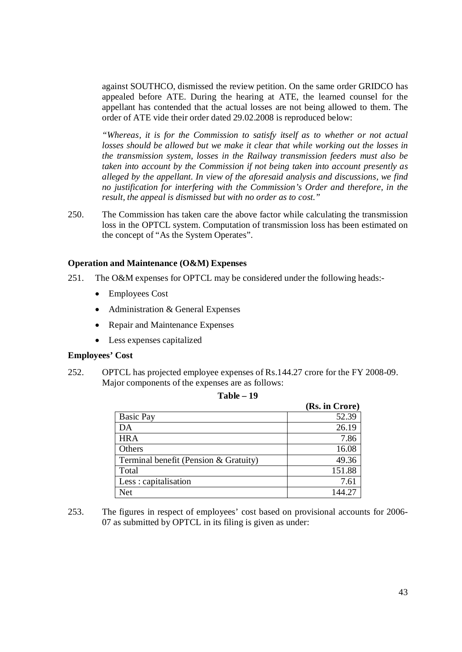against SOUTHCO, dismissed the review petition. On the same order GRIDCO has appealed before ATE. During the hearing at ATE, the learned counsel for the appellant has contended that the actual losses are not being allowed to them. The order of ATE vide their order dated 29.02.2008 is reproduced below:

*"Whereas, it is for the Commission to satisfy itself as to whether or not actual losses should be allowed but we make it clear that while working out the losses in the transmission system, losses in the Railway transmission feeders must also be taken into account by the Commission if not being taken into account presently as alleged by the appellant. In view of the aforesaid analysis and discussions, we find no justification for interfering with the Commission's Order and therefore, in the result, the appeal is dismissed but with no order as to cost."*

250. The Commission has taken care the above factor while calculating the transmission loss in the OPTCL system. Computation of transmission loss has been estimated on the concept of "As the System Operates".

### **Operation and Maintenance (O&M) Expenses**

- 251. The O&M expenses for OPTCL may be considered under the following heads:-
	- Employees Cost
	- Administration & General Expenses
	- Repair and Maintenance Expenses
	- Less expenses capitalized

#### **Employees' Cost**

252. OPTCL has projected employee expenses of Rs.144.27 crore for the FY 2008-09. Major components of the expenses are as follows:

|                                       | (Rs. in Crore) |
|---------------------------------------|----------------|
| <b>Basic Pay</b>                      | 52.39          |
| DA                                    | 26.19          |
| <b>HRA</b>                            | 7.86           |
| Others                                | 16.08          |
| Terminal benefit (Pension & Gratuity) | 49.36          |
| Total                                 | 151.88         |
| Less: capitalisation                  | 7.61           |
| Net                                   |                |

| Table | 19 |
|-------|----|
|-------|----|

253. The figures in respect of employees' cost based on provisional accounts for 2006- 07 as submitted by OPTCL in its filing is given as under: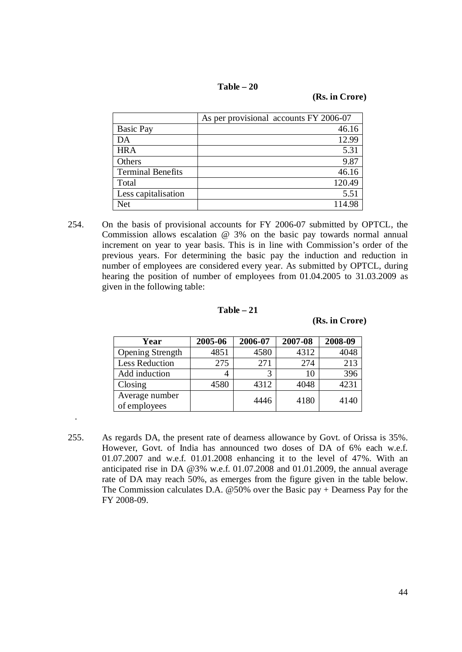| Table | 20 |
|-------|----|
|-------|----|

**(Rs. in Crore)**

|                          | As per provisional accounts FY 2006-07 |
|--------------------------|----------------------------------------|
| <b>Basic Pay</b>         | 46.16                                  |
| DA                       | 12.99                                  |
| <b>HRA</b>               | 5.31                                   |
| Others                   | 9.87                                   |
| <b>Terminal Benefits</b> | 46.16                                  |
| Total                    | 120.49                                 |
| Less capitalisation      | 5.51                                   |
| Net                      | 114.98                                 |

254. On the basis of provisional accounts for FY 2006-07 submitted by OPTCL, the Commission allows escalation @ 3% on the basic pay towards normal annual increment on year to year basis. This is in line with Commission's order of the previous years. For determining the basic pay the induction and reduction in number of employees are considered every year. As submitted by OPTCL, during hearing the position of number of employees from 01.04.2005 to 31.03.2009 as given in the following table:

#### **Table – 21**

#### **(Rs. in Crore)**

| Year                           | 2005-06 | 2006-07 | 2007-08 | 2008-09 |
|--------------------------------|---------|---------|---------|---------|
| <b>Opening Strength</b>        | 4851    | 4580    | 4312    | 4048    |
| <b>Less Reduction</b>          | 275     | 271     | 274     | 213     |
| Add induction                  |         |         | 10      | 396     |
| Closing                        | 4580    | 4312    | 4048    | 4231    |
| Average number<br>of employees |         | 4446    | 4180    | 4140    |

.

255. As regards DA, the present rate of dearness allowance by Govt. of Orissa is 35%. However, Govt. of India has announced two doses of DA of 6% each w.e.f. 01.07.2007 and w.e.f. 01.01.2008 enhancing it to the level of 47%. With an anticipated rise in DA @3% w.e.f. 01.07.2008 and 01.01.2009, the annual average rate of DA may reach 50%, as emerges from the figure given in the table below. The Commission calculates D.A.  $@50\%$  over the Basic pay + Dearness Pay for the FY 2008-09.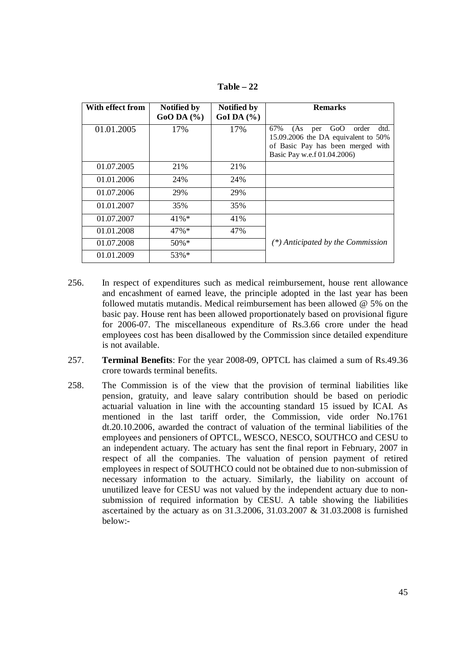**Table – 22**

| With effect from | <b>Notified by</b><br>$GoODA$ (%) | <b>Notified by</b><br>GoI DA $(\% )$ | <b>Remarks</b>                                                                                                                                       |
|------------------|-----------------------------------|--------------------------------------|------------------------------------------------------------------------------------------------------------------------------------------------------|
| 01.01.2005       | 17%                               | 17%                                  | GoO<br>67%<br>(As<br>order<br>dtd.<br>per<br>15.09.2006 the DA equivalent to 50%<br>of Basic Pay has been merged with<br>Basic Pay w.e.f 01.04.2006) |
| 01.07.2005       | 21%                               | 21\%                                 |                                                                                                                                                      |
| 01.01.2006       | 24%                               | 24%                                  |                                                                                                                                                      |
| 01.07.2006       | 29%                               | 29%                                  |                                                                                                                                                      |
| 01.01.2007       | 35%                               | 35%                                  |                                                                                                                                                      |
| 01.07.2007       | 41%*                              | 41%                                  |                                                                                                                                                      |
| 01.01.2008       | 47%*                              | 47%                                  |                                                                                                                                                      |
| 01.07.2008       | 50%*                              |                                      | $(*)$ Anticipated by the Commission                                                                                                                  |
| 01.01.2009       | 53%*                              |                                      |                                                                                                                                                      |

- 256. In respect of expenditures such as medical reimbursement, house rent allowance and encashment of earned leave, the principle adopted in the last year has been followed mutatis mutandis. Medical reimbursement has been allowed @ 5% on the basic pay. House rent has been allowed proportionately based on provisional figure for 2006-07. The miscellaneous expenditure of Rs.3.66 crore under the head employees cost has been disallowed by the Commission since detailed expenditure is not available.
- 257. **Terminal Benefits**: For the year 2008-09, OPTCL has claimed a sum of Rs.49.36 crore towards terminal benefits.
- 258. The Commission is of the view that the provision of terminal liabilities like pension, gratuity, and leave salary contribution should be based on periodic actuarial valuation in line with the accounting standard 15 issued by ICAI. As mentioned in the last tariff order, the Commission, vide order No.1761 dt.20.10.2006, awarded the contract of valuation of the terminal liabilities of the employees and pensioners of OPTCL, WESCO, NESCO, SOUTHCO and CESU to an independent actuary. The actuary has sent the final report in February, 2007 in respect of all the companies. The valuation of pension payment of retired employees in respect of SOUTHCO could not be obtained due to non-submission of necessary information to the actuary. Similarly, the liability on account of unutilized leave for CESU was not valued by the independent actuary due to nonsubmission of required information by CESU. A table showing the liabilities ascertained by the actuary as on 31.3.2006, 31.03.2007 & 31.03.2008 is furnished below:-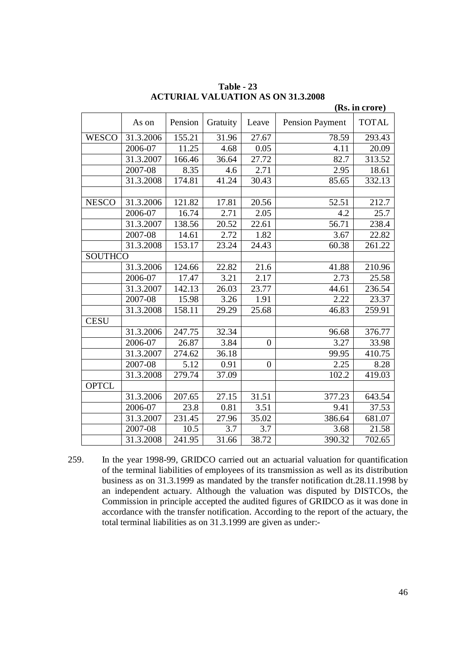|                |           |         |                    |                |                 | (Rs. in crore) |
|----------------|-----------|---------|--------------------|----------------|-----------------|----------------|
|                | As on     | Pension | Gratuity           | Leave          | Pension Payment | <b>TOTAL</b>   |
| <b>WESCO</b>   | 31.3.2006 | 155.21  | 31.96              | 27.67          | 78.59           | 293.43         |
|                | 2006-07   | 11.25   | 4.68               | 0.05           | 4.11            | 20.09          |
|                | 31.3.2007 | 166.46  | 36.64              | 27.72          | 82.7            | 313.52         |
|                | 2007-08   | 8.35    | 4.6                | 2.71           | 2.95            | 18.61          |
|                | 31.3.2008 | 174.81  | 41.24              | 30.43          | 85.65           | 332.13         |
|                |           |         |                    |                |                 |                |
| <b>NESCO</b>   | 31.3.2006 | 121.82  | 17.81              | 20.56          | 52.51           | 212.7          |
|                | 2006-07   | 16.74   | 2.71               | 2.05           | 4.2             | 25.7           |
|                | 31.3.2007 | 138.56  | 20.52              | 22.61          | 56.71           | 238.4          |
|                | 2007-08   | 14.61   | 2.72               | 1.82           | 3.67            | 22.82          |
|                | 31.3.2008 | 153.17  | 23.24              | 24.43          | 60.38           | 261.22         |
| <b>SOUTHCO</b> |           |         |                    |                |                 |                |
|                | 31.3.2006 | 124.66  | 22.82              | 21.6           | 41.88           | 210.96         |
|                | 2006-07   | 17.47   | 3.21               | 2.17           | 2.73            | 25.58          |
|                | 31.3.2007 | 142.13  | $\overline{2}6.03$ | 23.77          | 44.61           | 236.54         |
|                | 2007-08   | 15.98   | 3.26               | 1.91           | 2.22            | 23.37          |
|                | 31.3.2008 | 158.11  | 29.29              | 25.68          | 46.83           | 259.91         |
| <b>CESU</b>    |           |         |                    |                |                 |                |
|                | 31.3.2006 | 247.75  | 32.34              |                | 96.68           | 376.77         |
|                | 2006-07   | 26.87   | 3.84               | $\overline{0}$ | 3.27            | 33.98          |
|                | 31.3.2007 | 274.62  | 36.18              |                | 99.95           | 410.75         |
|                | 2007-08   | 5.12    | 0.91               | $\overline{0}$ | 2.25            | 8.28           |
|                | 31.3.2008 | 279.74  | 37.09              |                | 102.2           | 419.03         |
| <b>OPTCL</b>   |           |         |                    |                |                 |                |
|                | 31.3.2006 | 207.65  | 27.15              | 31.51          | 377.23          | 643.54         |
|                | 2006-07   | 23.8    | 0.81               | 3.51           | 9.41            | 37.53          |
|                | 31.3.2007 | 231.45  | 27.96              | 35.02          | 386.64          | 681.07         |
|                | 2007-08   | 10.5    | 3.7                | 3.7            | 3.68            | 21.58          |
|                | 31.3.2008 | 241.95  | 31.66              | 38.72          | 390.32          | 702.65         |

**Table - 23 ACTURIAL VALUATION AS ON 31.3.2008**

259. In the year 1998-99, GRIDCO carried out an actuarial valuation for quantification of the terminal liabilities of employees of its transmission as well as its distribution business as on 31.3.1999 as mandated by the transfer notification dt.28.11.1998 by an independent actuary. Although the valuation was disputed by DISTCOs, the Commission in principle accepted the audited figures of GRIDCO as it was done in accordance with the transfer notification. According to the report of the actuary, the total terminal liabilities as on 31.3.1999 are given as under:-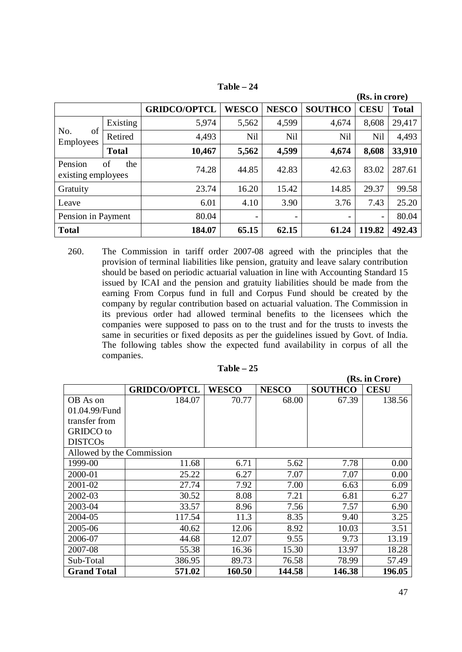|                                            |              |                     |                          |                              |                | (Rs. in crore)           |              |
|--------------------------------------------|--------------|---------------------|--------------------------|------------------------------|----------------|--------------------------|--------------|
|                                            |              | <b>GRIDCO/OPTCL</b> | <b>WESCO</b>             | <b>NESCO</b>                 | <b>SOUTHCO</b> | <b>CESU</b>              | <b>Total</b> |
|                                            | Existing     | 5,974               | 5,562                    | 4,599                        | 4,674          | 8,608                    | 29,417       |
| of<br>No.<br>Employees                     | Retired      | 4,493               | <b>Nil</b>               | Nil                          | <b>Nil</b>     | <b>Nil</b>               | 4,493        |
|                                            | <b>Total</b> | 10,467              | 5,562                    | 4,599                        | 4,674          | 8,608                    | 33,910       |
| Pension<br>of<br>the<br>existing employees |              | 74.28               | 44.85                    | 42.83                        | 42.63          | 83.02                    | 287.61       |
| Gratuity                                   |              | 23.74               | 16.20                    | 15.42                        | 14.85          | 29.37                    | 99.58        |
| Leave                                      |              | 6.01                | 4.10                     | 3.90                         | 3.76           | 7.43                     | 25.20        |
| Pension in Payment                         |              | 80.04               | $\overline{\phantom{0}}$ | $\qquad \qquad \blacksquare$ | -              | $\overline{\phantom{a}}$ | 80.04        |
| <b>Total</b>                               |              | 184.07              | 65.15                    | 62.15                        | 61.24          | 119.82                   | 492.43       |

**Table – 24**

260. The Commission in tariff order 2007-08 agreed with the principles that the provision of terminal liabilities like pension, gratuity and leave salary contribution should be based on periodic actuarial valuation in line with Accounting Standard 15 issued by ICAI and the pension and gratuity liabilities should be made from the earning From Corpus fund in full and Corpus Fund should be created by the company by regular contribution based on actuarial valuation. The Commission in its previous order had allowed terminal benefits to the licensees which the companies were supposed to pass on to the trust and for the trusts to invests the same in securities or fixed deposits as per the guidelines issued by Govt. of India. The following tables show the expected fund availability in corpus of all the companies.

| г<br>Table |  |
|------------|--|
|------------|--|

|                           |                     |              |              |                | (Rs. in Crore) |
|---------------------------|---------------------|--------------|--------------|----------------|----------------|
|                           | <b>GRIDCO/OPTCL</b> | <b>WESCO</b> | <b>NESCO</b> | <b>SOUTHCO</b> | <b>CESU</b>    |
| OB As on                  | 184.07              | 70.77        | 68.00        | 67.39          | 138.56         |
| 01.04.99/Fund             |                     |              |              |                |                |
| transfer from             |                     |              |              |                |                |
| <b>GRIDCO</b> to          |                     |              |              |                |                |
| <b>DISTCOs</b>            |                     |              |              |                |                |
| Allowed by the Commission |                     |              |              |                |                |
| 1999-00                   | 11.68               | 6.71         | 5.62         | 7.78           | 0.00           |
| 2000-01                   | 25.22               | 6.27         | 7.07         | 7.07           | 0.00           |
| 2001-02                   | 27.74               | 7.92         | 7.00         | 6.63           | 6.09           |
| 2002-03                   | 30.52               | 8.08         | 7.21         | 6.81           | 6.27           |
| 2003-04                   | 33.57               | 8.96         | 7.56         | 7.57           | 6.90           |
| 2004-05                   | 117.54              | 11.3         | 8.35         | 9.40           | 3.25           |
| 2005-06                   | 40.62               | 12.06        | 8.92         | 10.03          | 3.51           |
| 2006-07                   | 44.68               | 12.07        | 9.55         | 9.73           | 13.19          |
| 2007-08                   | 55.38               | 16.36        | 15.30        | 13.97          | 18.28          |
| Sub-Total                 | 386.95              | 89.73        | 76.58        | 78.99          | 57.49          |
| <b>Grand Total</b>        | 571.02              | 160.50       | 144.58       | 146.38         | 196.05         |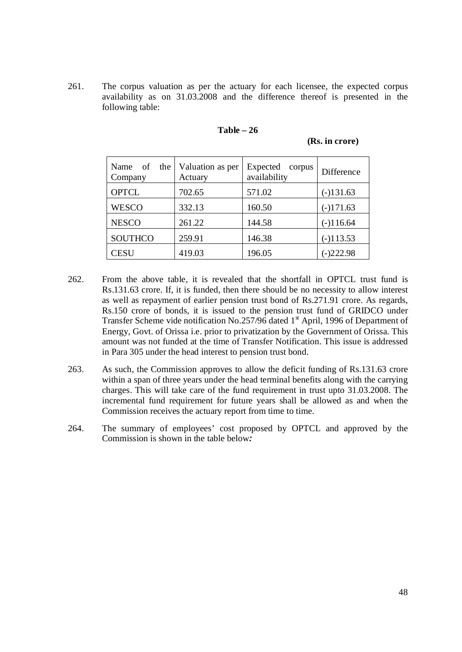261. The corpus valuation as per the actuary for each licensee, the expected corpus availability as on 31.03.2008 and the difference thereof is presented in the following table:

| Name of the<br>Company | Valuation as per<br>Actuary | Expected<br>corpus<br>availability | Difference  |
|------------------------|-----------------------------|------------------------------------|-------------|
| <b>OPTCL</b>           | 702.65                      | 571.02                             | $(-)131.63$ |
| <b>WESCO</b>           | 332.13                      | 160.50                             | $(-)171.63$ |
| <b>NESCO</b>           | 261.22                      | 144.58                             | $(-)116.64$ |
| <b>SOUTHCO</b>         | 259.91                      | 146.38                             | $(-)113.53$ |
| <b>CESU</b>            | 419.03                      | 196.05                             | $(-)222.98$ |

# **Table – 26**

**(Rs. in crore)**

- 262. From the above table, it is revealed that the shortfall in OPTCL trust fund is Rs.131.63 crore. If, it is funded, then there should be no necessity to allow interest as well as repayment of earlier pension trust bond of Rs.271.91 crore. As regards, Rs.150 crore of bonds, it is issued to the pension trust fund of GRIDCO under Transfer Scheme vide notification No.257/96 dated 1<sup>st</sup> April, 1996 of Department of Energy, Govt. of Orissa i.e. prior to privatization by the Government of Orissa. This amount was not funded at the time of Transfer Notification. This issue is addressed in Para 305 under the head interest to pension trust bond.
- 263. As such, the Commission approves to allow the deficit funding of Rs.131.63 crore within a span of three years under the head terminal benefits along with the carrying charges. This will take care of the fund requirement in trust upto 31.03.2008. The incremental fund requirement for future years shall be allowed as and when the Commission receives the actuary report from time to time.
- 264. The summary of employees' cost proposed by OPTCL and approved by the Commission is shown in the table below*:*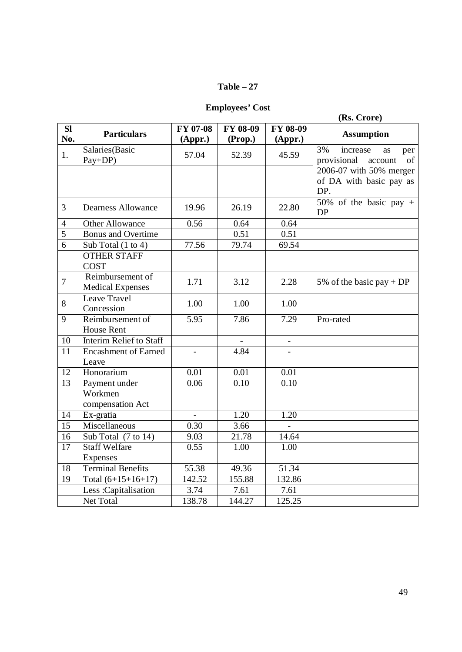# **Table – 27**

**Employees' Cost**

|                 |                                              |                |          |                   | (Rs. Crore)                                                 |
|-----------------|----------------------------------------------|----------------|----------|-------------------|-------------------------------------------------------------|
| SI              |                                              | FY 07-08       | FY 08-09 | FY 08-09          |                                                             |
| No.             | <b>Particulars</b>                           | (Appr.)        | (Prop.)  | (Appr.)           | <b>Assumption</b>                                           |
| 1.              | Salaries(Basic<br>Pay+DP)                    | 57.04          | 52.39    | 45.59             | 3%<br>increase<br>per<br>as<br>provisional<br>of<br>account |
|                 |                                              |                |          |                   | 2006-07 with 50% merger<br>of DA with basic pay as          |
|                 |                                              |                |          |                   | DP.                                                         |
| 3               | <b>Dearness Allowance</b>                    | 19.96          | 26.19    | 22.80             | 50% of the basic pay $+$<br><b>DP</b>                       |
| $\overline{4}$  | <b>Other Allowance</b>                       | 0.56           | 0.64     | 0.64              |                                                             |
| 5               | <b>Bonus and Overtime</b>                    |                | 0.51     | 0.51              |                                                             |
| 6               | Sub Total $(1 \text{ to } 4)$                | 77.56          | 79.74    | 69.54             |                                                             |
|                 | <b>OTHER STAFF</b><br><b>COST</b>            |                |          |                   |                                                             |
| $\overline{7}$  | Reimbursement of<br><b>Medical Expenses</b>  | 1.71           | 3.12     | 2.28              | 5% of the basic pay + DP                                    |
| 8               | Leave Travel<br>Concession                   | 1.00           | 1.00     | 1.00              |                                                             |
| 9               | Reimbursement of<br><b>House Rent</b>        | 5.95           | 7.86     | 7.29              | Pro-rated                                                   |
| 10              | Interim Relief to Staff                      |                |          |                   |                                                             |
| 11              | <b>Encashment of Earned</b><br>Leave         | $\blacksquare$ | 4.84     |                   |                                                             |
| 12              | Honorarium                                   | 0.01           | 0.01     | 0.01              |                                                             |
| 13              | Payment under<br>Workmen<br>compensation Act | 0.06           | 0.10     | $\overline{0.10}$ |                                                             |
| 14              | Ex-gratia                                    | $\mathbf{r}$   | 1.20     | 1.20              |                                                             |
| 15              | Miscellaneous                                | 0.30           | 3.66     |                   |                                                             |
| 16              | Sub Total (7 to 14)                          | 9.03           | 21.78    | 14.64             |                                                             |
| $\overline{17}$ | <b>Staff Welfare</b>                         | 0.55           | 1.00     | 1.00              |                                                             |
|                 | Expenses                                     |                |          |                   |                                                             |
| 18              | <b>Terminal Benefits</b>                     | 55.38          | 49.36    | 51.34             |                                                             |
| 19              | Total $(6+15+16+17)$                         | 142.52         | 155.88   | 132.86            |                                                             |
|                 | Less: Capitalisation                         | 3.74           | 7.61     | 7.61              |                                                             |
|                 | Net Total                                    | 138.78         | 144.27   | 125.25            |                                                             |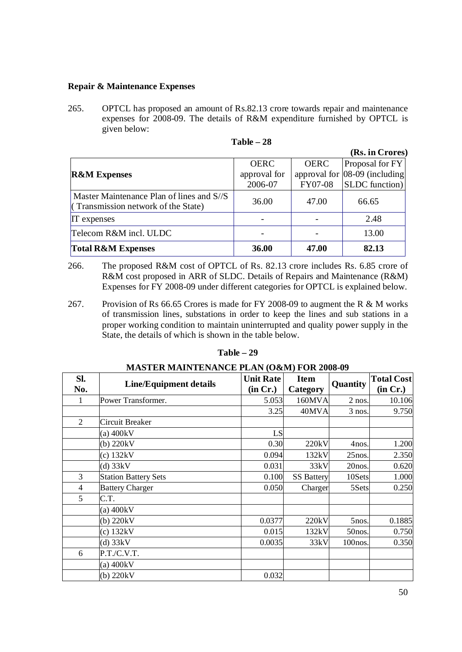#### **Repair & Maintenance Expenses**

265. OPTCL has proposed an amount of Rs.82.13 crore towards repair and maintenance expenses for 2008-09. The details of R&M expenditure furnished by OPTCL is given below:

|                                                                                  |              |             | (Rs. in Crores)               |
|----------------------------------------------------------------------------------|--------------|-------------|-------------------------------|
|                                                                                  | <b>OERC</b>  | <b>OERC</b> | Proposal for FY               |
| <b>R&amp;M Expenses</b>                                                          | approval for |             | approval for 08-09 (including |
|                                                                                  | 2006-07      | FY07-08     | <b>SLDC</b> function)         |
| Master Maintenance Plan of lines and S//S<br>(Transmission network of the State) | 36.00        | 47.00       | 66.65                         |
| <b>IT</b> expenses                                                               |              |             | 2.48                          |
| Telecom R&M incl. ULDC                                                           |              |             | 13.00                         |
| <b>Total R&amp;M Expenses</b>                                                    | 36.00        | 47.00       | 82.13                         |

| Table | 28 |
|-------|----|
|-------|----|

- 266. The proposed R&M cost of OPTCL of Rs. 82.13 crore includes Rs. 6.85 crore of R&M cost proposed in ARR of SLDC. Details of Repairs and Maintenance (R&M) Expenses for FY 2008-09 under different categories for OPTCL is explained below.
- 267. Provision of Rs 66.65 Crores is made for FY 2008-09 to augment the R & M works of transmission lines, substations in order to keep the lines and sub stations in a proper working condition to maintain uninterrupted and quality power supply in the State, the details of which is shown in the table below.

### **Table – 29**

| MASTER MAINTENANCE PLAN (O&M) FOR 2008-09 |                               |                              |                         |           |                               |  |
|-------------------------------------------|-------------------------------|------------------------------|-------------------------|-----------|-------------------------------|--|
| Sl.<br>No.                                | <b>Line/Equipment details</b> | <b>Unit Rate</b><br>(in Cr.) | <b>Item</b><br>Category | Quantity  | <b>Total Cost</b><br>(in Cr.) |  |
| 1                                         | Power Transformer.            | 5.053                        | 160MVA                  | $2$ nos.  | 10.106                        |  |
|                                           |                               | 3.25                         | 40MVA                   | $3$ nos.  | 9.750                         |  |
| $\overline{2}$                            | Circuit Breaker               |                              |                         |           |                               |  |
|                                           | $(a)$ 400 $kV$                | LS                           |                         |           |                               |  |
|                                           | $(b)$ 220 $kV$                | 0.30                         | 220kV                   | 4nos.     | 1.200                         |  |
|                                           | $(c)$ 132 $kV$                | 0.094                        | 132kV                   | $25$ nos. | 2.350                         |  |
|                                           | $(d)$ 33 $kV$                 | 0.031                        | 33kV                    | 20nos.    | 0.620                         |  |
| 3                                         | <b>Station Battery Sets</b>   | 0.100                        | <b>SS Battery</b>       | 10Sets    | 1.000                         |  |
| $\overline{4}$                            | <b>Battery Charger</b>        | 0.050                        | Charger                 | 5Sets     | 0.250                         |  |
| 5                                         | C.T.                          |                              |                         |           |                               |  |
|                                           | $(a)$ 400 $kV$                |                              |                         |           |                               |  |
|                                           | $(b)$ 220 $kV$                | 0.0377                       | 220kV                   | 5nos.     | 0.1885                        |  |
|                                           | $(c)$ 132 $kV$                | 0.015                        | 132kV                   | 50nos.    | 0.750                         |  |
|                                           | $(d)$ 33 $kV$                 | 0.0035                       | 33kV                    | 100nos.   | 0.350                         |  |
| 6                                         | P.T./C.V.T.                   |                              |                         |           |                               |  |
|                                           | $(a)$ 400 $kV$                |                              |                         |           |                               |  |
|                                           | $(b)$ 220 $kV$                | 0.032                        |                         |           |                               |  |

# **MASTER MAINTENANCE PLAN (O&M) FOR 2008-09**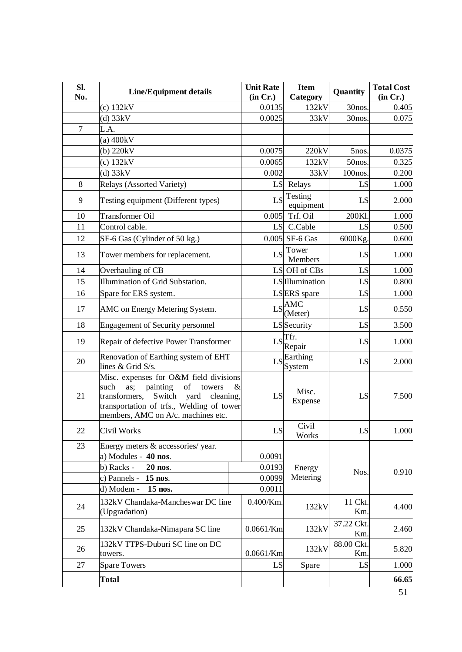| Sl. | <b>Line/Equipment details</b>                                                                                                                                                                                              |      | <b>Unit Rate</b> | <b>Item</b>                      | Quantity             | <b>Total Cost</b> |
|-----|----------------------------------------------------------------------------------------------------------------------------------------------------------------------------------------------------------------------------|------|------------------|----------------------------------|----------------------|-------------------|
| No. |                                                                                                                                                                                                                            |      | (in Cr.)         | Category                         |                      | (in Cr.)          |
|     | $(c)$ 132 $kV$                                                                                                                                                                                                             |      | 0.0135           | 132kV                            | 30nos.               | 0.405             |
|     | $(d)$ 33 $kV$                                                                                                                                                                                                              |      | 0.0025           | 33kV                             | 30nos.               | 0.075             |
| 7   | L.A.                                                                                                                                                                                                                       |      |                  |                                  |                      |                   |
|     | (a) $400kV$                                                                                                                                                                                                                |      |                  | 220kV                            |                      |                   |
|     | $(b)$ 220 $kV$                                                                                                                                                                                                             |      | 0.0075           |                                  | 5nos.                | 0.0375            |
|     | $(c)$ 132 $kV$<br>$(d)$ 33 $kV$                                                                                                                                                                                            |      | 0.0065<br>0.002  | 132kV<br>33kV                    | 50nos.<br>$100$ nos. | 0.325<br>0.200    |
|     |                                                                                                                                                                                                                            |      |                  |                                  |                      |                   |
| 8   | <b>Relays (Assorted Variety)</b>                                                                                                                                                                                           |      | LS               | Relays                           | LS                   | 1.000             |
| 9   | Testing equipment (Different types)                                                                                                                                                                                        |      |                  | Testing<br>LS<br>equipment       | LS                   | 2.000             |
| 10  | <b>Transformer Oil</b>                                                                                                                                                                                                     |      | 0.005            | Trf. Oil                         | 200Kl                | 1.000             |
| 11  | Control cable.                                                                                                                                                                                                             |      |                  | LS C.Cable                       | LS                   | 0.500             |
| 12  | SF-6 Gas (Cylinder of 50 kg.)                                                                                                                                                                                              |      |                  | $0.005$ SF-6 Gas                 | 6000Kg.              | 0.600             |
| 13  | Tower members for replacement.                                                                                                                                                                                             |      | LS               | Tower<br>Members                 | LS                   | 1.000             |
| 14  | Overhauling of CB                                                                                                                                                                                                          |      |                  | LS OH of CBs                     | LS                   | 1.000             |
| 15  | Illumination of Grid Substation.                                                                                                                                                                                           |      |                  | LS Illumination                  | LS                   | 0.800             |
| 16  | Spare for ERS system.                                                                                                                                                                                                      |      |                  | LSERS spare                      | LS                   | 1.000             |
| 17  | AMC on Energy Metering System.                                                                                                                                                                                             |      |                  | $LS$ $\overline{ABC}$<br>(Meter) | LS                   | 0.550             |
| 18  | <b>Engagement of Security personnel</b>                                                                                                                                                                                    |      |                  | LS Security                      | LS                   | 3.500             |
| 19  | Repair of defective Power Transformer                                                                                                                                                                                      |      | LS               | Tfr.<br>Repair                   | LS                   | 1.000             |
| 20  | Renovation of Earthing system of EHT<br>lines & Grid S/s.                                                                                                                                                                  |      |                  | $LS$ <i>Earthing</i><br>System   | LS                   | 2.000             |
| 21  | Misc. expenses for O&M field divisions<br>painting<br>$\sigma$<br>such<br>as;<br>towers<br>Switch<br>transformers,<br>yard<br>cleaning,<br>transportation of trfs., Welding of tower<br>members, AMC on A/c. machines etc. | $\&$ | LS               | Misc.<br>Expense                 | LS                   | 7.500             |
| 22  | Civil Works                                                                                                                                                                                                                |      | LS               | Civil<br>Works                   | LS                   | 1.000             |
| 23  | Energy meters & accessories/ year.                                                                                                                                                                                         |      |                  |                                  |                      |                   |
|     | a) Modules - 40 nos.                                                                                                                                                                                                       |      | 0.0091           |                                  |                      |                   |
|     | b) Racks -<br>20 nos.                                                                                                                                                                                                      |      | 0.0193           | Energy                           | Nos.                 | 0.910             |
|     | c) Pannels -<br>15 nos.                                                                                                                                                                                                    |      | 0.0099           | Metering                         |                      |                   |
|     | d) Modem -<br>15 nos.                                                                                                                                                                                                      |      | 0.0011           |                                  |                      |                   |
| 24  | 132kV Chandaka-Mancheswar DC line<br>(Upgradation)                                                                                                                                                                         |      | $0.400$ /Km.     | 132kV                            | 11 Ckt.<br>Km.       | 4.400             |
| 25  | 132kV Chandaka-Nimapara SC line                                                                                                                                                                                            |      | $0.0661$ /Km     | 132kV                            | 37.22 Ckt.<br>Km.    | 2.460             |
| 26  | 132kV TTPS-Duburi SC line on DC<br>towers.                                                                                                                                                                                 |      | $0.0661$ /Km     | 132kV                            | 88.00 Ckt.<br>Km.    | 5.820             |
| 27  | <b>Spare Towers</b>                                                                                                                                                                                                        |      | LS               | Spare                            | LS                   | 1.000             |
|     | <b>Total</b>                                                                                                                                                                                                               |      |                  |                                  |                      | 66.65             |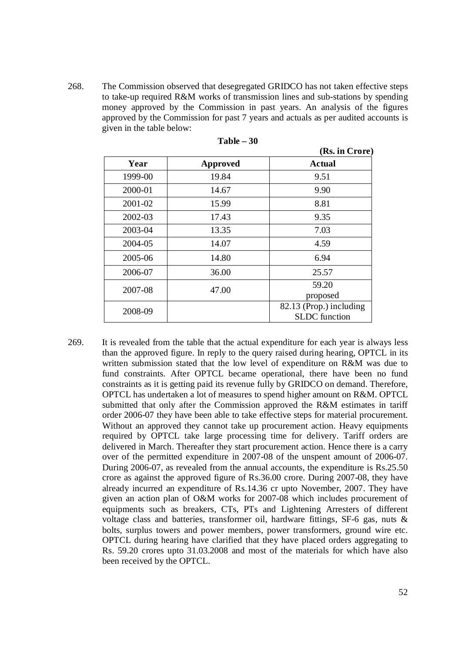268. The Commission observed that desegregated GRIDCO has not taken effective steps to take-up required R&M works of transmission lines and sub-stations by spending money approved by the Commission in past years. An analysis of the figures approved by the Commission for past 7 years and actuals as per audited accounts is given in the table below:

|         |                 | (Rs. in Crore)                                  |
|---------|-----------------|-------------------------------------------------|
| Year    | <b>Approved</b> | <b>Actual</b>                                   |
| 1999-00 | 19.84           | 9.51                                            |
| 2000-01 | 14.67           | 9.90                                            |
| 2001-02 | 15.99           | 8.81                                            |
| 2002-03 | 17.43           | 9.35                                            |
| 2003-04 | 13.35           | 7.03                                            |
| 2004-05 | 14.07           | 4.59                                            |
| 2005-06 | 14.80           | 6.94                                            |
| 2006-07 | 36.00           | 25.57                                           |
| 2007-08 | 47.00           | 59.20                                           |
|         |                 | proposed                                        |
| 2008-09 |                 | 82.13 (Prop.) including<br><b>SLDC</b> function |

| Table - | - 30 |  |
|---------|------|--|
|---------|------|--|

269. It is revealed from the table that the actual expenditure for each year is always less than the approved figure. In reply to the query raised during hearing, OPTCL in its written submission stated that the low level of expenditure on R&M was due to fund constraints. After OPTCL became operational, there have been no fund constraints as it is getting paid its revenue fully by GRIDCO on demand. Therefore, OPTCL has undertaken a lot of measures to spend higher amount on R&M. OPTCL submitted that only after the Commission approved the R&M estimates in tariff order 2006-07 they have been able to take effective steps for material procurement. Without an approved they cannot take up procurement action. Heavy equipments required by OPTCL take large processing time for delivery. Tariff orders are delivered in March. Thereafter they start procurement action. Hence there is a carry over of the permitted expenditure in 2007-08 of the unspent amount of 2006-07. During 2006-07, as revealed from the annual accounts, the expenditure is Rs.25.50 crore as against the approved figure of Rs.36.00 crore. During 2007-08, they have already incurred an expenditure of Rs.14.36 cr upto November, 2007. They have given an action plan of O&M works for 2007-08 which includes procurement of equipments such as breakers, CTs, PTs and Lightening Arresters of different voltage class and batteries, transformer oil, hardware fittings, SF-6 gas, nuts & bolts, surplus towers and power members, power transformers, ground wire etc. OPTCL during hearing have clarified that they have placed orders aggregating to Rs. 59.20 crores upto 31.03.2008 and most of the materials for which have also been received by the OPTCL.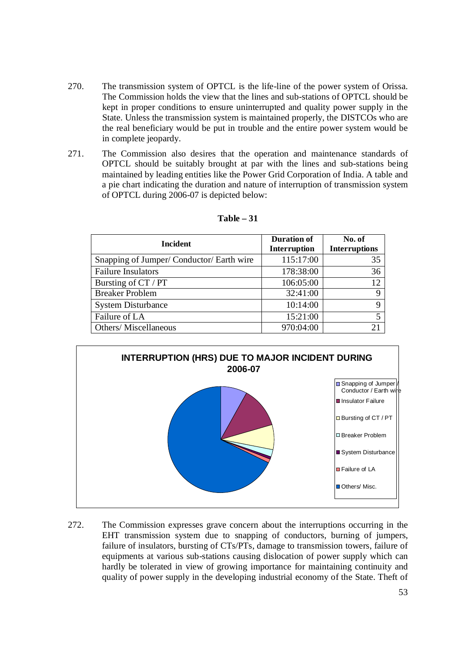- 270. The transmission system of OPTCL is the life-line of the power system of Orissa. The Commission holds the view that the lines and sub-stations of OPTCL should be kept in proper conditions to ensure uninterrupted and quality power supply in the State. Unless the transmission system is maintained properly, the DISTCOs who are the real beneficiary would be put in trouble and the entire power system would be in complete jeopardy.
- 271. The Commission also desires that the operation and maintenance standards of OPTCL should be suitably brought at par with the lines and sub-stations being maintained by leading entities like the Power Grid Corporation of India. A table and a pie chart indicating the duration and nature of interruption of transmission system of OPTCL during 2006-07 is depicted below:

| <b>Incident</b>                         | <b>Duration of</b><br><b>Interruption</b> | No. of<br><b>Interruptions</b> |
|-----------------------------------------|-------------------------------------------|--------------------------------|
| Snapping of Jumper/Conductor/Earth wire | 115:17:00                                 | 35                             |
| <b>Failure Insulators</b>               | 178:38:00                                 | 36                             |
| Bursting of CT / PT                     | 106:05:00                                 | 12                             |
| <b>Breaker Problem</b>                  | 32:41:00                                  | 9                              |
| <b>System Disturbance</b>               | 10:14:00                                  |                                |
| Failure of LA                           | 15:21:00                                  |                                |
| Others/Miscellaneous                    | 970:04:00                                 | 21                             |

| Table |  |
|-------|--|
|-------|--|



272. The Commission expresses grave concern about the interruptions occurring in the EHT transmission system due to snapping of conductors, burning of jumpers, failure of insulators, bursting of CTs/PTs, damage to transmission towers, failure of equipments at various sub-stations causing dislocation of power supply which can hardly be tolerated in view of growing importance for maintaining continuity and quality of power supply in the developing industrial economy of the State. Theft of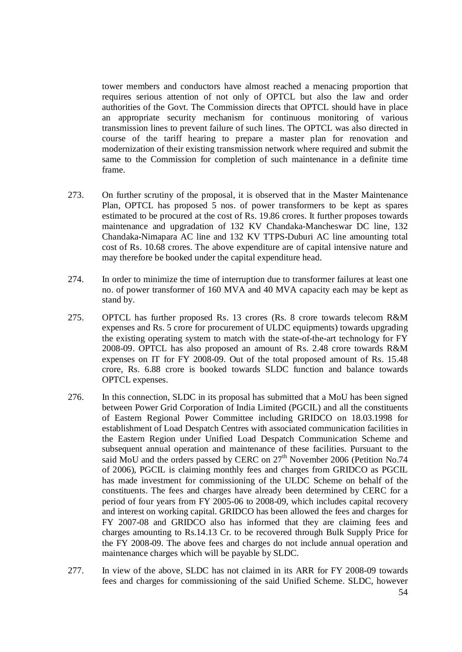tower members and conductors have almost reached a menacing proportion that requires serious attention of not only of OPTCL but also the law and order authorities of the Govt. The Commission directs that OPTCL should have in place an appropriate security mechanism for continuous monitoring of various transmission lines to prevent failure of such lines. The OPTCL was also directed in course of the tariff hearing to prepare a master plan for renovation and modernization of their existing transmission network where required and submit the same to the Commission for completion of such maintenance in a definite time frame.

- 273. On further scrutiny of the proposal, it is observed that in the Master Maintenance Plan, OPTCL has proposed 5 nos. of power transformers to be kept as spares estimated to be procured at the cost of Rs. 19.86 crores. It further proposes towards maintenance and upgradation of 132 KV Chandaka-Mancheswar DC line, 132 Chandaka-Nimapara AC line and 132 KV TTPS-Duburi AC line amounting total cost of Rs. 10.68 crores. The above expenditure are of capital intensive nature and may therefore be booked under the capital expenditure head.
- 274. In order to minimize the time of interruption due to transformer failures at least one no. of power transformer of 160 MVA and 40 MVA capacity each may be kept as stand by.
- 275. OPTCL has further proposed Rs. 13 crores (Rs. 8 crore towards telecom R&M expenses and Rs. 5 crore for procurement of ULDC equipments) towards upgrading the existing operating system to match with the state-of-the-art technology for FY 2008-09. OPTCL has also proposed an amount of Rs. 2.48 crore towards R&M expenses on IT for FY 2008-09. Out of the total proposed amount of Rs. 15.48 crore, Rs. 6.88 crore is booked towards SLDC function and balance towards OPTCL expenses.
- 276. In this connection, SLDC in its proposal has submitted that a MoU has been signed between Power Grid Corporation of India Limited (PGCIL) and all the constituents of Eastern Regional Power Committee including GRIDCO on 18.03.1998 for establishment of Load Despatch Centres with associated communication facilities in the Eastern Region under Unified Load Despatch Communication Scheme and subsequent annual operation and maintenance of these facilities. Pursuant to the said MoU and the orders passed by CERC on 27<sup>th</sup> November 2006 (Petition No.74 of 2006), PGCIL is claiming monthly fees and charges from GRIDCO as PGCIL has made investment for commissioning of the ULDC Scheme on behalf of the constituents. The fees and charges have already been determined by CERC for a period of four years from FY 2005-06 to 2008-09, which includes capital recovery and interest on working capital. GRIDCO has been allowed the fees and charges for FY 2007-08 and GRIDCO also has informed that they are claiming fees and charges amounting to Rs.14.13 Cr. to be recovered through Bulk Supply Price for the FY 2008-09. The above fees and charges do not include annual operation and maintenance charges which will be payable by SLDC.
- 277. In view of the above, SLDC has not claimed in its ARR for FY 2008-09 towards fees and charges for commissioning of the said Unified Scheme. SLDC, however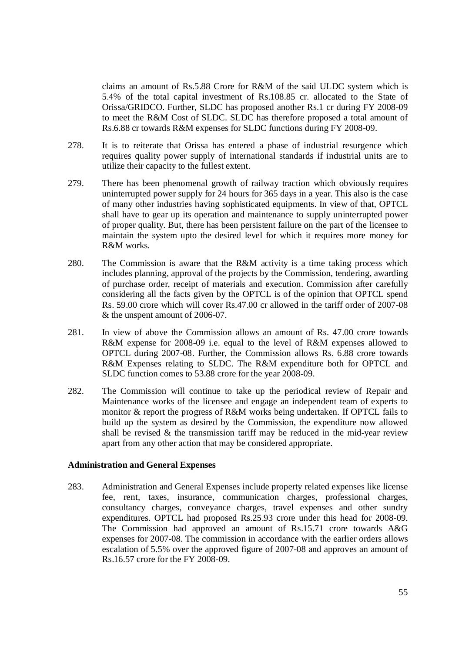claims an amount of Rs.5.88 Crore for R&M of the said ULDC system which is 5.4% of the total capital investment of Rs.108.85 cr. allocated to the State of Orissa/GRIDCO. Further, SLDC has proposed another Rs.1 cr during FY 2008-09 to meet the R&M Cost of SLDC. SLDC has therefore proposed a total amount of Rs.6.88 cr towards R&M expenses for SLDC functions during FY 2008-09.

- 278. It is to reiterate that Orissa has entered a phase of industrial resurgence which requires quality power supply of international standards if industrial units are to utilize their capacity to the fullest extent.
- 279. There has been phenomenal growth of railway traction which obviously requires uninterrupted power supply for 24 hours for 365 days in a year. This also is the case of many other industries having sophisticated equipments. In view of that, OPTCL shall have to gear up its operation and maintenance to supply uninterrupted power of proper quality. But, there has been persistent failure on the part of the licensee to maintain the system upto the desired level for which it requires more money for R&M works.
- 280. The Commission is aware that the R&M activity is a time taking process which includes planning, approval of the projects by the Commission, tendering, awarding of purchase order, receipt of materials and execution. Commission after carefully considering all the facts given by the OPTCL is of the opinion that OPTCL spend Rs. 59.00 crore which will cover Rs.47.00 cr allowed in the tariff order of 2007-08 & the unspent amount of 2006-07.
- 281. In view of above the Commission allows an amount of Rs. 47.00 crore towards R&M expense for 2008-09 i.e. equal to the level of R&M expenses allowed to OPTCL during 2007-08. Further, the Commission allows Rs. 6.88 crore towards R&M Expenses relating to SLDC. The R&M expenditure both for OPTCL and SLDC function comes to 53.88 crore for the year 2008-09.
- 282. The Commission will continue to take up the periodical review of Repair and Maintenance works of the licensee and engage an independent team of experts to monitor & report the progress of R&M works being undertaken. If OPTCL fails to build up the system as desired by the Commission, the expenditure now allowed shall be revised  $\&$  the transmission tariff may be reduced in the mid-year review apart from any other action that may be considered appropriate.

#### **Administration and General Expenses**

283. Administration and General Expenses include property related expenses like license fee, rent, taxes, insurance, communication charges, professional charges, consultancy charges, conveyance charges, travel expenses and other sundry expenditures. OPTCL had proposed Rs.25.93 crore under this head for 2008-09. The Commission had approved an amount of Rs.15.71 crore towards A&G expenses for 2007-08. The commission in accordance with the earlier orders allows escalation of 5.5% over the approved figure of 2007-08 and approves an amount of Rs.16.57 crore for the FY 2008-09.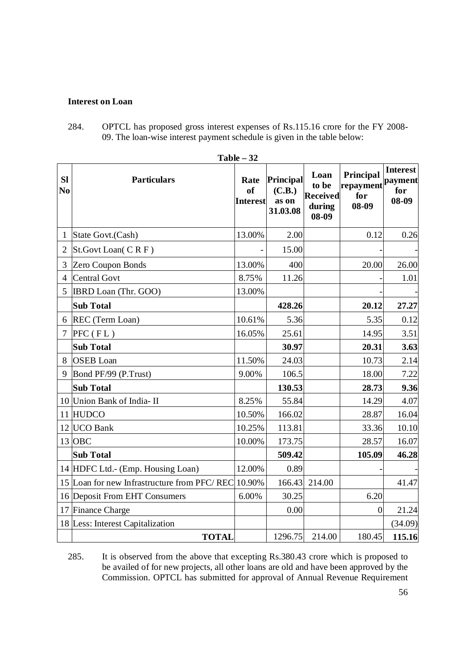### **Interest on Loan**

284. OPTCL has proposed gross interest expenses of Rs.115.16 crore for the FY 2008- 09. The loan-wise interest payment schedule is given in the table below:

|                      | Table $-32$                                 |                                          |                                          |                                                       |                                        |                                            |  |  |
|----------------------|---------------------------------------------|------------------------------------------|------------------------------------------|-------------------------------------------------------|----------------------------------------|--------------------------------------------|--|--|
| SI<br>N <sub>0</sub> | <b>Particulars</b>                          | Rate<br><sub>of</sub><br><b>Interest</b> | Principal<br>(C.B.)<br>as on<br>31.03.08 | Loan<br>to be<br><b>Received</b><br>during<br>$08-09$ | Principal<br>repayment<br>for<br>08-09 | <b>Interest</b><br>payment<br>for<br>08-09 |  |  |
| 1                    | State Govt.(Cash)                           | 13.00%                                   | 2.00                                     |                                                       | 0.12                                   | 0.26                                       |  |  |
| $\overline{2}$       | St.Govt Loan(CRF)                           |                                          | 15.00                                    |                                                       |                                        |                                            |  |  |
| 3                    | Zero Coupon Bonds                           | 13.00%                                   | 400                                      |                                                       | 20.00                                  | 26.00                                      |  |  |
| 4                    | <b>Central Govt</b>                         | 8.75%                                    | 11.26                                    |                                                       |                                        | 1.01                                       |  |  |
| 5                    | IBRD Loan (Thr. GOO)                        | 13.00%                                   |                                          |                                                       |                                        |                                            |  |  |
|                      | <b>Sub Total</b>                            |                                          | 428.26                                   |                                                       | 20.12                                  | 27.27                                      |  |  |
| 6                    | REC (Term Loan)                             | 10.61%                                   | 5.36                                     |                                                       | 5.35                                   | 0.12                                       |  |  |
| 7                    | $PFC$ ( $FL$ )                              | 16.05%                                   | 25.61                                    |                                                       | 14.95                                  | 3.51                                       |  |  |
|                      | <b>Sub Total</b>                            |                                          | 30.97                                    |                                                       | 20.31                                  | 3.63                                       |  |  |
| 8                    | <b>OSEB</b> Loan                            | 11.50%                                   | 24.03                                    |                                                       | 10.73                                  | 2.14                                       |  |  |
| 9                    | Bond PF/99 (P.Trust)                        | 9.00%                                    | 106.5                                    |                                                       | 18.00                                  | 7.22                                       |  |  |
|                      | <b>Sub Total</b>                            |                                          | 130.53                                   |                                                       | 28.73                                  | 9.36                                       |  |  |
|                      | 10 Union Bank of India- II                  | 8.25%                                    | 55.84                                    |                                                       | 14.29                                  | 4.07                                       |  |  |
|                      | 11 HUDCO                                    | 10.50%                                   | 166.02                                   |                                                       | 28.87                                  | 16.04                                      |  |  |
|                      | 12 UCO Bank                                 | 10.25%                                   | 113.81                                   |                                                       | 33.36                                  | 10.10                                      |  |  |
|                      | 13 OBC                                      | 10.00%                                   | 173.75                                   |                                                       | 28.57                                  | 16.07                                      |  |  |
|                      | <b>Sub Total</b>                            |                                          | 509.42                                   |                                                       | 105.09                                 | 46.28                                      |  |  |
|                      | 14 HDFC Ltd.- (Emp. Housing Loan)           | 12.00%                                   | 0.89                                     |                                                       |                                        |                                            |  |  |
|                      | 15 Loan for new Infrastructure from PFC/REC | 10.90%                                   | 166.43                                   | 214.00                                                |                                        | 41.47                                      |  |  |
|                      | 16 Deposit From EHT Consumers               | 6.00%                                    | 30.25                                    |                                                       | 6.20                                   |                                            |  |  |
|                      | 17 Finance Charge                           |                                          | 0.00                                     |                                                       | $\overline{0}$                         | 21.24                                      |  |  |
|                      | 18 Less: Interest Capitalization            |                                          |                                          |                                                       |                                        | (34.09)                                    |  |  |
|                      | <b>TOTAL</b>                                |                                          | 1296.75                                  | 214.00                                                | 180.45                                 | 115.16                                     |  |  |

285. It is observed from the above that excepting Rs.380.43 crore which is proposed to be availed of for new projects, all other loans are old and have been approved by the Commission. OPTCL has submitted for approval of Annual Revenue Requirement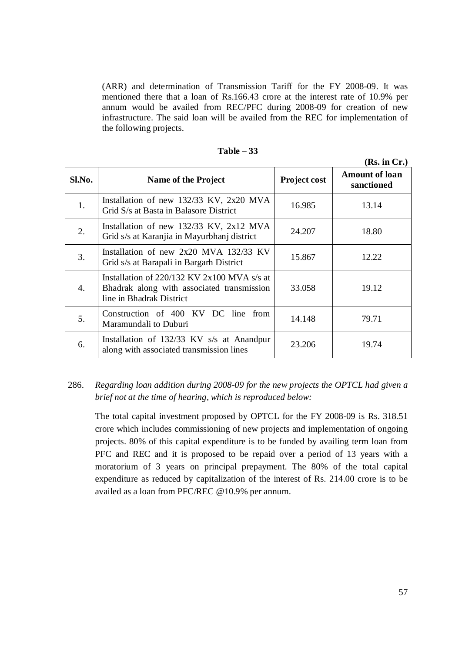(ARR) and determination of Transmission Tariff for the FY 2008-09. It was mentioned there that a loan of Rs.166.43 crore at the interest rate of 10.9% per annum would be availed from REC/PFC during 2008-09 for creation of new infrastructure. The said loan will be availed from the REC for implementation of the following projects.

|            |                                                                                                                           |              | (Rs. in Cr.)                        |
|------------|---------------------------------------------------------------------------------------------------------------------------|--------------|-------------------------------------|
| $Sl$ . No. | Name of the Project                                                                                                       | Project cost | <b>Amount of loan</b><br>sanctioned |
| 1.         | Installation of new 132/33 KV, 2x20 MVA<br>Grid S/s at Basta in Balasore District                                         | 16.985       | 13.14                               |
| 2.         | Installation of new 132/33 KV, 2x12 MVA<br>Grid s/s at Karanjia in Mayurbhanj district                                    | 24.207       | 18.80                               |
| 3.         | Installation of new $2x20$ MVA 132/33 KV<br>Grid s/s at Barapali in Bargarh District                                      | 15.867       | 12.22                               |
| 4.         | Installation of $220/132$ KV $2x100$ MVA s/s at<br>Bhadrak along with associated transmission<br>line in Bhadrak District | 33.058       | 19.12                               |
| 5.         | Construction of 400 KV DC line from<br>Maramundali to Duburi                                                              | 14.148       | 79.71                               |
| 6.         | Installation of 132/33 KV s/s at Anandpur<br>along with associated transmission lines                                     | 23.206       | 19.74                               |

| Table |  |
|-------|--|
|-------|--|

# 286. *Regarding loan addition during 2008-09 for the new projects the OPTCL had given a brief not at the time of hearing, which is reproduced below:*

The total capital investment proposed by OPTCL for the FY 2008-09 is Rs. 318.51 crore which includes commissioning of new projects and implementation of ongoing projects. 80% of this capital expenditure is to be funded by availing term loan from PFC and REC and it is proposed to be repaid over a period of 13 years with a moratorium of 3 years on principal prepayment. The 80% of the total capital expenditure as reduced by capitalization of the interest of Rs. 214.00 crore is to be availed as a loan from PFC/REC @10.9% per annum.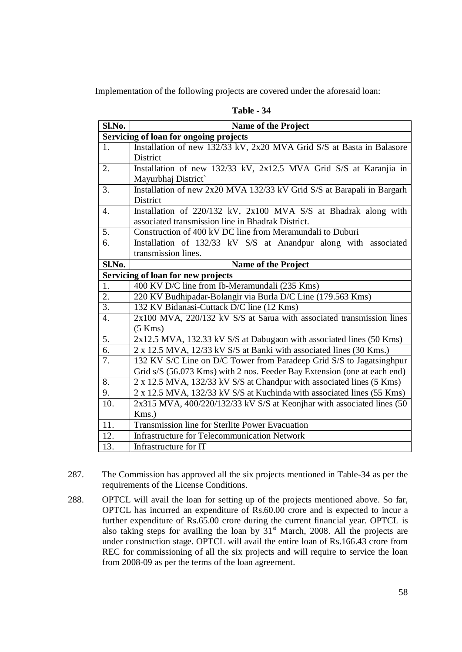Implementation of the following projects are covered under the aforesaid loan:

| Sl.No.           | <b>Name of the Project</b>                                               |  |  |
|------------------|--------------------------------------------------------------------------|--|--|
|                  | Servicing of loan for ongoing projects                                   |  |  |
| 1.               | Installation of new 132/33 kV, 2x20 MVA Grid S/S at Basta in Balasore    |  |  |
|                  | <b>District</b>                                                          |  |  |
| 2.               | Installation of new 132/33 kV, 2x12.5 MVA Grid S/S at Karanjia in        |  |  |
|                  | Mayurbhaj District                                                       |  |  |
| 3.               | Installation of new 2x20 MVA 132/33 kV Grid S/S at Barapali in Bargarh   |  |  |
|                  | <b>District</b>                                                          |  |  |
| $\overline{4}$ . | Installation of 220/132 kV, 2x100 MVA S/S at Bhadrak along with          |  |  |
|                  | associated transmission line in Bhadrak District.                        |  |  |
| 5.               | Construction of 400 kV DC line from Meramundali to Duburi                |  |  |
| 6.               | Installation of 132/33 kV S/S at Anandpur along with associated          |  |  |
|                  | transmission lines.                                                      |  |  |
| Sl.No.           | <b>Name of the Project</b>                                               |  |  |
|                  | Servicing of loan for new projects                                       |  |  |
| 1.               | 400 KV D/C line from Ib-Meramundali (235 Kms)                            |  |  |
| 2.               | 220 KV Budhipadar-Bolangir via Burla D/C Line (179.563 Kms)              |  |  |
| 3.               | 132 KV Bidanasi-Cuttack D/C line (12 Kms)                                |  |  |
| 4.               | 2x100 MVA, 220/132 kV S/S at Sarua with associated transmission lines    |  |  |
|                  | $(5$ Kms $)$                                                             |  |  |
| 5.               | 2x12.5 MVA, 132.33 kV S/S at Dabugaon with associated lines (50 Kms)     |  |  |
| 6.               | 2 x 12.5 MVA, 12/33 kV S/S at Banki with associated lines (30 Kms.)      |  |  |
| 7.               | 132 KV S/C Line on D/C Tower from Paradeep Grid S/S to Jagatsinghpur     |  |  |
|                  | Grid s/S (56.073 Kms) with 2 nos. Feeder Bay Extension (one at each end) |  |  |
| 8.               | 2 x 12.5 MVA, 132/33 kV S/S at Chandpur with associated lines (5 Kms)    |  |  |
| 9.               | 2 x 12.5 MVA, 132/33 kV S/S at Kuchinda with associated lines (55 Kms)   |  |  |
| 10.              | 2x315 MVA, 400/220/132/33 kV S/S at Keonjhar with associated lines (50   |  |  |
|                  | Kms.)                                                                    |  |  |
| 11.              | Transmission line for Sterlite Power Evacuation                          |  |  |
| 12.              | <b>Infrastructure for Telecommunication Network</b>                      |  |  |
| 13.              | Infrastructure for IT                                                    |  |  |

- 287. The Commission has approved all the six projects mentioned in Table-34 as per the requirements of the License Conditions.
- 288. OPTCL will avail the loan for setting up of the projects mentioned above. So far, OPTCL has incurred an expenditure of Rs.60.00 crore and is expected to incur a further expenditure of Rs.65.00 crore during the current financial year. OPTCL is also taking steps for availing the loan by  $31<sup>st</sup>$  March, 2008. All the projects are under construction stage. OPTCL will avail the entire loan of Rs.166.43 crore from REC for commissioning of all the six projects and will require to service the loan from 2008-09 as per the terms of the loan agreement.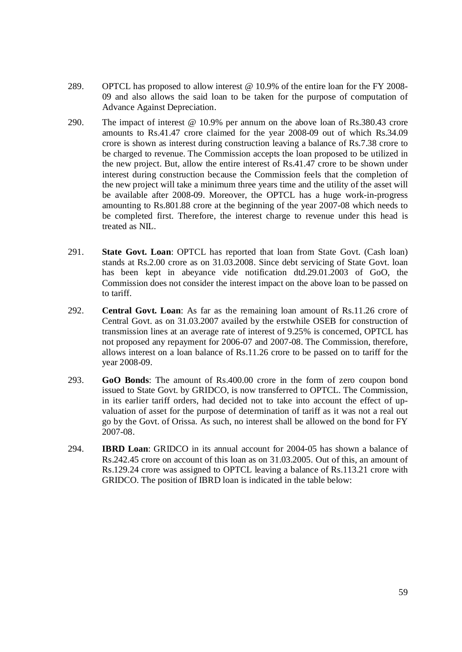- 289. OPTCL has proposed to allow interest @ 10.9% of the entire loan for the FY 2008- 09 and also allows the said loan to be taken for the purpose of computation of Advance Against Depreciation.
- 290. The impact of interest @ 10.9% per annum on the above loan of Rs.380.43 crore amounts to Rs.41.47 crore claimed for the year 2008-09 out of which Rs.34.09 crore is shown as interest during construction leaving a balance of Rs.7.38 crore to be charged to revenue. The Commission accepts the loan proposed to be utilized in the new project. But, allow the entire interest of Rs.41.47 crore to be shown under interest during construction because the Commission feels that the completion of the new project will take a minimum three years time and the utility of the asset will be available after 2008-09. Moreover, the OPTCL has a huge work-in-progress amounting to Rs.801.88 crore at the beginning of the year 2007-08 which needs to be completed first. Therefore, the interest charge to revenue under this head is treated as NIL.
- 291. **State Govt. Loan**: OPTCL has reported that loan from State Govt. (Cash loan) stands at Rs.2.00 crore as on 31.03.2008. Since debt servicing of State Govt. loan has been kept in abeyance vide notification dtd.29.01.2003 of GoO, the Commission does not consider the interest impact on the above loan to be passed on to tariff.
- 292. **Central Govt. Loan**: As far as the remaining loan amount of Rs.11.26 crore of Central Govt. as on 31.03.2007 availed by the erstwhile OSEB for construction of transmission lines at an average rate of interest of 9.25% is concerned, OPTCL has not proposed any repayment for 2006-07 and 2007-08. The Commission, therefore, allows interest on a loan balance of Rs.11.26 crore to be passed on to tariff for the year 2008-09.
- 293. **GoO Bonds**: The amount of Rs.400.00 crore in the form of zero coupon bond issued to State Govt. by GRIDCO, is now transferred to OPTCL. The Commission, in its earlier tariff orders, had decided not to take into account the effect of upvaluation of asset for the purpose of determination of tariff as it was not a real out go by the Govt. of Orissa. As such, no interest shall be allowed on the bond for FY 2007-08.
- 294. **IBRD Loan**: GRIDCO in its annual account for 2004-05 has shown a balance of Rs.242.45 crore on account of this loan as on 31.03.2005. Out of this, an amount of Rs.129.24 crore was assigned to OPTCL leaving a balance of Rs.113.21 crore with GRIDCO. The position of IBRD loan is indicated in the table below: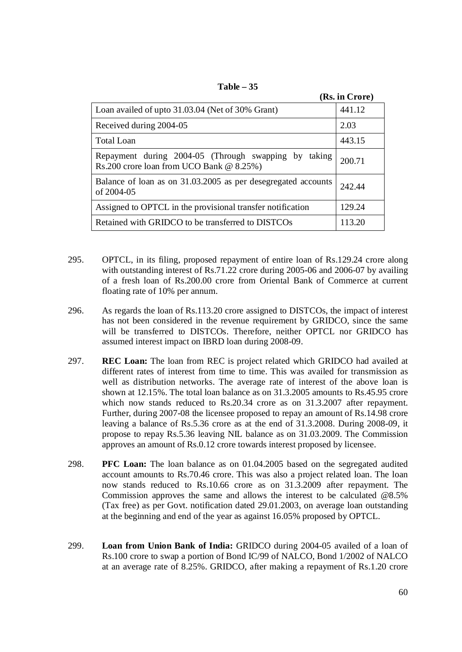|                                                                                                  | (Rs. in Crore) |
|--------------------------------------------------------------------------------------------------|----------------|
| Loan availed of upto 31.03.04 (Net of 30% Grant)                                                 | 441.12         |
| Received during 2004-05                                                                          | 2.03           |
| <b>Total Loan</b>                                                                                | 443.15         |
| Repayment during 2004-05 (Through swapping by taking<br>Rs.200 crore loan from UCO Bank @ 8.25%) | 200.71         |
| Balance of loan as on 31.03.2005 as per desegregated accounts<br>of 2004-05                      | 242.44         |
| Assigned to OPTCL in the provisional transfer notification                                       | 129.24         |
| Retained with GRIDCO to be transferred to DISTCOs                                                | 113.20         |

**Table – 35**

- 295. OPTCL, in its filing, proposed repayment of entire loan of Rs.129.24 crore along with outstanding interest of Rs.71.22 crore during 2005-06 and 2006-07 by availing of a fresh loan of Rs.200.00 crore from Oriental Bank of Commerce at current floating rate of 10% per annum.
- 296. As regards the loan of Rs.113.20 crore assigned to DISTCOs, the impact of interest has not been considered in the revenue requirement by GRIDCO, since the same will be transferred to DISTCOs. Therefore, neither OPTCL nor GRIDCO has assumed interest impact on IBRD loan during 2008-09.
- 297. **REC Loan:** The loan from REC is project related which GRIDCO had availed at different rates of interest from time to time. This was availed for transmission as well as distribution networks. The average rate of interest of the above loan is shown at 12.15%. The total loan balance as on 31.3.2005 amounts to Rs.45.95 crore which now stands reduced to Rs.20.34 crore as on 31.3.2007 after repayment. Further, during 2007-08 the licensee proposed to repay an amount of Rs.14.98 crore leaving a balance of Rs.5.36 crore as at the end of 31.3.2008. During 2008-09, it propose to repay Rs.5.36 leaving NIL balance as on 31.03.2009. The Commission approves an amount of Rs.0.12 crore towards interest proposed by licensee.
- 298. **PFC Loan:** The loan balance as on 01.04.2005 based on the segregated audited account amounts to Rs.70.46 crore. This was also a project related loan. The loan now stands reduced to Rs.10.66 crore as on 31.3.2009 after repayment. The Commission approves the same and allows the interest to be calculated @8.5% (Tax free) as per Govt. notification dated 29.01.2003, on average loan outstanding at the beginning and end of the year as against 16.05% proposed by OPTCL.
- 299. **Loan from Union Bank of India:** GRIDCO during 2004-05 availed of a loan of Rs.100 crore to swap a portion of Bond IC/99 of NALCO, Bond 1/2002 of NALCO at an average rate of 8.25%. GRIDCO, after making a repayment of Rs.1.20 crore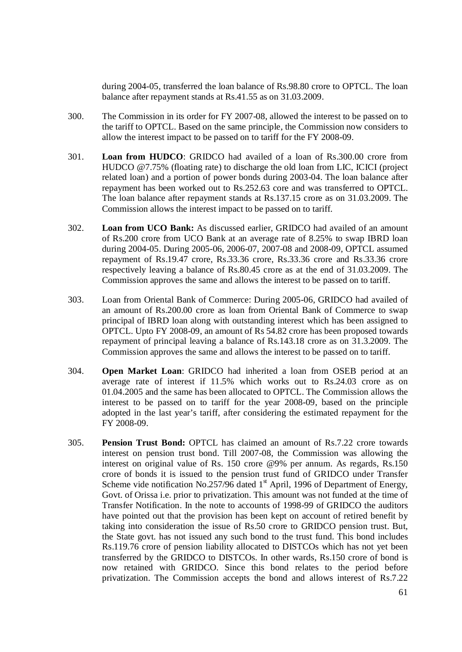during 2004-05, transferred the loan balance of Rs.98.80 crore to OPTCL. The loan balance after repayment stands at Rs.41.55 as on 31.03.2009.

- 300. The Commission in its order for FY 2007-08, allowed the interest to be passed on to the tariff to OPTCL. Based on the same principle, the Commission now considers to allow the interest impact to be passed on to tariff for the FY 2008-09.
- 301. **Loan from HUDCO**: GRIDCO had availed of a loan of Rs.300.00 crore from HUDCO @7.75% (floating rate) to discharge the old loan from LIC, ICICI (project related loan) and a portion of power bonds during 2003-04. The loan balance after repayment has been worked out to Rs.252.63 core and was transferred to OPTCL. The loan balance after repayment stands at Rs.137.15 crore as on 31.03.2009. The Commission allows the interest impact to be passed on to tariff.
- 302. **Loan from UCO Bank:** As discussed earlier, GRIDCO had availed of an amount of Rs.200 crore from UCO Bank at an average rate of 8.25% to swap IBRD loan during 2004-05. During 2005-06, 2006-07, 2007-08 and 2008-09, OPTCL assumed repayment of Rs.19.47 crore, Rs.33.36 crore, Rs.33.36 crore and Rs.33.36 crore respectively leaving a balance of Rs.80.45 crore as at the end of 31.03.2009. The Commission approves the same and allows the interest to be passed on to tariff.
- 303. Loan from Oriental Bank of Commerce: During 2005-06, GRIDCO had availed of an amount of Rs.200.00 crore as loan from Oriental Bank of Commerce to swap principal of IBRD loan along with outstanding interest which has been assigned to OPTCL. Upto FY 2008-09, an amount of Rs 54.82 crore has been proposed towards repayment of principal leaving a balance of Rs.143.18 crore as on 31.3.2009. The Commission approves the same and allows the interest to be passed on to tariff.
- 304. **Open Market Loan**: GRIDCO had inherited a loan from OSEB period at an average rate of interest if 11.5% which works out to Rs.24.03 crore as on 01.04.2005 and the same has been allocated to OPTCL. The Commission allows the interest to be passed on to tariff for the year 2008-09, based on the principle adopted in the last year's tariff, after considering the estimated repayment for the FY 2008-09.
- 305. **Pension Trust Bond:** OPTCL has claimed an amount of Rs.7.22 crore towards interest on pension trust bond. Till 2007-08, the Commission was allowing the interest on original value of Rs. 150 crore @9% per annum. As regards, Rs.150 crore of bonds it is issued to the pension trust fund of GRIDCO under Transfer Scheme vide notification No.257/96 dated  $1<sup>st</sup>$  April, 1996 of Department of Energy, Govt. of Orissa i.e. prior to privatization. This amount was not funded at the time of Transfer Notification. In the note to accounts of 1998-99 of GRIDCO the auditors have pointed out that the provision has been kept on account of retired benefit by taking into consideration the issue of Rs.50 crore to GRIDCO pension trust. But, the State govt. has not issued any such bond to the trust fund. This bond includes Rs.119.76 crore of pension liability allocated to DISTCOs which has not yet been transferred by the GRIDCO to DISTCOs. In other wards, Rs.150 crore of bond is now retained with GRIDCO. Since this bond relates to the period before privatization. The Commission accepts the bond and allows interest of Rs.7.22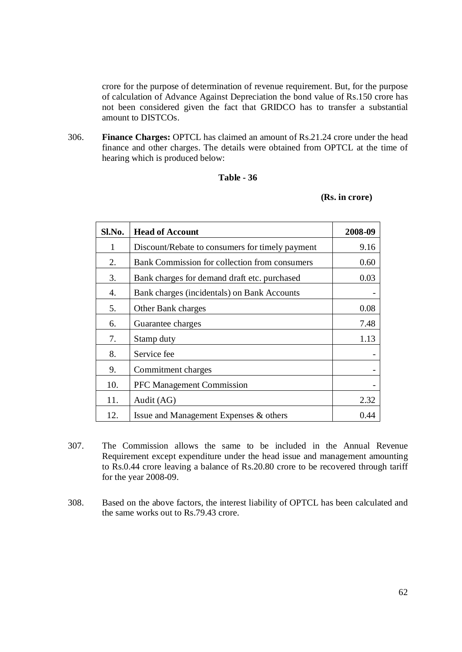crore for the purpose of determination of revenue requirement. But, for the purpose of calculation of Advance Against Depreciation the bond value of Rs.150 crore has not been considered given the fact that GRIDCO has to transfer a substantial amount to DISTCOs.

306. **Finance Charges:** OPTCL has claimed an amount of Rs.21.24 crore under the head finance and other charges. The details were obtained from OPTCL at the time of hearing which is produced below:

### **Table - 36**

#### **(Rs. in crore)**

| Sl.No. | <b>Head of Account</b>                          | 2008-09 |
|--------|-------------------------------------------------|---------|
| 1      | Discount/Rebate to consumers for timely payment | 9.16    |
| 2.     | Bank Commission for collection from consumers   | 0.60    |
| 3.     | Bank charges for demand draft etc. purchased    | 0.03    |
| 4.     | Bank charges (incidentals) on Bank Accounts     |         |
| 5.     | Other Bank charges                              | 0.08    |
| 6.     | Guarantee charges                               | 7.48    |
| 7.     | Stamp duty                                      | 1.13    |
| 8.     | Service fee                                     |         |
| 9.     | Commitment charges                              |         |
| 10.    | <b>PFC Management Commission</b>                |         |
| 11.    | Audit (AG)                                      | 2.32    |
| 12.    | Issue and Management Expenses & others          | 0.44    |

- 307. The Commission allows the same to be included in the Annual Revenue Requirement except expenditure under the head issue and management amounting to Rs.0.44 crore leaving a balance of Rs.20.80 crore to be recovered through tariff for the year 2008-09.
- 308. Based on the above factors, the interest liability of OPTCL has been calculated and the same works out to Rs.79.43 crore.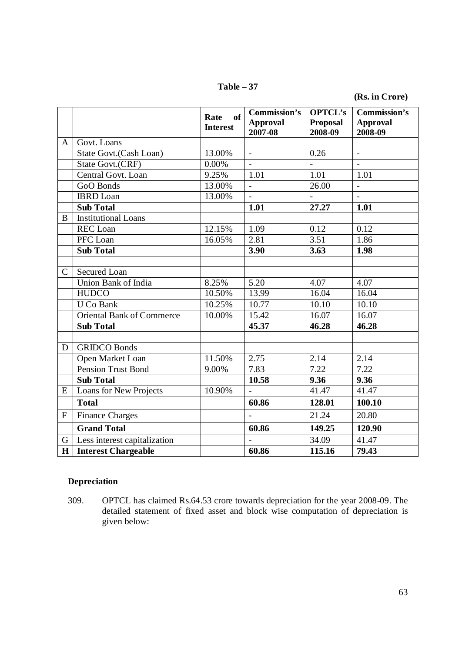**Table – 37**

**(Rs. in Crore)**

|               |                                  | of<br>Rate<br><b>Interest</b> | <b>Commission's</b><br><b>Approval</b><br>2007-08 | <b>OPTCL's</b><br><b>Proposal</b><br>2008-09 | Commission's<br><b>Approval</b><br>2008-09 |
|---------------|----------------------------------|-------------------------------|---------------------------------------------------|----------------------------------------------|--------------------------------------------|
| $\mathbf{A}$  | Govt. Loans                      |                               |                                                   |                                              |                                            |
|               | State Govt.(Cash Loan)           | 13.00%                        | $\frac{1}{\sqrt{2}}$                              | 0.26                                         | $\frac{1}{\sqrt{2}}$                       |
|               | State Govt.(CRF)                 | 0.00%                         |                                                   |                                              |                                            |
|               | Central Govt. Loan               | 9.25%                         | 1.01                                              | 1.01                                         | 1.01                                       |
|               | GoO Bonds                        | 13.00%                        | $\Box$                                            | 26.00                                        | $\blacksquare$                             |
|               | <b>IBRD</b> Loan                 | 13.00%                        |                                                   |                                              |                                            |
|               | <b>Sub Total</b>                 |                               | 1.01                                              | 27.27                                        | 1.01                                       |
| B             | <b>Institutional Loans</b>       |                               |                                                   |                                              |                                            |
|               | REC Loan                         | 12.15%                        | 1.09                                              | 0.12                                         | 0.12                                       |
|               | PFC Loan                         | 16.05%                        | 2.81                                              | 3.51                                         | 1.86                                       |
|               | <b>Sub Total</b>                 |                               | 3.90                                              | 3.63                                         | 1.98                                       |
|               |                                  |                               |                                                   |                                              |                                            |
| $\mathcal{C}$ | <b>Secured Loan</b>              |                               |                                                   |                                              |                                            |
|               | Union Bank of India              | 8.25%                         | $\overline{5.20}$                                 | 4.07                                         | 4.07                                       |
|               | <b>HUDCO</b>                     | 10.50%                        | 13.99                                             | 16.04                                        | 16.04                                      |
|               | <b>U</b> Co Bank                 | 10.25%                        | 10.77                                             | 10.10                                        | 10.10                                      |
|               | <b>Oriental Bank of Commerce</b> | 10.00%                        | 15.42                                             | 16.07                                        | 16.07                                      |
|               | <b>Sub Total</b>                 |                               | 45.37                                             | 46.28                                        | 46.28                                      |
|               |                                  |                               |                                                   |                                              |                                            |
| D             | <b>GRIDCO Bonds</b>              |                               |                                                   |                                              |                                            |
|               | Open Market Loan                 | 11.50%                        | 2.75                                              | 2.14                                         | 2.14                                       |
|               | <b>Pension Trust Bond</b>        | 9.00%                         | 7.83                                              | 7.22                                         | 7.22                                       |
|               | <b>Sub Total</b>                 |                               | 10.58                                             | 9.36                                         | 9.36                                       |
| E             | Loans for New Projects           | 10.90%                        | $\mathbf{r}$                                      | 41.47                                        | 41.47                                      |
|               | <b>Total</b>                     |                               | 60.86                                             | 128.01                                       | 100.10                                     |
| $\mathbf{F}$  | <b>Finance Charges</b>           |                               |                                                   | 21.24                                        | 20.80                                      |
|               | <b>Grand Total</b>               |                               | 60.86                                             | 149.25                                       | 120.90                                     |
| G             | Less interest capitalization     |                               |                                                   | 34.09                                        | $\overline{4}1.47$                         |
| $\mathbf H$   | <b>Interest Chargeable</b>       |                               | 60.86                                             | 115.16                                       | 79.43                                      |

# **Depreciation**

309. OPTCL has claimed Rs.64.53 crore towards depreciation for the year 2008-09. The detailed statement of fixed asset and block wise computation of depreciation is given below: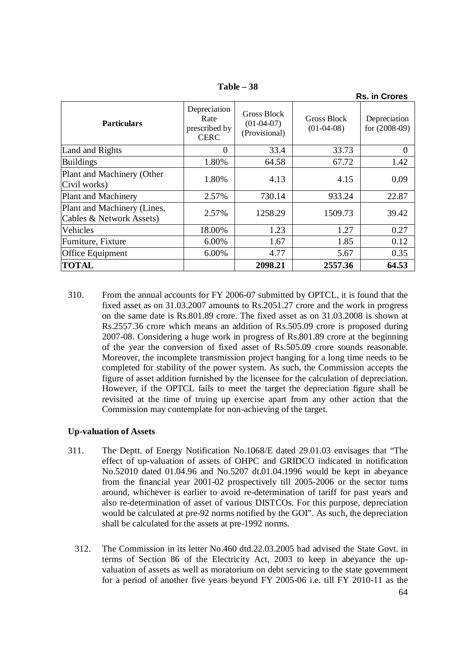|                                                         |                                                      |                                              |                             | <b>Rs. in Crores</b>            |
|---------------------------------------------------------|------------------------------------------------------|----------------------------------------------|-----------------------------|---------------------------------|
| <b>Particulars</b>                                      | Depreciation<br>Rate<br>prescribed by<br><b>CERC</b> | Gross Block<br>$(01-04-07)$<br>(Provisional) | Gross Block<br>$(01-04-08)$ | Depreciation<br>for $(2008-09)$ |
| Land and Rights                                         | $\Omega$                                             | 33.4                                         | 33.73                       | $\Omega$                        |
| <b>Buildings</b>                                        | 1.80%                                                | 64.58                                        | 67.72                       | 1.42                            |
| Plant and Machinery (Other<br>Civil works)              | 1.80%                                                | 4.13                                         | 4.15                        | 0.09                            |
| Plant and Machinery                                     | 2.57%                                                | 730.14                                       | 933.24                      | 22.87                           |
| Plant and Machinery (Lines,<br>Cables & Network Assets) | 2.57%                                                | 1258.29                                      | 1509.73                     | 39.42                           |
| Vehicles                                                | 18.00%                                               | 1.23                                         | 1.27                        | 0.27                            |
| Furniture, Fixture                                      | 6.00%                                                | 1.67                                         | 1.85                        | 0.12                            |
| Office Equipment                                        | 6.00%                                                | 4.77                                         | 5.67                        | 0.35                            |
| <b>TOTAL</b>                                            |                                                      | 2098.21                                      | 2557.36                     | 64.53                           |

**Table – 38**

310. From the annual accounts for FY 2006-07 submitted by OPTCL, it is found that the fixed asset as on 31.03.2007 amounts to Rs.2051.27 crore and the work in progress on the same date is Rs.801.89 crore. The fixed asset as on 31.03.2008 is shown at Rs.2557.36 crore which means an addition of Rs.505.09 crore is proposed during 2007-08. Considering a huge work in progress of Rs.801.89 crore at the beginning of the year the conversion of fixed asset of Rs.505.09 crore sounds reasonable. Moreover, the incomplete transmission project hanging for a long time needs to be completed for stability of the power system. As such, the Commission accepts the figure of asset addition furnished by the licensee for the calculation of depreciation. However, if the OPTCL fails to meet the target the depreciation figure shall be revisited at the time of truing up exercise apart from any other action that the Commission may contemplate for non-achieving of the target.

### **Up-valuation of Assets**

- 311. The Deptt. of Energy Notification No.1068/E dated 29.01.03 envisages that "The effect of up-valuation of assets of OHPC and GRIDCO indicated in notification No.52010 dated 01.04.96 and No.5207 dt.01.04.1996 would be kept in abeyance from the financial year 2001-02 prospectively till 2005-2006 or the sector turns around, whichever is earlier to avoid re-determination of tariff for past years and also re-determination of asset of various DISTCOs. For this purpose, depreciation would be calculated at pre-92 norms notified by the GOI". As such, the depreciation shall be calculated for the assets at pre-1992 norms.
	- 312. The Commission in its letter No.460 dtd.22.03.2005 had advised the State Govt. in terms of Section 86 of the Electricity Act, 2003 to keep in abeyance the upvaluation of assets as well as moratorium on debt servicing to the state government for a period of another five years beyond FY 2005-06 i.e. till FY 2010-11 as the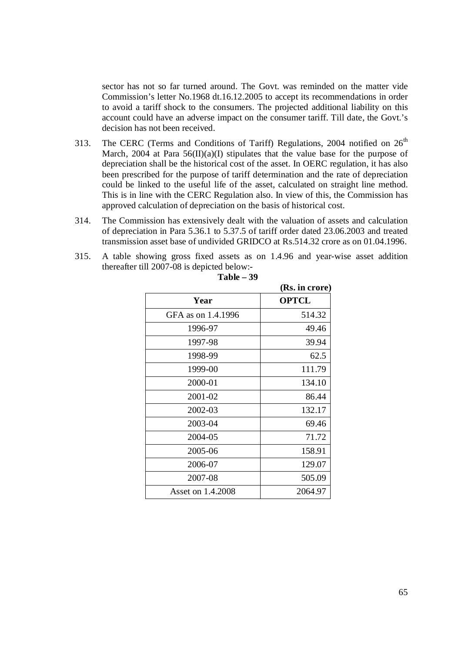sector has not so far turned around. The Govt. was reminded on the matter vide Commission's letter No.1968 dt.16.12.2005 to accept its recommendations in order to avoid a tariff shock to the consumers. The projected additional liability on this account could have an adverse impact on the consumer tariff. Till date, the Govt.'s decision has not been received.

- 313. The CERC (Terms and Conditions of Tariff) Regulations, 2004 notified on  $26<sup>th</sup>$ March, 2004 at Para  $56(II)(a)(I)$  stipulates that the value base for the purpose of depreciation shall be the historical cost of the asset. In OERC regulation, it has also been prescribed for the purpose of tariff determination and the rate of depreciation could be linked to the useful life of the asset, calculated on straight line method. This is in line with the CERC Regulation also. In view of this, the Commission has approved calculation of depreciation on the basis of historical cost.
- 314. The Commission has extensively dealt with the valuation of assets and calculation of depreciation in Para 5.36.1 to 5.37.5 of tariff order dated 23.06.2003 and treated transmission asset base of undivided GRIDCO at Rs.514.32 crore as on 01.04.1996.
- 315. A table showing gross fixed assets as on 1.4.96 and year-wise asset addition thereafter till 2007-08 is depicted below:-

|                    | (Rs. in crore) |
|--------------------|----------------|
| Year               | <b>OPTCL</b>   |
| GFA as on 1.4.1996 | 514.32         |
| 1996-97            | 49.46          |
| 1997-98            | 39.94          |
| 1998-99            | 62.5           |
| 1999-00            | 111.79         |
| 2000-01            | 134.10         |
| 2001-02            | 86.44          |
| 2002-03            | 132.17         |
| 2003-04            | 69.46          |
| 2004-05            | 71.72          |
| 2005-06            | 158.91         |
| 2006-07            | 129.07         |
| 2007-08            | 505.09         |
| Asset on 1.4.2008  | 2064.97        |

| -39<br>Table |  |
|--------------|--|
|--------------|--|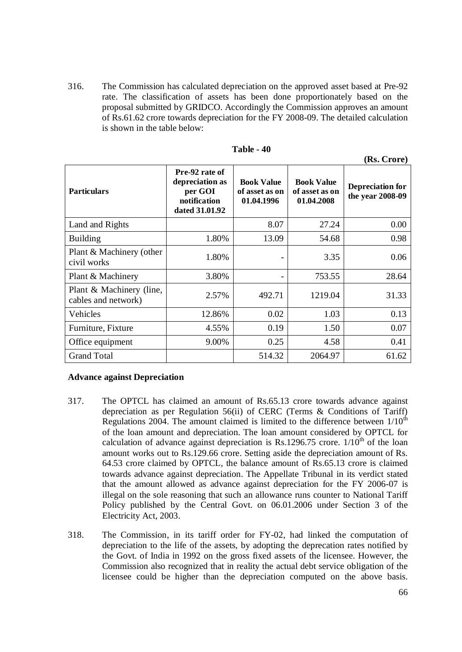316. The Commission has calculated depreciation on the approved asset based at Pre-92 rate. The classification of assets has been done proportionately based on the proposal submitted by GRIDCO. Accordingly the Commission approves an amount of Rs.61.62 crore towards depreciation for the FY 2008-09. The detailed calculation is shown in the table below:

| <b>Particulars</b>                              | Pre-92 rate of<br>depreciation as<br>per GOI<br>notification<br>dated 31.01.92 | <b>Book Value</b><br>of asset as on<br>01.04.1996 | <b>Book Value</b><br>of asset as on<br>01.04.2008 | <b>Depreciation for</b><br>the year 2008-09 |
|-------------------------------------------------|--------------------------------------------------------------------------------|---------------------------------------------------|---------------------------------------------------|---------------------------------------------|
| Land and Rights                                 |                                                                                | 8.07                                              | 27.24                                             | 0.00                                        |
| <b>Building</b>                                 | 1.80%                                                                          | 13.09                                             | 54.68                                             | 0.98                                        |
| Plant & Machinery (other<br>civil works         | 1.80%                                                                          | $\overline{\phantom{0}}$                          | 3.35                                              | 0.06                                        |
| Plant & Machinery                               | 3.80%                                                                          |                                                   | 753.55                                            | 28.64                                       |
| Plant & Machinery (line,<br>cables and network) | 2.57%                                                                          | 492.71                                            | 1219.04                                           | 31.33                                       |
| Vehicles                                        | 12.86%                                                                         | 0.02                                              | 1.03                                              | 0.13                                        |
| Furniture, Fixture                              | 4.55%                                                                          | 0.19                                              | 1.50                                              | 0.07                                        |
| Office equipment                                | 9.00%                                                                          | 0.25                                              | 4.58                                              | 0.41                                        |
| <b>Grand Total</b>                              |                                                                                | 514.32                                            | 2064.97                                           | 61.62                                       |

### **Table - 40**

### **Advance against Depreciation**

- 317. The OPTCL has claimed an amount of Rs.65.13 crore towards advance against depreciation as per Regulation 56(ii) of CERC (Terms & Conditions of Tariff) Regulations 2004. The amount claimed is limited to the difference between  $1/10^{th}$ of the loan amount and depreciation. The loan amount considered by OPTCL for calculation of advance against depreciation is Rs.1296.75 crore.  $1/10^{th}$  of the loan amount works out to Rs.129.66 crore. Setting aside the depreciation amount of Rs. 64.53 crore claimed by OPTCL, the balance amount of Rs.65.13 crore is claimed towards advance against depreciation. The Appellate Tribunal in its verdict stated that the amount allowed as advance against depreciation for the FY 2006-07 is illegal on the sole reasoning that such an allowance runs counter to National Tariff Policy published by the Central Govt. on 06.01.2006 under Section 3 of the Electricity Act, 2003.
- 318. The Commission, in its tariff order for FY-02, had linked the computation of depreciation to the life of the assets, by adopting the deprecation rates notified by the Govt. of India in 1992 on the gross fixed assets of the licensee. However, the Commission also recognized that in reality the actual debt service obligation of the licensee could be higher than the depreciation computed on the above basis.

**(Rs. Crore)**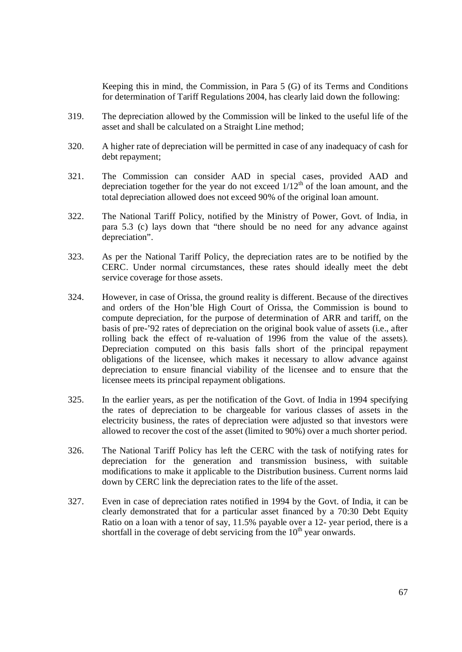Keeping this in mind, the Commission, in Para 5 (G) of its Terms and Conditions for determination of Tariff Regulations 2004, has clearly laid down the following:

- 319. The depreciation allowed by the Commission will be linked to the useful life of the asset and shall be calculated on a Straight Line method;
- 320. A higher rate of depreciation will be permitted in case of any inadequacy of cash for debt repayment;
- 321. The Commission can consider AAD in special cases, provided AAD and depreciation together for the year do not exceed  $1/12<sup>th</sup>$  of the loan amount, and the total depreciation allowed does not exceed 90% of the original loan amount.
- 322. The National Tariff Policy, notified by the Ministry of Power, Govt. of India, in para 5.3 (c) lays down that "there should be no need for any advance against depreciation".
- 323. As per the National Tariff Policy, the depreciation rates are to be notified by the CERC. Under normal circumstances, these rates should ideally meet the debt service coverage for those assets.
- 324. However, in case of Orissa, the ground reality is different. Because of the directives and orders of the Hon'ble High Court of Orissa, the Commission is bound to compute depreciation, for the purpose of determination of ARR and tariff, on the basis of pre-'92 rates of depreciation on the original book value of assets (i.e., after rolling back the effect of re-valuation of 1996 from the value of the assets). Depreciation computed on this basis falls short of the principal repayment obligations of the licensee, which makes it necessary to allow advance against depreciation to ensure financial viability of the licensee and to ensure that the licensee meets its principal repayment obligations.
- 325. In the earlier years, as per the notification of the Govt. of India in 1994 specifying the rates of depreciation to be chargeable for various classes of assets in the electricity business, the rates of depreciation were adjusted so that investors were allowed to recover the cost of the asset (limited to 90%) over a much shorter period.
- 326. The National Tariff Policy has left the CERC with the task of notifying rates for depreciation for the generation and transmission business, with suitable modifications to make it applicable to the Distribution business. Current norms laid down by CERC link the depreciation rates to the life of the asset.
- 327. Even in case of depreciation rates notified in 1994 by the Govt. of India, it can be clearly demonstrated that for a particular asset financed by a 70:30 Debt Equity Ratio on a loan with a tenor of say, 11.5% payable over a 12- year period, there is a shortfall in the coverage of debt servicing from the  $10<sup>th</sup>$  year onwards.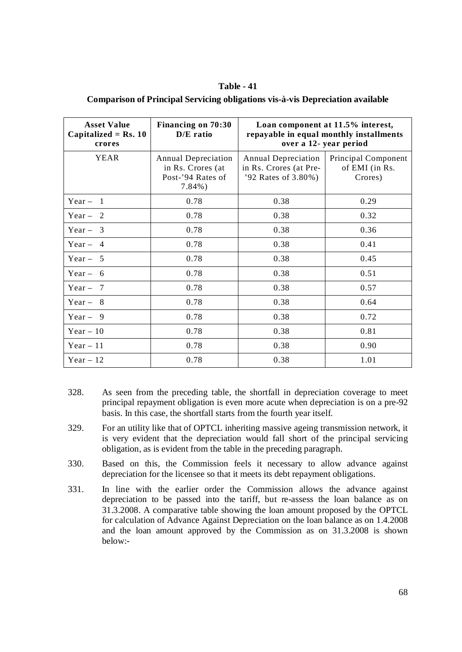| Table - 41                                                                            |
|---------------------------------------------------------------------------------------|
| <b>Comparison of Principal Servicing obligations vis-à-vis Depreciation available</b> |

| <b>Asset Value</b><br>Capitalized = $Rs. 10$<br>crores | Financing on 70:30<br>$D/E$ ratio                                                  | Loan component at 11.5% interest,<br>repayable in equal monthly installments<br>over a 12- year period |                                                  |
|--------------------------------------------------------|------------------------------------------------------------------------------------|--------------------------------------------------------------------------------------------------------|--------------------------------------------------|
| YEAR                                                   | <b>Annual Depreciation</b><br>in Rs. Crores (at<br>Post-'94 Rates of<br>$7.84\%$ ) | <b>Annual Depreciation</b><br>in Rs. Crores (at Pre-<br>'92 Rates of 3.80%)                            | Principal Component<br>of EMI (in Rs.<br>Crores) |
| Year $-1$                                              | 0.78                                                                               | 0.38                                                                                                   | 0.29                                             |
| Year $-2$                                              | 0.78                                                                               | 0.38                                                                                                   | 0.32                                             |
| Year $-3$                                              | 0.78                                                                               | 0.38                                                                                                   | 0.36                                             |
| $Year - 4$                                             | 0.78                                                                               | 0.38                                                                                                   | 0.41                                             |
| Year $-5$                                              | 0.78                                                                               | 0.38                                                                                                   | 0.45                                             |
| $Year - 6$                                             | 0.78                                                                               | 0.38                                                                                                   | 0.51                                             |
| Year $-7$                                              | 0.78                                                                               | 0.38                                                                                                   | 0.57                                             |
| Year $-8$                                              | 0.78                                                                               | 0.38                                                                                                   | 0.64                                             |
| Year $-9$                                              | 0.78                                                                               | 0.38                                                                                                   | 0.72                                             |
| $Year - 10$                                            | 0.78                                                                               | 0.38                                                                                                   | 0.81                                             |
| Year $-11$                                             | 0.78                                                                               | 0.38                                                                                                   | 0.90                                             |
| Year $-12$                                             | 0.78                                                                               | 0.38                                                                                                   | 1.01                                             |

- 328. As seen from the preceding table, the shortfall in depreciation coverage to meet principal repayment obligation is even more acute when depreciation is on a pre-92 basis. In this case, the shortfall starts from the fourth year itself.
- 329. For an utility like that of OPTCL inheriting massive ageing transmission network, it is very evident that the depreciation would fall short of the principal servicing obligation, as is evident from the table in the preceding paragraph.
- 330. Based on this, the Commission feels it necessary to allow advance against depreciation for the licensee so that it meets its debt repayment obligations.
- 331. In line with the earlier order the Commission allows the advance against depreciation to be passed into the tariff, but re-assess the loan balance as on 31.3.2008. A comparative table showing the loan amount proposed by the OPTCL for calculation of Advance Against Depreciation on the loan balance as on 1.4.2008 and the loan amount approved by the Commission as on 31.3.2008 is shown below:-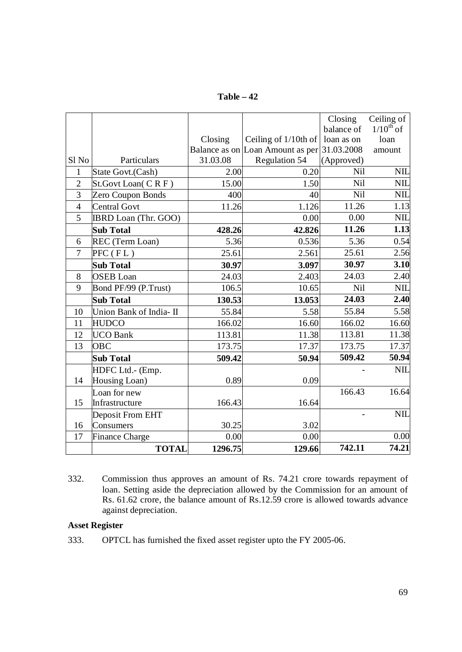**Table – 42**

|                  |                         |          |                                  | Closing    | Ceiling of     |
|------------------|-------------------------|----------|----------------------------------|------------|----------------|
|                  |                         |          |                                  | balance of | $1/10^{th}$ of |
|                  |                         | Closing  | Ceiling of 1/10th of             | loan as on | loan           |
|                  |                         |          | Balance as on Loan Amount as per | 31.03.2008 | amount         |
| Sl <sub>No</sub> | Particulars             | 31.03.08 | <b>Regulation 54</b>             | (Approved) |                |
| 1                | State Govt.(Cash)       | 2.00     | 0.20                             | Nil        | <b>NIL</b>     |
| $\overline{2}$   | St.Govt Loan(CRF)       | 15.00    | 1.50                             | Nil        | <b>NIL</b>     |
| 3                | Zero Coupon Bonds       | 400      | 40                               | Nil        | <b>NIL</b>     |
| $\overline{4}$   | <b>Central Govt</b>     | 11.26    | 1.126                            | 11.26      | 1.13           |
| 5                | IBRD Loan (Thr. GOO)    |          | 0.00                             | 0.00       | <b>NIL</b>     |
|                  | <b>Sub Total</b>        | 428.26   | 42.826                           | 11.26      | 1.13           |
| 6                | REC (Term Loan)         | 5.36     | 0.536                            | 5.36       | 0.54           |
| $\overline{7}$   | $PFC$ ( $FL$ )          | 25.61    | 2.561                            | 25.61      | 2.56           |
|                  | <b>Sub Total</b>        | 30.97    | 3.097                            | 30.97      | 3.10           |
| 8                | <b>OSEB</b> Loan        | 24.03    | 2.403                            | 24.03      | 2.40           |
| 9                | Bond PF/99 (P.Trust)    | 106.5    | 10.65                            | Nil        | <b>NIL</b>     |
|                  | <b>Sub Total</b>        | 130.53   | 13.053                           | 24.03      | 2.40           |
| 10               | Union Bank of India- II | 55.84    | 5.58                             | 55.84      | 5.58           |
| 11               | <b>HUDCO</b>            | 166.02   | 16.60                            | 166.02     | 16.60          |
| 12               | <b>UCO</b> Bank         | 113.81   | 11.38                            | 113.81     | 11.38          |
| 13               | <b>OBC</b>              | 173.75   | 17.37                            | 173.75     | 17.37          |
|                  | <b>Sub Total</b>        | 509.42   | 50.94                            | 509.42     | 50.94          |
|                  | HDFC Ltd.- (Emp.        |          |                                  |            | <b>NIL</b>     |
| 14               | Housing Loan)           | 0.89     | 0.09                             |            |                |
|                  | Loan for new            |          |                                  | 166.43     | 16.64          |
| 15               | Infrastructure          | 166.43   | 16.64                            |            |                |
|                  | Deposit From EHT        |          |                                  |            | <b>NIL</b>     |
| 16               | Consumers               | 30.25    | 3.02                             |            |                |
| 17               | <b>Finance Charge</b>   | 0.00     | 0.00                             |            | 0.00           |
|                  | <b>TOTAL</b>            | 1296.75  | 129.66                           | 742.11     | 74.21          |

332. Commission thus approves an amount of Rs. 74.21 crore towards repayment of loan. Setting aside the depreciation allowed by the Commission for an amount of Rs. 61.62 crore, the balance amount of Rs.12.59 crore is allowed towards advance against depreciation.

# **Asset Register**

333. OPTCL has furnished the fixed asset register upto the FY 2005-06.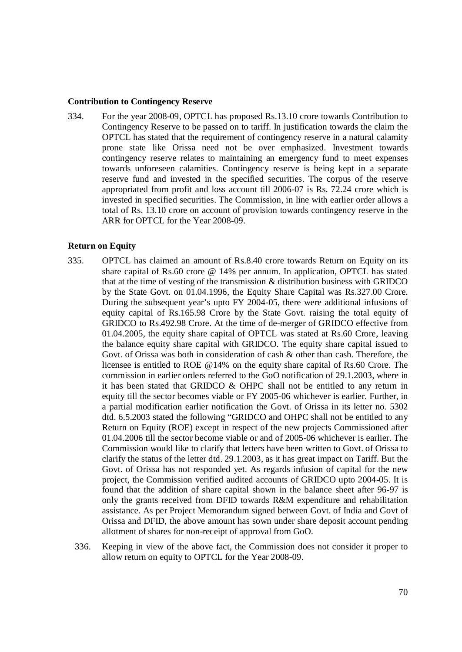#### **Contribution to Contingency Reserve**

334. For the year 2008-09, OPTCL has proposed Rs.13.10 crore towards Contribution to Contingency Reserve to be passed on to tariff. In justification towards the claim the OPTCL has stated that the requirement of contingency reserve in a natural calamity prone state like Orissa need not be over emphasized. Investment towards contingency reserve relates to maintaining an emergency fund to meet expenses towards unforeseen calamities. Contingency reserve is being kept in a separate reserve fund and invested in the specified securities. The corpus of the reserve appropriated from profit and loss account till 2006-07 is Rs. 72.24 crore which is invested in specified securities. The Commission, in line with earlier order allows a total of Rs. 13.10 crore on account of provision towards contingency reserve in the ARR for OPTCL for the Year 2008-09.

#### **Return on Equity**

- 335. OPTCL has claimed an amount of Rs.8.40 crore towards Return on Equity on its share capital of Rs.60 crore @ 14% per annum. In application, OPTCL has stated that at the time of vesting of the transmission & distribution business with GRIDCO by the State Govt. on 01.04.1996, the Equity Share Capital was Rs.327.00 Crore. During the subsequent year's upto FY 2004-05, there were additional infusions of equity capital of Rs.165.98 Crore by the State Govt. raising the total equity of GRIDCO to Rs.492.98 Crore. At the time of de-merger of GRIDCO effective from 01.04.2005, the equity share capital of OPTCL was stated at Rs.60 Crore, leaving the balance equity share capital with GRIDCO. The equity share capital issued to Govt. of Orissa was both in consideration of cash & other than cash. Therefore, the licensee is entitled to ROE @14% on the equity share capital of Rs.60 Crore. The commission in earlier orders referred to the GoO notification of 29.1.2003, where in it has been stated that GRIDCO & OHPC shall not be entitled to any return in equity till the sector becomes viable or FY 2005-06 whichever is earlier. Further, in a partial modification earlier notification the Govt. of Orissa in its letter no. 5302 dtd. 6.5.2003 stated the following "GRIDCO and OHPC shall not be entitled to any Return on Equity (ROE) except in respect of the new projects Commissioned after 01.04.2006 till the sector become viable or and of 2005-06 whichever is earlier. The Commission would like to clarify that letters have been written to Govt. of Orissa to clarify the status of the letter dtd. 29.1.2003, as it has great impact on Tariff. But the Govt. of Orissa has not responded yet. As regards infusion of capital for the new project, the Commission verified audited accounts of GRIDCO upto 2004-05. It is found that the addition of share capital shown in the balance sheet after 96-97 is only the grants received from DFID towards R&M expenditure and rehabilitation assistance. As per Project Memorandum signed between Govt. of India and Govt of Orissa and DFID, the above amount has sown under share deposit account pending allotment of shares for non-receipt of approval from GoO.
	- 336. Keeping in view of the above fact, the Commission does not consider it proper to allow return on equity to OPTCL for the Year 2008-09.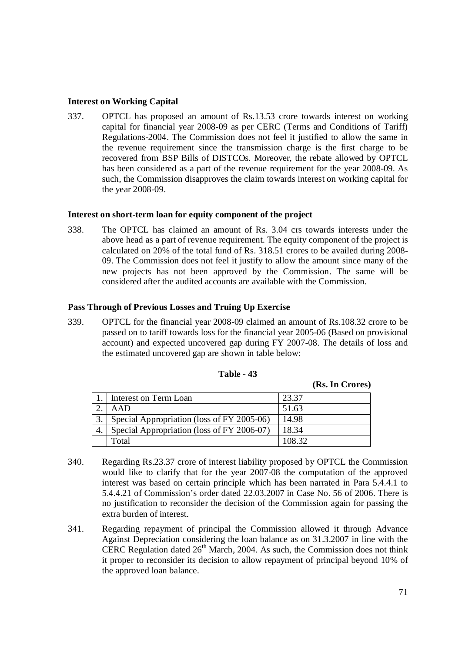### **Interest on Working Capital**

337. OPTCL has proposed an amount of Rs.13.53 crore towards interest on working capital for financial year 2008-09 as per CERC (Terms and Conditions of Tariff) Regulations-2004. The Commission does not feel it justified to allow the same in the revenue requirement since the transmission charge is the first charge to be recovered from BSP Bills of DISTCOs. Moreover, the rebate allowed by OPTCL has been considered as a part of the revenue requirement for the year 2008-09. As such, the Commission disapproves the claim towards interest on working capital for the year 2008-09.

#### **Interest on short-term loan for equity component of the project**

338. The OPTCL has claimed an amount of Rs. 3.04 crs towards interests under the above head as a part of revenue requirement. The equity component of the project is calculated on 20% of the total fund of Rs. 318.51 crores to be availed during 2008- 09. The Commission does not feel it justify to allow the amount since many of the new projects has not been approved by the Commission. The same will be considered after the audited accounts are available with the Commission.

### **Pass Through of Previous Losses and Truing Up Exercise**

339. OPTCL for the financial year 2008-09 claimed an amount of Rs.108.32 crore to be passed on to tariff towards loss for the financial year 2005-06 (Based on provisional account) and expected uncovered gap during FY 2007-08. The details of loss and the estimated uncovered gap are shown in table below:

| Interest on Term Loan                      | 23.37  |
|--------------------------------------------|--------|
| AAD                                        | 51.63  |
| Special Appropriation (loss of FY 2005-06) | 14.98  |
| Special Appropriation (loss of FY 2006-07) | 18.34  |
| Total                                      | 108.32 |

### **Table - 43**

- 340. Regarding Rs.23.37 crore of interest liability proposed by OPTCL the Commission would like to clarify that for the year 2007-08 the computation of the approved interest was based on certain principle which has been narrated in Para 5.4.4.1 to 5.4.4.21 of Commission's order dated 22.03.2007 in Case No. 56 of 2006. There is no justification to reconsider the decision of the Commission again for passing the extra burden of interest.
- 341. Regarding repayment of principal the Commission allowed it through Advance Against Depreciation considering the loan balance as on 31.3.2007 in line with the CERC Regulation dated 26<sup>th</sup> March, 2004. As such, the Commission does not think it proper to reconsider its decision to allow repayment of principal beyond 10% of the approved loan balance.

**(Rs. In Crores)**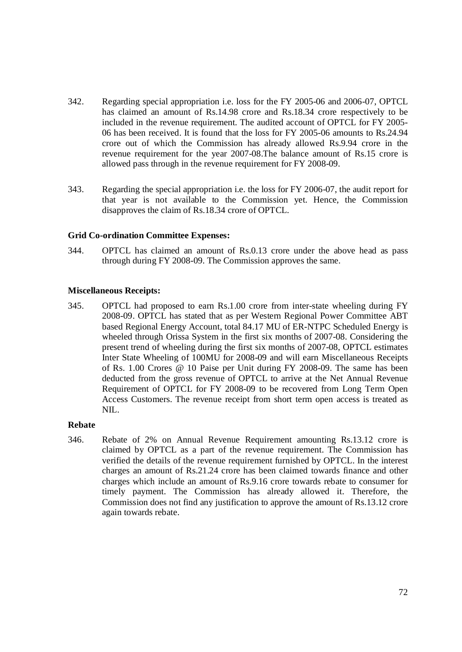- 342. Regarding special appropriation i.e. loss for the FY 2005-06 and 2006-07, OPTCL has claimed an amount of Rs.14.98 crore and Rs.18.34 crore respectively to be included in the revenue requirement. The audited account of OPTCL for FY 2005- 06 has been received. It is found that the loss for FY 2005-06 amounts to Rs.24.94 crore out of which the Commission has already allowed Rs.9.94 crore in the revenue requirement for the year 2007-08.The balance amount of Rs.15 crore is allowed pass through in the revenue requirement for FY 2008-09.
- 343. Regarding the special appropriation i.e. the loss for FY 2006-07, the audit report for that year is not available to the Commission yet. Hence, the Commission disapproves the claim of Rs.18.34 crore of OPTCL.

### **Grid Co-ordination Committee Expenses:**

344. OPTCL has claimed an amount of Rs.0.13 crore under the above head as pass through during FY 2008-09. The Commission approves the same.

### **Miscellaneous Receipts:**

345. OPTCL had proposed to earn Rs.1.00 crore from inter-state wheeling during FY 2008-09. OPTCL has stated that as per Western Regional Power Committee ABT based Regional Energy Account, total 84.17 MU of ER-NTPC Scheduled Energy is wheeled through Orissa System in the first six months of 2007-08. Considering the present trend of wheeling during the first six months of 2007-08, OPTCL estimates Inter State Wheeling of 100MU for 2008-09 and will earn Miscellaneous Receipts of Rs. 1.00 Crores @ 10 Paise per Unit during FY 2008-09. The same has been deducted from the gross revenue of OPTCL to arrive at the Net Annual Revenue Requirement of OPTCL for FY 2008-09 to be recovered from Long Term Open Access Customers. The revenue receipt from short term open access is treated as NIL.

#### **Rebate**

346. Rebate of 2% on Annual Revenue Requirement amounting Rs.13.12 crore is claimed by OPTCL as a part of the revenue requirement. The Commission has verified the details of the revenue requirement furnished by OPTCL. In the interest charges an amount of Rs.21.24 crore has been claimed towards finance and other charges which include an amount of Rs.9.16 crore towards rebate to consumer for timely payment. The Commission has already allowed it. Therefore, the Commission does not find any justification to approve the amount of Rs.13.12 crore again towards rebate.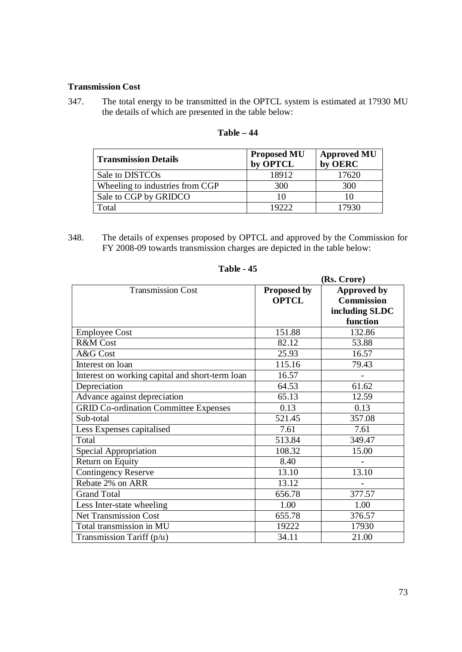### **Transmission Cost**

347. The total energy to be transmitted in the OPTCL system is estimated at 17930 MU the details of which are presented in the table below:

| <b>Transmission Details</b>     | <b>Proposed MU</b><br>by OPTCL | <b>Approved MU</b><br>by OERC |
|---------------------------------|--------------------------------|-------------------------------|
| Sale to DISTCO <sub>s</sub>     | 18912                          | 17620                         |
| Wheeling to industries from CGP | 300                            | 300                           |
| Sale to CGP by GRIDCO           | 10                             | 10                            |
| Total                           | 19222                          | 17930                         |

## **Table – 44**

348. The details of expenses proposed by OPTCL and approved by the Commission for FY 2008-09 towards transmission charges are depicted in the table below:

|                                                 | (Rs. Crore)  |                    |
|-------------------------------------------------|--------------|--------------------|
| <b>Transmission Cost</b>                        | Proposed by  | <b>Approved by</b> |
|                                                 | <b>OPTCL</b> | <b>Commission</b>  |
|                                                 |              | including SLDC     |
|                                                 |              | function           |
| <b>Employee Cost</b>                            | 151.88       | 132.86             |
| R&M Cost                                        | 82.12        | 53.88              |
| A&G Cost                                        | 25.93        | 16.57              |
| Interest on loan                                | 115.16       | 79.43              |
| Interest on working capital and short-term loan | 16.57        |                    |
| Depreciation                                    | 64.53        | 61.62              |
| Advance against depreciation                    | 65.13        | 12.59              |
| <b>GRID Co-ordination Committee Expenses</b>    | 0.13         | 0.13               |
| Sub-total                                       | 521.45       | 357.08             |
| Less Expenses capitalised                       | 7.61         | 7.61               |
| Total                                           | 513.84       | 349.47             |
| Special Appropriation                           | 108.32       | 15.00              |
| Return on Equity                                | 8.40         |                    |
| <b>Contingency Reserve</b>                      | 13.10        | 13.10              |
| Rebate 2% on ARR                                | 13.12        |                    |
| <b>Grand Total</b>                              | 656.78       | 377.57             |
| Less Inter-state wheeling                       | 1.00         | 1.00               |
| <b>Net Transmission Cost</b>                    | 655.78       | 376.57             |
| Total transmission in MU                        | 19222        | 17930              |
| Transmission Tariff $(p/u)$                     | 34.11        | 21.00              |

# **Table - 45**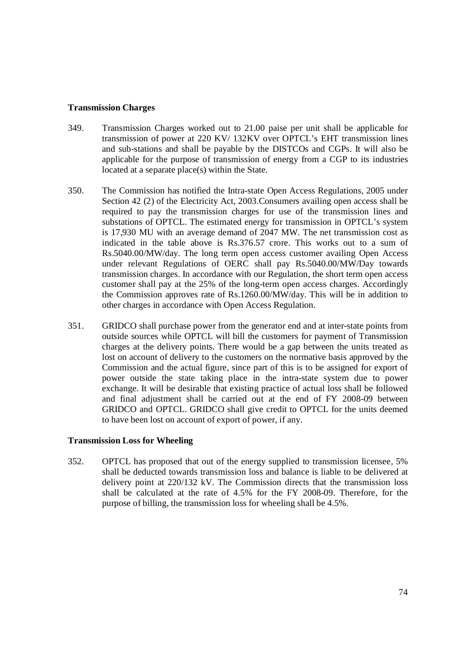### **Transmission Charges**

- 349. Transmission Charges worked out to 21.00 paise per unit shall be applicable for transmission of power at 220 KV/ 132KV over OPTCL's EHT transmission lines and sub-stations and shall be payable by the DISTCOs and CGPs. It will also be applicable for the purpose of transmission of energy from a CGP to its industries located at a separate place(s) within the State.
- 350. The Commission has notified the Intra-state Open Access Regulations, 2005 under Section 42 (2) of the Electricity Act, 2003.Consumers availing open access shall be required to pay the transmission charges for use of the transmission lines and substations of OPTCL. The estimated energy for transmission in OPTCL's system is 17,930 MU with an average demand of 2047 MW. The net transmission cost as indicated in the table above is Rs.376.57 crore. This works out to a sum of Rs.5040.00/MW/day. The long term open access customer availing Open Access under relevant Regulations of OERC shall pay Rs.5040.00/MW/Day towards transmission charges. In accordance with our Regulation, the short term open access customer shall pay at the 25% of the long-term open access charges. Accordingly the Commission approves rate of Rs.1260.00/MW/day. This will be in addition to other charges in accordance with Open Access Regulation.
- 351. GRIDCO shall purchase power from the generator end and at inter-state points from outside sources while OPTCL will bill the customers for payment of Transmission charges at the delivery points. There would be a gap between the units treated as lost on account of delivery to the customers on the normative basis approved by the Commission and the actual figure, since part of this is to be assigned for export of power outside the state taking place in the intra-state system due to power exchange. It will be desirable that existing practice of actual loss shall be followed and final adjustment shall be carried out at the end of FY 2008-09 between GRIDCO and OPTCL. GRIDCO shall give credit to OPTCL for the units deemed to have been lost on account of export of power, if any.

#### **Transmission Loss for Wheeling**

352. OPTCL has proposed that out of the energy supplied to transmission licensee, 5% shall be deducted towards transmission loss and balance is liable to be delivered at delivery point at 220/132 kV. The Commission directs that the transmission loss shall be calculated at the rate of 4.5% for the FY 2008-09. Therefore, for the purpose of billing, the transmission loss for wheeling shall be 4.5%.